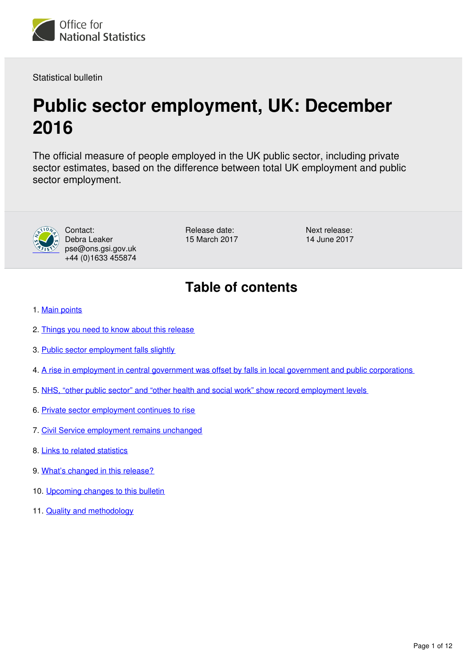

Statistical bulletin

# **Public sector employment, UK: December 2016**

The official measure of people employed in the UK public sector, including private sector estimates, based on the difference between total UK employment and public sector employment.



Contact: Debra Leaker pse@ons.gsi.gov.uk +44 (0)1633 455874

Release date: 15 March 2017 Next release: 14 June 2017

# **Table of contents**

- 1. [Main points](#page-1-0)
- 2. [Things you need to know about this release](#page-1-1)
- 3. [Public sector employment falls slightly](#page-2-0)
- 4. [A rise in employment in central government was offset by falls in local government and public corporations](#page-3-0)
- 5. [NHS, "other public sector" and "other health and social work" show record employment levels](#page-5-0)
- 6. [Private sector employment continues to rise](#page-6-0)
- 7. [Civil Service employment remains unchanged](#page-6-1)
- 8. [Links to related statistics](#page-9-0)
- 9. [What's changed in this release?](#page-9-1)
- 10. [Upcoming changes to this bulletin](#page-9-2)
- 11. [Quality and methodology](#page-9-3)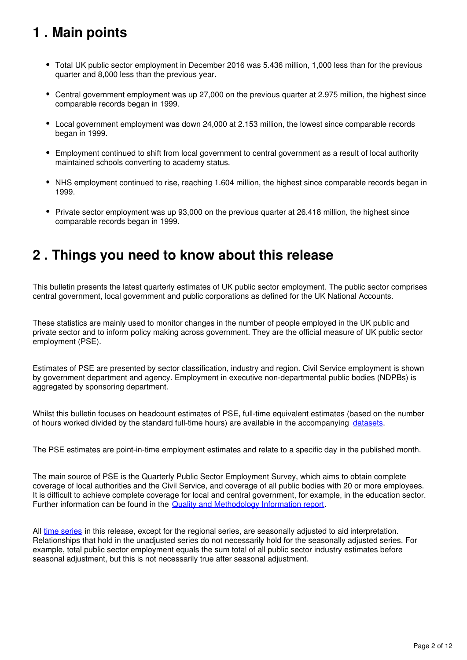# <span id="page-1-0"></span>**1 . Main points**

- Total UK public sector employment in December 2016 was 5.436 million, 1,000 less than for the previous quarter and 8,000 less than the previous year.
- Central government employment was up 27,000 on the previous quarter at 2.975 million, the highest since comparable records began in 1999.
- Local government employment was down 24,000 at 2.153 million, the lowest since comparable records began in 1999.
- Employment continued to shift from local government to central government as a result of local authority maintained schools converting to academy status.
- NHS employment continued to rise, reaching 1.604 million, the highest since comparable records began in 1999.
- Private sector employment was up 93,000 on the previous quarter at 26.418 million, the highest since comparable records began in 1999.

## <span id="page-1-1"></span>**2 . Things you need to know about this release**

This bulletin presents the latest quarterly estimates of UK public sector employment. The public sector comprises central government, local government and public corporations as defined for the UK National Accounts.

These statistics are mainly used to monitor changes in the number of people employed in the UK public and private sector and to inform policy making across government. They are the official measure of UK public sector employment (PSE).

Estimates of PSE are presented by sector classification, industry and region. Civil Service employment is shown by government department and agency. Employment in executive non-departmental public bodies (NDPBs) is aggregated by sponsoring department.

Whilst this bulletin focuses on headcount estimates of PSE, full-time equivalent estimates (based on the number of hours worked divided by the standard full-time hours) are available in the accompanying datasets.

The PSE estimates are point-in-time employment estimates and relate to a specific day in the published month.

The main source of PSE is the Quarterly Public Sector Employment Survey, which aims to obtain complete coverage of local authorities and the Civil Service, and coverage of all public bodies with 20 or more employees. It is difficult to achieve complete coverage for local and central government, for example, in the education sector. Further information can be found in the [Quality and Methodology Information report.](http://www.ons.gov.uk/employmentandlabourmarket/peopleinwork/publicsectorpersonnel/qmis/publicsectoremploymentqmi)

All [time series](https://www.ons.gov.uk/employmentandlabourmarket/peopleinwork/publicsectorpersonnel/datasets/publicsectoremploymenttimeseriesdataset) in this release, except for the regional series, are seasonally adjusted to aid interpretation. Relationships that hold in the unadjusted series do not necessarily hold for the seasonally adjusted series. For example, total public sector employment equals the sum total of all public sector industry estimates before seasonal adjustment, but this is not necessarily true after seasonal adjustment.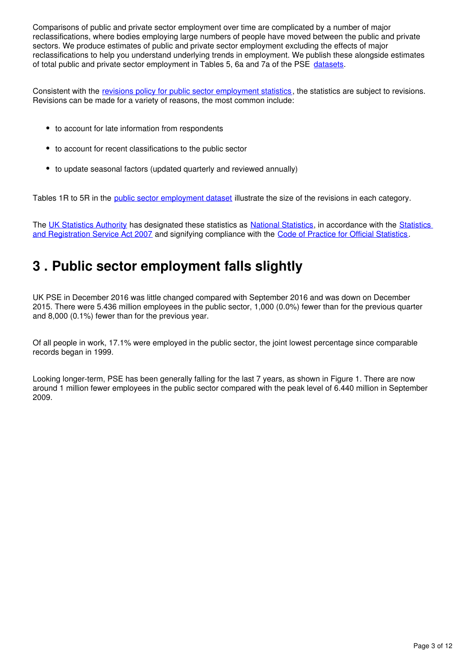Comparisons of public and private sector employment over time are complicated by a number of major reclassifications, where bodies employing large numbers of people have moved between the public and private sectors. We produce estimates of public and private sector employment excluding the effects of major reclassifications to help you understand underlying trends in employment. We publish these alongside estimates of total public and private sector employment in Tables 5, 6a and 7a of the PSE datasets.

<span id="page-2-1"></span>Consistent with the [revisions policy for public sector employment statistics,](http://www.ons.gov.uk/methodology/methodologytopicsandstatisticalconcepts/revisions/revisionspoliciesforlabourmarketstatistics) the statistics are subject to revisions. Revisions can be made for a variety of reasons, the most common include:

- to account for late information from respondents
- to account for recent classifications to the public sector
- to update seasonal factors (updated quarterly and reviewed annually)

Tables 1R to 5R in the public sector employment dataset illustrate the size of the revisions in each category.

The UK Statistics Authority has designated these statistics as National Statistics[,](https://www.statisticsauthority.gov.uk/national-statistician/types-of-official-statistics/) in accordance with the Statistics [and Registration Service Act 2007](https://www.statisticsauthority.gov.uk/about-the-authority/uk-statistical-system/legislation/key-legislative-documents/) and signifying compliance with the [Code of Practice for Official Statistics.](https://www.statisticsauthority.gov.uk/monitoring-and-assessment/code-of-practice/)

# <span id="page-2-0"></span>**3 . Public sector employment falls slightly**

UK PSE in December 2016 was little changed compared with September 2016 and was down on December 2015. There were 5.436 million employees in the public sector, 1,000 (0.0%) fewer than for the previous quarter and 8,000 (0.1%) fewer than for the previous year.

Of all people in work, 17.1% were employed in the public sector, the joint lowest percentage since comparable records began in 1999.

Looking longer-term, PSE has been generally falling for the last 7 years, as shown in Figure 1. There are now around 1 million fewer employees in the public sector compared with the peak level of 6.440 million in September 2009.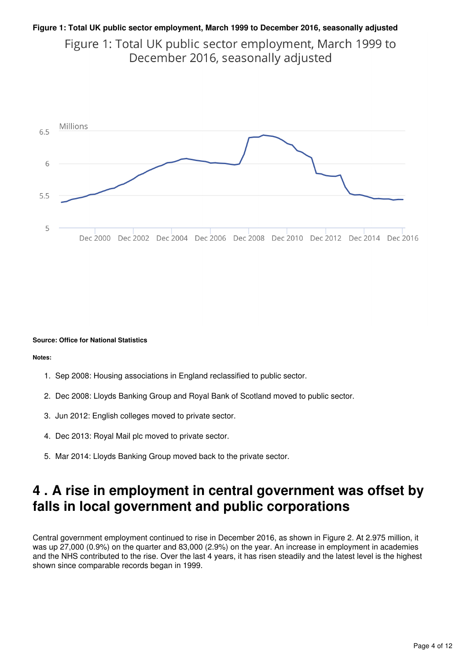## **Figure 1: Total UK public sector employment, March 1999 to December 2016, seasonally adjusted** Figure 1: Total UK public sector employment, March 1999 to December 2016, seasonally adjusted



#### **Source: Office for National Statistics**

**Notes:**

- 1. Sep 2008: Housing associations in England reclassified to public sector.
- 2. Dec 2008: Lloyds Banking Group and Royal Bank of Scotland moved to public sector.
- 3. Jun 2012: English colleges moved to private sector.
- 4. Dec 2013: Royal Mail plc moved to private sector.
- 5. Mar 2014: Lloyds Banking Group moved back to the private sector.

# <span id="page-3-0"></span>**4 . A rise in employment in central government was offset by falls in local government and public corporations**

Central government employment continued to rise in December 2016, as shown in Figure 2. At 2.975 million, it was up 27,000 (0.9%) on the quarter and 83,000 (2.9%) on the year. An increase in employment in academies and the NHS contributed to the rise. Over the last 4 years, it has risen steadily and the latest level is the highest shown since comparable records began in 1999.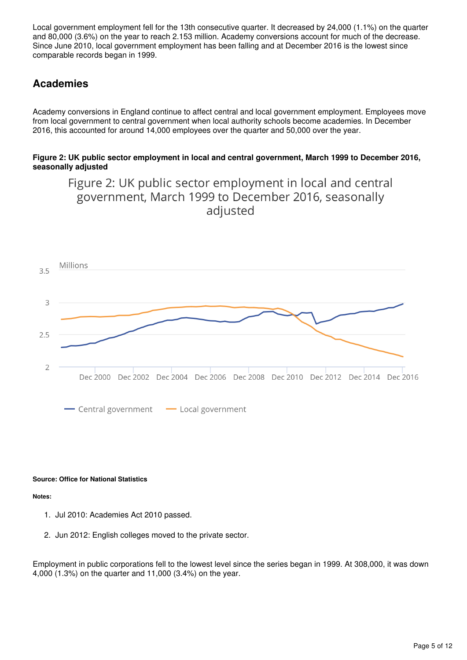<span id="page-4-0"></span>Local government employment fell for the 13th consecutive quarter. It decreased by 24,000 (1.1%) on the quarter and 80,000 (3.6%) on the year to reach 2.153 million. Academy conversions account for much of the decrease. Since June 2010, local government employment has been falling and at December 2016 is the lowest since comparable records began in 1999.

## **Academies**

Academy conversions in England continue to affect central and local government employment. Employees move from local government to central government when local authority schools become academies. In December 2016, this accounted for around 14,000 employees over the quarter and 50,000 over the year.

### **Figure 2: UK public sector employment in local and central government, March 1999 to December 2016, seasonally adjusted**

Figure 2: UK public sector employment in local and central



#### **Source: Office for National Statistics**

**Notes:**

- 1. Jul 2010: Academies Act 2010 passed.
- 2. Jun 2012: English colleges moved to the private sector.

Employment in public corporations fell to the lowest level since the series began in 1999. At 308,000, it was down 4,000 (1.3%) on the quarter and 11,000 (3.4%) on the year.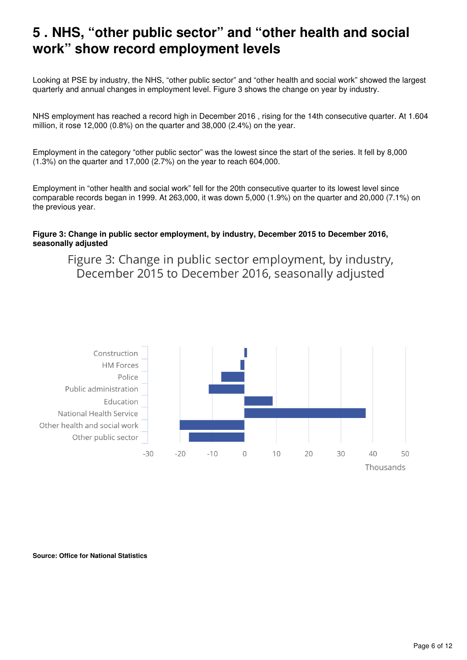# <span id="page-5-0"></span>**5 . NHS, "other public sector" and "other health and social work" show record employment levels**

Looking at PSE by industry, the NHS, "other public sector" and "other health and social work" showed the largest quarterly and annual changes in employment level. Figure 3 shows the change on year by industry.

NHS employment has reached a record high in December 2016 , rising for the 14th consecutive quarter. At 1.604 million, it rose 12,000 (0.8%) on the quarter and 38,000 (2.4%) on the year.

Employment in the category "other public sector" was the lowest since the start of the series. It fell by 8,000 (1.3%) on the quarter and 17,000 (2.7%) on the year to reach 604,000.

Employment in "other health and social work" fell for the 20th consecutive quarter to its lowest level since comparable records began in 1999. At 263,000, it was down 5,000 (1.9%) on the quarter and 20,000 (7.1%) on the previous year.

### **Figure 3: Change in public sector employment, by industry, December 2015 to December 2016, seasonally adjusted**

Figure 3: Change in public sector employment, by industry, December 2015 to December 2016, seasonally adjusted



**Source: Office for National Statistics**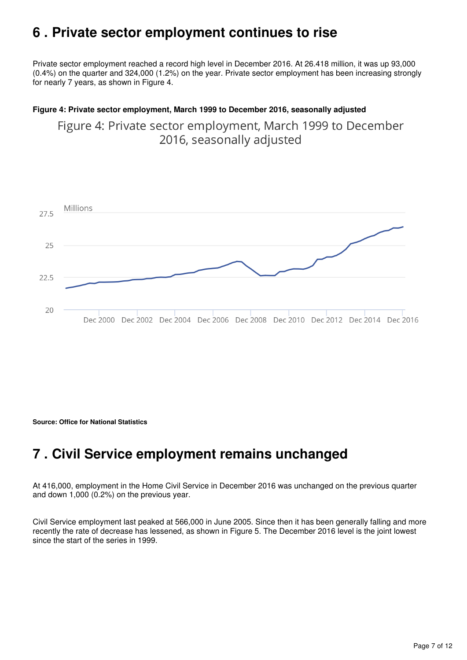# <span id="page-6-0"></span>**6 . Private sector employment continues to rise**

<span id="page-6-2"></span>Private sector employment reached a record high level in December 2016. At 26.418 million, it was up 93,000 (0.4%) on the quarter and 324,000 (1.2%) on the year. Private sector employment has been increasing strongly for nearly 7 years, as shown in Figure 4.

### **Figure 4: Private sector employment, March 1999 to December 2016, seasonally adjusted**

Figure 4: Private sector employment, March 1999 to December 2016, seasonally adjusted



**Source: Office for National Statistics**

# <span id="page-6-1"></span>**7 . Civil Service employment remains unchanged**

At 416,000, employment in the Home Civil Service in December 2016 was unchanged on the previous quarter and down 1,000 (0.2%) on the previous year.

Civil Service employment last peaked at 566,000 in June 2005. Since then it has been generally falling and more recently the rate of decrease has lessened, as shown in Figure 5. The December 2016 level is the joint lowest since the start of the series in 1999.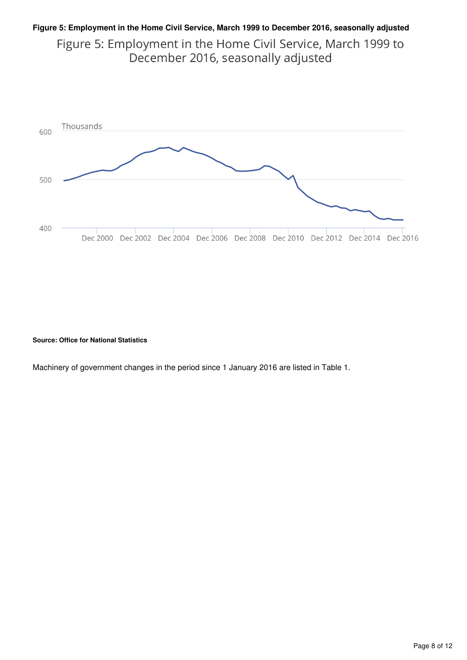### **Figure 5: Employment in the Home Civil Service, March 1999 to December 2016, seasonally adjusted**

Figure 5: Employment in the Home Civil Service, March 1999 to December 2016, seasonally adjusted



#### **Source: Office for National Statistics**

Machinery of government changes in the period since 1 January 2016 are listed in Table 1.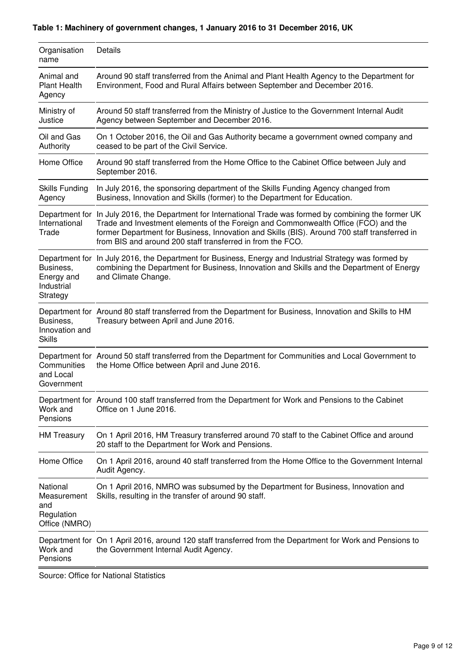## **Table 1: Machinery of government changes, 1 January 2016 to 31 December 2016, UK**

<span id="page-8-0"></span>

| Organisation<br>name                                          | Details                                                                                                                                                                                                                                                                                                                                                       |
|---------------------------------------------------------------|---------------------------------------------------------------------------------------------------------------------------------------------------------------------------------------------------------------------------------------------------------------------------------------------------------------------------------------------------------------|
| Animal and<br><b>Plant Health</b><br>Agency                   | Around 90 staff transferred from the Animal and Plant Health Agency to the Department for<br>Environment, Food and Rural Affairs between September and December 2016.                                                                                                                                                                                         |
| Ministry of<br>Justice                                        | Around 50 staff transferred from the Ministry of Justice to the Government Internal Audit<br>Agency between September and December 2016.                                                                                                                                                                                                                      |
| Oil and Gas<br>Authority                                      | On 1 October 2016, the Oil and Gas Authority became a government owned company and<br>ceased to be part of the Civil Service.                                                                                                                                                                                                                                 |
| Home Office                                                   | Around 90 staff transferred from the Home Office to the Cabinet Office between July and<br>September 2016.                                                                                                                                                                                                                                                    |
| <b>Skills Funding</b><br>Agency                               | In July 2016, the sponsoring department of the Skills Funding Agency changed from<br>Business, Innovation and Skills (former) to the Department for Education.                                                                                                                                                                                                |
| International<br>Trade                                        | Department for In July 2016, the Department for International Trade was formed by combining the former UK<br>Trade and Investment elements of the Foreign and Commonwealth Office (FCO) and the<br>former Department for Business, Innovation and Skills (BIS). Around 700 staff transferred in<br>from BIS and around 200 staff transferred in from the FCO. |
| Business,<br>Energy and<br>Industrial<br>Strategy             | Department for In July 2016, the Department for Business, Energy and Industrial Strategy was formed by<br>combining the Department for Business, Innovation and Skills and the Department of Energy<br>and Climate Change.                                                                                                                                    |
| Business,<br>Innovation and<br><b>Skills</b>                  | Department for Around 80 staff transferred from the Department for Business, Innovation and Skills to HM<br>Treasury between April and June 2016.                                                                                                                                                                                                             |
| Communities<br>and Local<br>Government                        | Department for Around 50 staff transferred from the Department for Communities and Local Government to<br>the Home Office between April and June 2016.                                                                                                                                                                                                        |
| Work and<br>Pensions                                          | Department for Around 100 staff transferred from the Department for Work and Pensions to the Cabinet<br>Office on 1 June 2016.                                                                                                                                                                                                                                |
| <b>HM Treasury</b>                                            | On 1 April 2016, HM Treasury transferred around 70 staff to the Cabinet Office and around<br>20 staff to the Department for Work and Pensions.                                                                                                                                                                                                                |
| Home Office                                                   | On 1 April 2016, around 40 staff transferred from the Home Office to the Government Internal<br>Audit Agency.                                                                                                                                                                                                                                                 |
| National<br>Measurement<br>and<br>Regulation<br>Office (NMRO) | On 1 April 2016, NMRO was subsumed by the Department for Business, Innovation and<br>Skills, resulting in the transfer of around 90 staff.                                                                                                                                                                                                                    |
| Work and<br>Pensions                                          | Department for On 1 April 2016, around 120 staff transferred from the Department for Work and Pensions to<br>the Government Internal Audit Agency.                                                                                                                                                                                                            |

Source: Office for National Statistics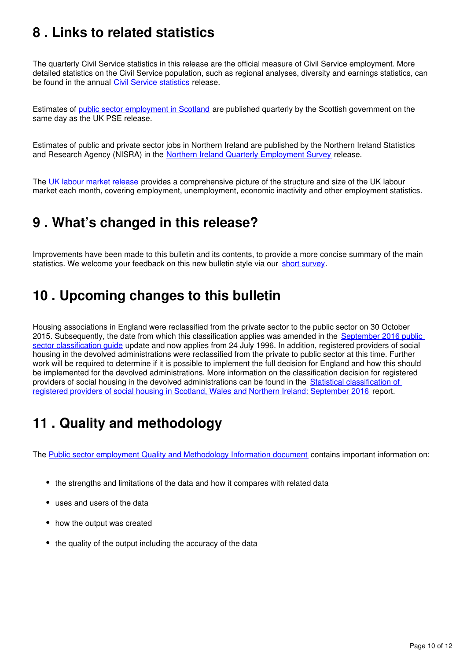# <span id="page-9-0"></span>**8 . Links to related statistics**

The quarterly Civil Service statistics in this release are the official measure of Civil Service employment. More detailed statistics on the Civil Service population, such as regional analyses, diversity and earnings statistics, can be found in the annual Civil Service statistics release.

Estimates of [public sector employment in Scotland](http://www.gov.scot/Topics/Statistics/Browse/Labour-Market/PublicSectorEmployment) are published quarterly by the Scottish government on the same day as the UK PSE release.

Estimates of public and private sector jobs in Northern Ireland are published by the Northern Ireland Statistics and Research Agency (NISRA) in the [Northern Ireland Quarterly Employment Survey](https://www.economy-ni.gov.uk/articles/quarterly-employment-survey) release.

The [UK labour market release](https://www.ons.gov.uk/employmentandlabourmarket/peopleinwork/employmentandemployeetypes/bulletins/uklabourmarket/previousReleases) provides a comprehensive picture of the structure and size of the UK labour market each month, covering employment, unemployment, economic inactivity and other employment statistics.

# <span id="page-9-1"></span>**9 . What's changed in this release?**

Improvements have been made to this bulletin and its contents, to provide a more concise summary of the main statistics[.](https://www.surveymonkey.co.uk/r/G28DW2J) We welcome your feedback on this new bulletin style via our short survey.

# <span id="page-9-2"></span>**10 . Upcoming changes to this bulletin**

Housing associations in England were reclassified from the private sector to the public sector on 30 October 2015. Subsequently, the date from which this classification applies was amended in the September 2016 public [sector classification guide](https://www.ons.gov.uk/file?uri=/economy/nationalaccounts/uksectoraccounts/datasets/publicsectorclassificationguide/september2016/publicsectorclassificationguidelatest.xls) update and now applies from 24 July 1996. In addition, registered providers of social housing in the devolved administrations were reclassified from the private to public sector at this time. Further work will be required to determine if it is possible to implement the full decision for England and how this should be implemented for the devolved administrations. More information on the classification decision for registered providers of social housing in the devolved administrations can be found in the [Statistical classification of](https://www.ons.gov.uk/economy/nationalaccounts/uksectoraccounts/articles/statisticalclassificationofregisteredprovidersofsocialhousinginscotlandwalesandnorthernireland/september2016)  [registered providers of social housing in Scotland, Wales and Northern Ireland: September 2016](https://www.ons.gov.uk/economy/nationalaccounts/uksectoraccounts/articles/statisticalclassificationofregisteredprovidersofsocialhousinginscotlandwalesandnorthernireland/september2016) report.

# <span id="page-9-3"></span>**11 . Quality and methodology**

The [Public sector employment Quality and Methodology Information document](https://www.ons.gov.uk/employmentandlabourmarket/peopleinwork/publicsectorpersonnel/qmis/publicsectoremploymentqmi) contains important information on:

- the strengths and limitations of the data and how it compares with related data
- uses and users of the data
- how the output was created
- the quality of the output including the accuracy of the data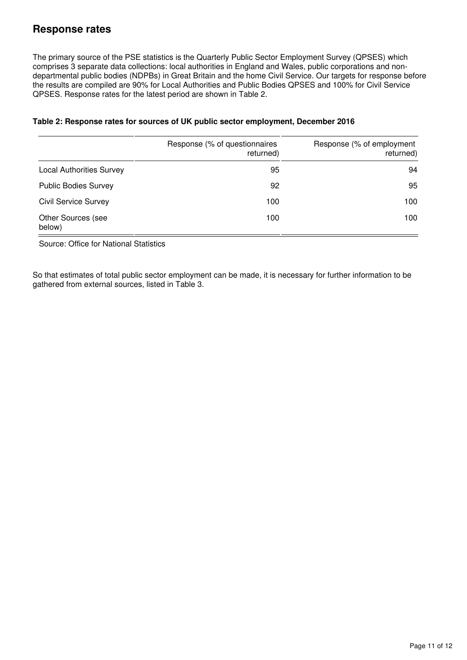## **Response rates**

<span id="page-10-0"></span>The primary source of the PSE statistics is the Quarterly Public Sector Employment Survey (QPSES) which comprises 3 separate data collections: local authorities in England and Wales, public corporations and nondepartmental public bodies (NDPBs) in Great Britain and the home Civil Service. Our targets for response before the results are compiled are 90% for Local Authorities and Public Bodies QPSES and 100% for Civil Service QPSES. Response rates for the latest period are shown in Table 2.

|                                     | Response (% of questionnaires<br>returned) | Response (% of employment<br>returned) |
|-------------------------------------|--------------------------------------------|----------------------------------------|
| <b>Local Authorities Survey</b>     | 95                                         | 94                                     |
| <b>Public Bodies Survey</b>         | 92                                         | 95                                     |
| <b>Civil Service Survey</b>         | 100                                        | 100                                    |
| <b>Other Sources (see</b><br>below) | 100                                        | 100                                    |

### **Table 2: Response rates for sources of UK public sector employment, December 2016**

Source: Office for National Statistics

So that estimates of total public sector employment can be made, it is necessary for further information to be gathered from external sources, listed in Table 3.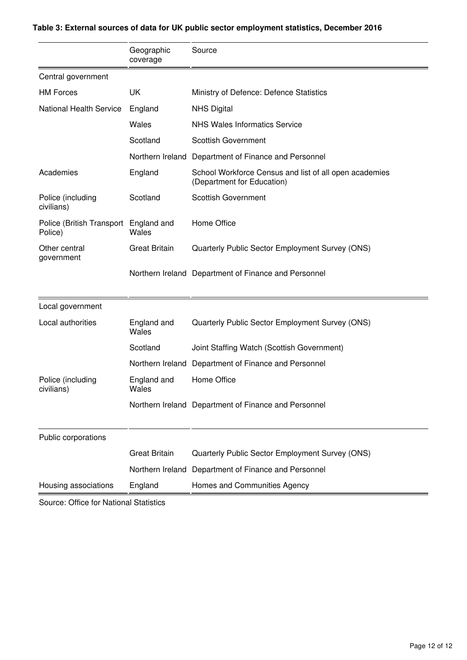<span id="page-11-0"></span>

|                                      | Geographic<br>coverage | Source                                                                               |
|--------------------------------------|------------------------|--------------------------------------------------------------------------------------|
| Central government                   |                        |                                                                                      |
| <b>HM Forces</b>                     | UK                     | Ministry of Defence: Defence Statistics                                              |
| <b>National Health Service</b>       | England                | <b>NHS Digital</b>                                                                   |
|                                      | Wales                  | <b>NHS Wales Informatics Service</b>                                                 |
|                                      | Scotland               | <b>Scottish Government</b>                                                           |
|                                      | Northern Ireland       | Department of Finance and Personnel                                                  |
| Academies                            | England                | School Workforce Census and list of all open academies<br>(Department for Education) |
| Police (including<br>civilians)      | Scotland               | <b>Scottish Government</b>                                                           |
| Police (British Transport<br>Police) | England and<br>Wales   | Home Office                                                                          |
| Other central<br>government          | <b>Great Britain</b>   | Quarterly Public Sector Employment Survey (ONS)                                      |
|                                      |                        | Northern Ireland Department of Finance and Personnel                                 |
| Local government                     |                        |                                                                                      |
| Local authorities                    | England and<br>Wales   | Quarterly Public Sector Employment Survey (ONS)                                      |
|                                      | Scotland               | Joint Staffing Watch (Scottish Government)                                           |
|                                      | Northern Ireland       | Department of Finance and Personnel                                                  |
| Police (including<br>civilians)      | England and<br>Wales   | Home Office                                                                          |
|                                      |                        | Northern Ireland Department of Finance and Personnel                                 |
| Public corporations                  |                        |                                                                                      |
|                                      | <b>Great Britain</b>   | Quarterly Public Sector Employment Survey (ONS)                                      |
|                                      | Northern Ireland       | Department of Finance and Personnel                                                  |
| Housing associations                 | England                | Homes and Communities Agency                                                         |

## **Table 3: External sources of data for UK public sector employment statistics, December 2016**

Source: Office for National Statistics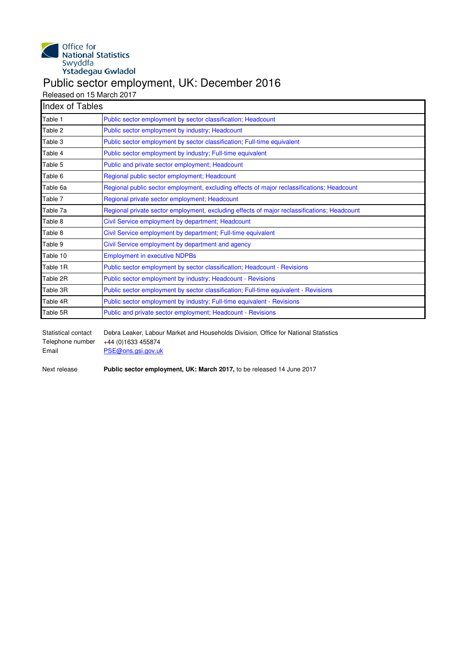<span id="page-12-0"></span>

## Public sector employment, UK: December 2016

Released on 15 March 2017

| <b>Index of Tables</b> |                                                                                             |
|------------------------|---------------------------------------------------------------------------------------------|
| Table 1                | Public sector employment by sector classification; Headcount                                |
| Table 2                | Public sector employment by industry; Headcount                                             |
| Table 3                | Public sector employment by sector classification; Full-time equivalent                     |
| Table 4                | Public sector employment by industry; Full-time equivalent                                  |
| Table 5                | Public and private sector employment; Headcount                                             |
| Table 6                | Regional public sector employment; Headcount                                                |
| Table 6a               | Regional public sector employment, excluding effects of major reclassifications; Headcount  |
| Table 7                | Regional private sector employment; Headcount                                               |
| Table 7a               | Regional private sector employment, excluding effects of major reclassifications; Headcount |
| Table 8                | Civil Service employment by department; Headcount                                           |
| Table 8                | Civil Service employment by department; Full-time equivalent                                |
| Table 9                | Civil Service employment by department and agency                                           |
| Table 10               | <b>Employment in executive NDPBs</b>                                                        |
| Table 1R               | Public sector employment by sector classification; Headcount - Revisions                    |
| Table 2R               | Public sector employment by industry; Headcount - Revisions                                 |
| Table 3R               | Public sector employment by sector classification; Full-time equivalent - Revisions         |
| Table 4R               | Public sector employment by industry; Full-time equivalent - Revisions                      |
| Table 5R               | Public and private sector employment; Headcount - Revisions                                 |

Statistical contact Debra Leaker, Labour Market and Households Division, Office for National Statistics<br>Telephone number +44 (0)1633 455874 +44 (0)1633 455874 Email [PSE@ons.gsi.gov.uk](mailto:PSE@ons.gsi.gov.uk)

Next release **Public sector employment, UK: March 2017,** to be released 14 June 2017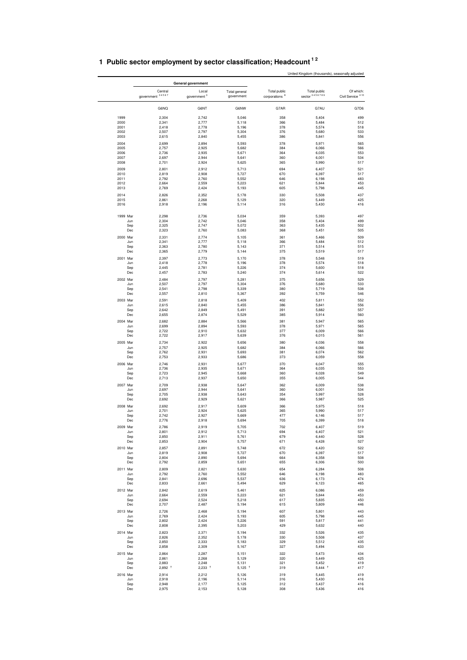|              |                              | General government               |                             |                                                  |                                |                                            |
|--------------|------------------------------|----------------------------------|-----------------------------|--------------------------------------------------|--------------------------------|--------------------------------------------|
|              | Central<br>government 34567  | Local<br>government <sup>3</sup> | Total general<br>government | <b>Total public</b><br>corporations <sup>8</sup> | Total public<br>sector 3456789 | Of which:<br>Civil Service <sup>4 10</sup> |
|              | G6NQ                         | G6NT                             | G6NW                        | G7AR                                             | G7AU                           | G7D6                                       |
| 1999         | 2,304                        | 2,742                            | 5,046                       | 358                                              | 5,404                          | 499                                        |
| 2000         | 2,341                        | 2,777                            | 5,118                       | 366                                              | 5,484                          | 512                                        |
| 2001         | 2,418                        | 2,778                            | 5,196                       | 378                                              | 5,574                          | 518                                        |
| 2002<br>2003 | 2,507<br>2,615               | 2,797<br>2,840                   | 5,304<br>5,455              | 376<br>386                                       | 5,680<br>5,841                 | 533<br>556                                 |
|              |                              |                                  |                             |                                                  |                                |                                            |
| 2004         | 2,699                        | 2,894                            | 5,593                       | 378                                              | 5,971                          | 565                                        |
| 2005<br>2006 | 2,757<br>2,736               | 2,925<br>2,935                   | 5,682<br>5,671              | 384<br>364                                       | 6,066<br>6,035                 | 566<br>553                                 |
| 2007         | 2,697                        | 2,944                            | 5,641                       | 360                                              | 6,001                          | 534                                        |
| 2008         | 2,701                        | 2,924                            | 5,625                       | 365                                              | 5,990                          | 517                                        |
| 2009         | 2,801                        | 2,912                            | 5,713                       | 694                                              | 6,407                          | 521                                        |
| 2010         | 2,819                        | 2,908                            | 5,727                       | 670                                              | 6,397                          | 517                                        |
| 2011         | 2,792                        | 2,760                            | 5,552                       | 646                                              | 6,198                          | 483                                        |
| 2012<br>2013 | 2,664<br>2,769               | 2,559<br>2,424                   | 5,223<br>5,193              | 621<br>605                                       | 5,844<br>5,798                 | 453<br>445                                 |
|              |                              |                                  |                             |                                                  |                                |                                            |
| 2014<br>2015 | 2,826<br>2,861               | 2,352<br>2,268                   | 5,178<br>5,129              | 330<br>320                                       | 5,508<br>5,449                 | 437<br>425                                 |
| 2016         | 2,918                        | 2,196                            | 5,114                       | 316                                              | 5,430                          | 416                                        |
| 1999 Mar     | 2,298                        | 2,736                            | 5,034                       | 359                                              | 5,393                          | 497                                        |
|              | 2,304<br>Jun                 | 2,742                            | 5,046                       | 358                                              | 5,404                          | 499                                        |
|              | Sep<br>2,325                 | 2,747                            | 5,072                       | 363                                              | 5,435                          | 502                                        |
|              | Dec<br>2,323                 | 2,760                            | 5,083                       | 368                                              | 5,451                          | 505                                        |
| 2000 Mar     | 2,331                        | 2,774                            | 5,105                       | 361                                              | 5,466                          | 509                                        |
|              | Jun<br>2,341<br>2,363        | 2,777                            | 5,118                       | 366                                              | 5,484<br>5,514                 | 512<br>515                                 |
|              | Sep<br>Dec<br>2,365          | 2,780<br>2,779                   | 5,143<br>5,144              | 371<br>375                                       | 5,519                          | 517                                        |
| 2001 Mar     | 2,397                        | 2,773                            | 5,170                       | 378                                              | 5,548                          | 519                                        |
|              | 2,418<br>Jun                 | 2,778                            | 5,196                       | 378                                              | 5,574                          | 518                                        |
|              | 2,445<br>Sep                 | 2,781                            | 5,226                       | 374                                              | 5,600                          | 518                                        |
|              | 2,457<br>Dec                 | 2,783                            | 5,240                       | 374                                              | 5,614                          | 522                                        |
| 2002 Mar     | 2,484                        | 2,797                            | 5,281                       | 375                                              | 5,656                          | 529                                        |
|              | 2,507<br>Jun                 | 2.797                            | 5,304                       | 376                                              | 5,680                          | 533                                        |
|              | 2,541<br>Sep                 | 2,798                            | 5,339                       | 380                                              | 5,719                          | 538                                        |
|              | 2,557<br>Dec                 | 2,810                            | 5,367                       | 392                                              | 5,759                          | 546                                        |
| 2003 Mar     | 2,591                        | 2,818                            | 5,409                       | 402                                              | 5,811                          | 552                                        |
|              | 2,615<br>Jun                 | 2,840                            | 5,455                       | 386                                              | 5,841                          | 556                                        |
|              | 2,642<br>Sep                 | 2,849                            | 5,491                       | 391                                              | 5,882                          | 557                                        |
|              | 2,655<br>Dec                 | 2,874                            | 5,529                       | 385                                              | 5,914                          | 560                                        |
| 2004 Mar     | 2,682                        | 2,884                            | 5,566                       | 381                                              | 5,947                          | 565                                        |
|              | 2,699<br>Jun<br>Sep<br>2,722 | 2,894<br>2,910                   | 5,593<br>5,632              | 378<br>377                                       | 5,971<br>6,009                 | 565<br>566                                 |
|              | Dec<br>2,722                 | 2,917                            | 5,639                       | 376                                              | 6,015                          | 561                                        |
| 2005 Mar     | 2,734                        | 2,922                            | 5,656                       | 380                                              | 6,036                          | 558                                        |
|              | 2,757<br>Jun                 | 2,925                            | 5,682                       | 384                                              | 6,066                          | 566                                        |
|              | 2,762<br>Sep                 | 2,931                            | 5,693                       | 381                                              | 6,074                          | 562                                        |
|              | 2,753<br>Dec                 | 2,933                            | 5,686                       | 373                                              | 6,059                          | 558                                        |
| 2006 Mar     | 2,746                        | 2,931                            | 5,677                       | 370                                              | 6,047                          | 555                                        |
|              | Jun<br>2,736                 | 2,935                            | 5,671                       | 364                                              | 6,035                          | 553                                        |
|              | 2,723<br>Sep                 | 2,945                            | 5,668                       | 360                                              | 6,028                          | 549                                        |
|              | Dec<br>2,713                 | 2,937                            | 5,650                       | 355                                              | 6,005                          | 544                                        |
| 2007 Mar     | 2,709                        | 2,938                            | 5,647                       | 362                                              | 6,009                          | 538                                        |
|              | 2,697<br>Jun<br>2,705<br>Sep | 2,944<br>2,938                   | 5,641<br>5,643              | 360<br>354                                       | 6,001<br>5,997                 | 534<br>528                                 |
|              | 2,692<br>Dec                 | 2,929                            | 5,621                       | 366                                              | 5,987                          | 525                                        |
| 2008 Mar     | 2,692                        | 2,917                            | 5,609                       | 366                                              | 5,975                          | 518                                        |
|              | 2,701<br>Jun                 | 2,924                            | 5,625                       | 365                                              | 5,990                          | 517                                        |
|              | Sep<br>2,742                 | 2,927                            | 5,669                       | 477                                              | 6,146                          | 517                                        |
|              | Dec<br>2,776                 | 2,918                            | 5,694                       | 705                                              | 6,399                          | 518                                        |
| 2009 Mar     | 2,786                        | 2,919                            | 5,705                       | 702                                              | 6,407                          | 519                                        |
|              | 2,801<br>Jun                 | 2,912                            | 5,713                       | 694                                              | 6,407                          | 521                                        |
|              | Sep<br>2,850                 | 2,911                            | 5,761                       | 679                                              | 6,440                          | 528<br>527                                 |
|              | Dec<br>2,853                 | 2,904                            | 5,757                       | 671                                              | 6,428                          |                                            |
| 2010 Mar     | 2,857                        | 2,891                            | 5,748                       | 672                                              | 6,420                          | 522                                        |
|              | 2,819<br>Jun<br>Sep<br>2,804 | 2,908<br>2,890                   | 5,727<br>5,694              | 670<br>664                                       | 6,397<br>6,358                 | 517<br>508                                 |
|              | Dec<br>2,792                 | 2,859                            | 5,651                       | 655                                              | 6,306                          | 500                                        |
| 2011 Mar     | 2,809                        | 2,821                            | 5,630                       | 654                                              | 6,284                          | 508                                        |
|              | 2,792<br>Jun                 | 2,760                            | 5,552                       | 646                                              | 6,198                          | 483                                        |
|              | Sep<br>2,841                 | 2,696                            | 5,537                       | 636                                              | 6,173                          | 474                                        |
|              | Dec<br>2,833                 | 2,661                            | 5,494                       | 629                                              | 6,123                          | 465                                        |
| 2012 Mar     | 2,842                        | 2,619                            | 5,461                       | 625                                              | 6,086                          | 459                                        |
|              | 2,664<br>Jun                 | 2,559                            | 5,223                       | 621                                              | 5,844                          | 453                                        |
|              | Sep<br>2,694                 | 2,524                            | 5,218                       | 617                                              | 5,835                          | 450                                        |
|              | Dec<br>2,707                 | 2,487                            | 5,194                       | 615                                              | 5,809                          | 446                                        |
| 2013 Mar     | 2,726                        | 2,468                            | 5,194                       | 607                                              | 5,801                          | 443                                        |
|              | 2,769<br>Jun                 | 2,424                            | 5,193                       | 605                                              | 5,798                          | 445                                        |
|              | 2,802<br>Sep<br>Dec<br>2,808 | 2,424<br>2,395                   | 5,226<br>5,203              | 591<br>429                                       | 5,817<br>5,632                 | 441<br>440                                 |
|              |                              |                                  |                             |                                                  |                                |                                            |
| 2014 Mar     | 2,823                        | 2,371                            | 5,194                       | 332                                              | 5,526                          | 435                                        |
|              | Jun<br>2,826<br>Sep<br>2,850 | 2,352<br>2,333                   | 5,178<br>5,183              | 330<br>329                                       | 5,508<br>5,512                 | 437<br>435                                 |
|              | Dec<br>2,858                 | 2,309                            | 5,167                       | 327                                              | 5,494                          | 433                                        |
| 2015 Mar     | 2,864                        | 2,287                            | 5,151                       | 322                                              | 5,473                          | 434                                        |
|              | 2,861<br>Jun                 | 2,268                            | 5,129                       | 320                                              | 5,449                          | 425                                        |
|              | 2,883<br>Sep                 | 2,248                            | 5,131                       | 321                                              | 5,452                          | 419                                        |
|              | $2,892$ <sup>†</sup><br>Dec  | $2,233$ <sup>†</sup>             | $5,125$ <sup>+</sup>        | 319                                              | $5,444$ <sup>+</sup>           | 417                                        |
| 2016 Mar     | 2,914                        | 2,212                            | 5,126                       | 319                                              | 5,445                          | 419                                        |
|              | Jun<br>2,918                 | 2,196                            | 5,114                       | 316                                              | 5,430                          | 416                                        |
|              | 2,948<br>Sep                 | 2,177                            | 5,125                       | 312                                              | 5,437                          | 416                                        |
|              | 2,975<br>Dec                 | 2,153                            | 5,128                       | 308                                              | 5,436                          | 416                                        |

## <span id="page-13-0"></span>**1 Public sector employment by sector classification; Headcount 1 2**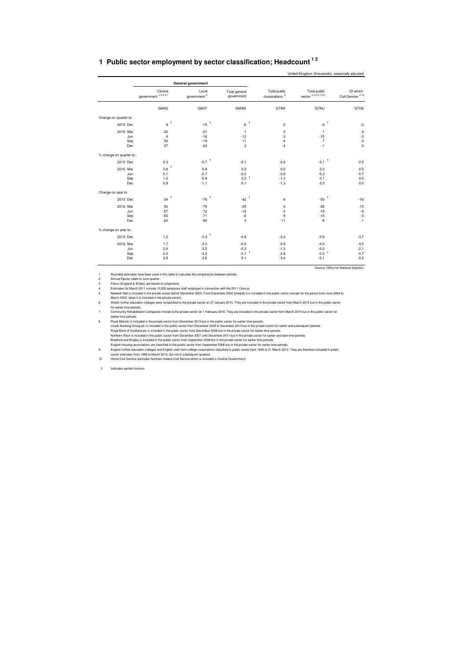<span id="page-14-0"></span>

| 1 Public sector employment by sector classification; Headcount <sup>12</sup> |
|------------------------------------------------------------------------------|
|                                                                              |

|                         |                             |                                  |                             |                                           | United Kingdom (thousands), seasonally adjusted |                                            |
|-------------------------|-----------------------------|----------------------------------|-----------------------------|-------------------------------------------|-------------------------------------------------|--------------------------------------------|
|                         |                             | General government               |                             |                                           |                                                 |                                            |
|                         | Central<br>government 34567 | Local<br>government <sup>3</sup> | Total general<br>government | Total public<br>corporations <sup>8</sup> | Total public<br>sector 3456789                  | Of which:<br>Civil Service <sup>4 10</sup> |
|                         | G6NQ                        | G6NT                             | G6NW                        | G7AR                                      | G7AU                                            | G7D6                                       |
| Change on quarter to:   |                             |                                  |                             |                                           |                                                 |                                            |
| 2015 Dec                | 9 <sup>†</sup>              | -15 $^\dagger$                   | $\ddagger$<br>$-6$          | $-2$                                      | $\ddot{\phantom{1}}$<br>-8                      | $-2$                                       |
| 2016 Mar                | 22                          | $-21$                            | $\mathbf{1}$                | $\mathbf 0$                               | $\mathbf{1}$                                    | $\mathbf 2$                                |
| Jun                     | $\overline{4}$              | $-16$                            | $-12$                       | $-3$                                      | $-15$                                           | $-3$                                       |
| Sep                     | 30                          | $-19$                            | 11                          | $-4$                                      | $\overline{7}$                                  | $\pmb{0}$                                  |
| Dec                     | 27                          | $-24$                            | 3                           | $-4$                                      | $-1$                                            | $\mathbf 0$                                |
| % change on quarter to: |                             |                                  |                             |                                           |                                                 |                                            |
| 2015 Dec                | 0.3                         | $-0.7$ <sup>+</sup>              | $-0.1$                      | $-0.6$                                    | $-0.1$ <sup>+</sup>                             | $-0.5$                                     |
| 2016 Mar                | t<br>0.8                    | $-0.9$                           | 0.0                         | 0.0                                       | 0.0                                             | 0.5                                        |
| Jun                     | 0.1                         | $-0.7$                           | $-0.2$                      | $-0.9$                                    | $-0.3$                                          | $-0.7$                                     |
| Sep                     | 1.0                         | $-0.9$                           | 0.2 <sup>†</sup>            | $-1.3$                                    | 0.1                                             | 0.0                                        |
| Dec                     | 0.9                         | $-1.1$                           | 0.1                         | $-1.3$                                    | 0.0                                             | 0.0                                        |
| Change on year to:      |                             |                                  |                             |                                           |                                                 |                                            |
| 2015 Dec                | $34$ $^{\dagger}$           | $-76$ $^{\dagger}$               | -42 $^\dagger$              | $-8$                                      | Ť<br>$-50$                                      | $-16$                                      |
| 2016 Mar                | 50                          | $-75$                            | $-25$                       | $-3$                                      | $-28$                                           | $-15$                                      |
| Jun                     | 57                          | $-72$                            | $-15$                       | $-4$                                      | $-19$                                           | -9                                         |
| Sep                     | 65                          | $-71$                            | $-6$                        | -9                                        | $-15$                                           | $-3$                                       |
| Dec                     | 83                          | $-80$                            | 3                           | $-11$                                     | $-8$                                            | $-1$                                       |
| % change on year to:    |                             |                                  |                             |                                           |                                                 |                                            |
| 2015 Dec                | 1.2                         | $-3.3$ <sup>+</sup>              | $-0.8$                      | $-2.4$                                    | $-0.9$                                          | $-3.7$                                     |
| 2016 Mar                | 1.7                         | $-3.3$                           | $-0.5$                      | $-0.9$                                    | $-0.5$                                          | $-3.5$                                     |
| Jun                     | 2.0                         | $-3.2$                           | $-0.3$                      | $-1.3$                                    | $-0.3$                                          | $-2.1$                                     |
| Sep                     | 2.3                         | $-3.2$                           | $-0.1$ <sup>+</sup>         | $-2.8$                                    | $-0.3$ <sup>+</sup>                             | $-0.7$                                     |
| Dec                     | 2.9                         | $-3.6$                           | 0.1                         | $-3.4$                                    | $-0.1$                                          | $-0.2$                                     |
|                         |                             |                                  |                             |                                           |                                                 | Source: Office for National Statistics     |

1<br>2 Annual figures rate boen used in this table to calculate the comparisons between periods.<br>2 Annual figures relate to June quarter.<br>19 Police (England & Wates) are based on projections.<br>4 Estimates for March 2011 includ

for earlier time periods.<br>To earlier time periods.<br>To earlier time periods.<br>Community Rehabilitation Companies moved to the private sector on 1 February 2015. They are included in the private sector from March 2015 but in

† Indicates earliest revision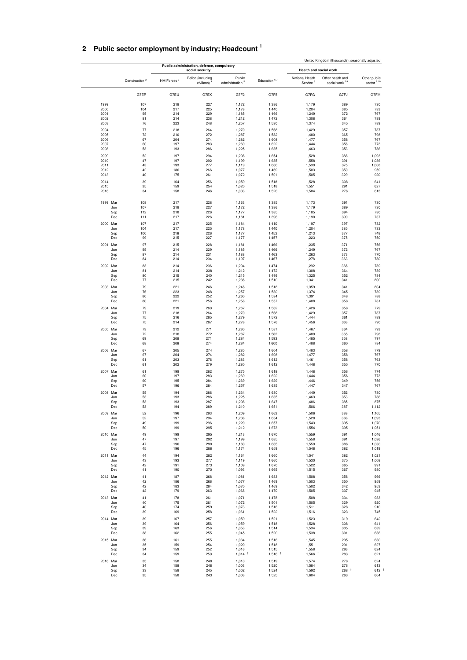## <span id="page-15-0"></span>**2 Public sector employment by industry; Headcount <sup>1</sup>**

|              |                           |                        |                                                               |                               |                               |                                         | United Kingdom (thousands), seasonally adjusted |                                        |
|--------------|---------------------------|------------------------|---------------------------------------------------------------|-------------------------------|-------------------------------|-----------------------------------------|-------------------------------------------------|----------------------------------------|
|              |                           |                        | Public administration, defence, compulsory<br>social security |                               |                               | Health and social work                  |                                                 |                                        |
|              | Construction <sup>2</sup> | HM Forces <sup>3</sup> | Police (including<br>civilians)                               | Public<br>administration $5$  | Education 67                  | National Health<br>Service <sup>8</sup> | Other health and<br>social work <sup>29</sup>   | Other public<br>sector <sup>2 10</sup> |
|              | G7ER                      | G7EU                   | G7EX                                                          | G7F2                          | G7F5                          | G7FG                                    | G7FJ                                            | G7FM                                   |
| 1999         | 107                       | 218                    | 227                                                           | 1,172                         | 1,386                         | 1,179                                   | 389                                             | 730                                    |
| 2000         | 104                       | 217                    | 225                                                           | 1,178                         | 1,440                         | 1,204                                   | 385                                             | 733                                    |
| 2001<br>2002 | 95<br>81                  | 214<br>214             | 229<br>238                                                    | 1,185<br>1,212                | 1,466<br>1,472                | 1,249<br>1,308                          | 372<br>364                                      | 767<br>789                             |
| 2003         | 76                        | 223                    | 248                                                           | 1,257                         | 1,530                         | 1,374                                   | 345                                             | 789                                    |
| 2004         | 77                        | 218                    | 264                                                           | 1,270                         | 1,568                         | 1,429                                   | 357                                             | 787                                    |
| 2005         | 72                        | 210                    | 272                                                           | 1,287                         | 1,582                         | 1,480                                   | 365                                             | 798                                    |
| 2006<br>2007 | 67<br>60                  | 204<br>197             | 274<br>283                                                    | 1,282<br>1,269                | 1,608<br>1,622                | 1,477<br>1,444                          | 358<br>356                                      | 767<br>773                             |
| 2008         | 53                        | 193                    | 286                                                           | 1,225                         | 1,635                         | 1,463                                   | 353                                             | 786                                    |
| 2009         | 52                        | 197                    | 294                                                           | 1,208                         | 1,654                         | 1,528                                   | 388                                             | 1,093                                  |
| 2010         | 47                        | 197                    | 292                                                           | 1,199                         | 1,685                         | 1,558                                   | 391                                             | 1,036                                  |
| 2011         | 43<br>42                  | 193                    | 277                                                           | 1,119                         | 1,660                         | 1,530                                   | 375<br>350                                      | 1,008                                  |
| 2012<br>2013 | 40                        | 186<br>175             | 266<br>261                                                    | 1,077<br>1,072                | 1,469<br>1,501                | 1,503<br>1,505                          | 329                                             | 959<br>920                             |
| 2014         | 39                        | 164                    | 256                                                           | 1,059                         | 1,518                         | 1,528                                   | 308                                             | 641                                    |
| 2015         | 35                        | 159                    | 254                                                           | 1,020                         | 1,518                         | 1,551                                   | 291                                             | 627                                    |
| 2016         | 34                        | 158                    | 246                                                           | 1,003                         | 1,520                         | 1,584                                   | 276                                             | 613                                    |
| 1999 Mar     | 108<br>107<br>Jun         | 217<br>218             | 228<br>227                                                    | 1,163<br>1,172                | 1,385<br>1,386                | 1,173<br>1,179                          | 391<br>389                                      | 730<br>730                             |
|              | Sep<br>112                | 218                    | 226                                                           | 1,177                         | 1,385                         | 1,185                                   | 394                                             | 730                                    |
|              | Dec<br>111                | 217                    | 226                                                           | 1,181                         | 1,396                         | 1,190                                   | 399                                             | 737                                    |
| 2000 Mar     | 107                       | 217                    | 225                                                           | 1,184                         | 1,410                         | 1,197                                   | 397                                             | 732                                    |
|              | Jun<br>104<br>100         | 217                    | 225<br>226                                                    | 1,178                         | 1,440<br>1,452                | 1,204                                   | 385<br>377                                      | 733<br>748                             |
|              | Sep<br>Dec<br>99          | 216<br>215             | 227                                                           | 1,177<br>1,177                | 1,457                         | 1,213<br>1,223                          | 375                                             | 750                                    |
| 2001 Mar     | 97                        | 215                    | 228                                                           | 1,181                         | 1,466                         | 1,235                                   | 371                                             | 756                                    |
|              | 95<br>Jun                 | 214                    | 229                                                           | 1,185                         | 1,466                         | 1,249                                   | 372                                             | 767                                    |
|              | 87<br>Sep                 | 214                    | 231                                                           | 1,188                         | 1,463                         | 1,263                                   | 373                                             | 770                                    |
|              | Dec<br>84                 | 214                    | 234                                                           | 1,197                         | 1,467                         | 1,278                                   | 363                                             | 780                                    |
| 2002 Mar     | 83<br>Jun<br>81           | 214<br>214             | 236<br>238                                                    | 1,204<br>1,212                | 1,474<br>1,472                | 1,292<br>1,308                          | 366<br>364                                      | 789<br>789                             |
|              | 80<br>Sep                 | 215                    | 240                                                           | 1,215                         | 1,499                         | 1,325                                   | 352                                             | 784                                    |
|              | Dec<br>77                 | 215                    | 242                                                           | 1,236                         | 1,510                         | 1,341                                   | 341                                             | 800                                    |
| 2003 Mar     | 79                        | 221                    | 246                                                           | 1,246                         | 1,518                         | 1,359                                   | 341                                             | 804                                    |
|              | Jun<br>76<br>Sep<br>80    | 223<br>222             | 248<br>252                                                    | 1,257<br>1,260                | 1,530<br>1,534                | 1,374<br>1,391                          | 345<br>348                                      | 789<br>788                             |
|              | Dec<br>80                 | 221                    | 256                                                           | 1,258                         | 1,557                         | 1,408                                   | 358                                             | 781                                    |
| 2004 Mar     | 79                        | 219                    | 260                                                           | 1,267                         | 1,562                         | 1,426                                   | 358                                             | 779                                    |
|              | Jun<br>77                 | 218                    | 264                                                           | 1,270                         | 1,568                         | 1,429                                   | 357                                             | 787                                    |
|              | 75<br>Sep<br>Dec<br>75    | 216<br>214             | 265<br>267                                                    | 1,279<br>1,278                | 1,572<br>1,576                | 1,444<br>1,456                          | 361<br>363                                      | 789<br>790                             |
| 2005 Mar     | 73                        | 212                    | 271                                                           | 1,280                         | 1,581                         | 1,467                                   | 364                                             | 793                                    |
|              | Jun<br>72                 | 210                    | 272                                                           | 1,287                         | 1,582                         | 1,480                                   | 365                                             | 798                                    |
|              | Sep<br>69                 | 208                    | 271                                                           | 1,284                         | 1,593                         | 1,485                                   | 358                                             | 797                                    |
|              | Dec<br>68                 | 206                    | 274                                                           | 1,284                         | 1,600                         | 1,488                                   | 360                                             | 784                                    |
| 2006 Mar     | 67<br>67<br>Jun           | 205<br>204             | 274<br>274                                                    | 1,285<br>1,282                | 1,604<br>1,608                | 1,483<br>1,477                          | 358<br>358                                      | 779<br>767                             |
|              | 61<br>Sep                 | 203                    | 276                                                           | 1,283                         | 1,612                         | 1,461                                   | 358                                             | 763                                    |
|              | Dec<br>61                 | 202                    | 279                                                           | 1,280                         | 1,612                         | 1,448                                   | 355                                             | 770                                    |
| 2007 Mar     | 61                        | 199                    | 282                                                           | 1,275                         | 1,618                         | 1,448                                   | 356                                             | 774                                    |
|              | 60<br>Jun<br>60<br>Sep    | 197<br>195             | 283<br>284                                                    | 1,269<br>1,269                | 1,622<br>1,629                | 1,444<br>1,446                          | 356<br>349                                      | 773<br>756                             |
|              | 57<br>Dec                 | 196                    | 284                                                           | 1,257                         | 1,635                         | 1,447                                   | 347                                             | 767                                    |
| 2008 Mar     | 55                        | 194                    | 286                                                           | 1,234                         | 1,630                         | 1,449                                   | 352                                             | 780                                    |
|              | 53<br>Jun                 | 193                    | 286                                                           | 1,225                         | 1,635                         | 1,463                                   | 353                                             | 786                                    |
|              | 53<br>Sep<br>Dec<br>53    | 193<br>194             | 287<br>289                                                    | 1,208<br>1,210                | 1,647<br>1,651                | 1,486<br>1,506                          | 385<br>387                                      | 875<br>1,112                           |
| 2009 Mar     | 52                        | 196                    | 293                                                           | 1,209                         | 1,662                         | 1,506                                   | 388                                             | 1,105                                  |
|              | 52<br>Jun                 | 197                    | 294                                                           | 1,208                         | 1,654                         | 1,528                                   | 388                                             | 1,093                                  |
|              | 49<br>Sep                 | 199                    | 296                                                           | 1,220                         | 1,657                         | 1,543                                   | 395                                             | 1,070                                  |
|              | 50<br>Dec                 | 199                    | 295                                                           | 1,212                         | 1,673                         | 1,554                                   | 395                                             | 1,051                                  |
| 2010 Mar     | 49<br>47<br>Jun           | 199<br>197             | 295<br>292                                                    | 1,213<br>1,199                | 1,670<br>1,685                | 1,559<br>1,558                          | 391<br>391                                      | 1,046<br>1,036                         |
|              | 47<br>Sep                 | 196                    | 290                                                           | 1,180                         | 1,665                         | 1,550                                   | 386                                             | 1,030                                  |
|              | 45<br>Dec                 | 196                    | 286                                                           | 1,174                         | 1,659                         | 1,546                                   | 382                                             | 1,019                                  |
| 2011 Mar     | 44                        | 194                    | 282                                                           | 1,164                         | 1,660                         | 1,541                                   | 382                                             | 1,021                                  |
|              | 43<br>Jun<br>42           | 193                    | 277<br>273                                                    | 1,119<br>1,109                | 1,660<br>1,670                | 1,530                                   | 375<br>365                                      | 1,008                                  |
|              | Sep<br>41<br>Dec          | 191<br>190             | 270                                                           | 1,093                         | 1,665                         | 1,522<br>1,515                          | 367                                             | 991<br>980                             |
| 2012 Mar     | 41                        | 187                    | 268                                                           | 1,081                         | 1,683                         | 1,508                                   | 356                                             | 966                                    |
|              | 42<br>Jun                 | 186                    | 266                                                           | 1,077                         | 1,469                         | 1,503                                   | 350                                             | 959                                    |
|              | 42<br>Sep<br>42<br>Dec    | 183<br>179             | 264<br>263                                                    | 1,070                         | 1,469                         | 1,502                                   | 342<br>337                                      | 953<br>945                             |
|              |                           |                        |                                                               | 1,068                         | 1,470                         | 1,505                                   |                                                 |                                        |
| 2013 Mar     | 41<br>40<br>Jun           | 178<br>175             | 261<br>261                                                    | 1,071<br>1,072                | 1,478<br>1,501                | 1,508<br>1,505                          | 334<br>329                                      | 933<br>920                             |
|              | 40<br>Sep                 | 174                    | 259                                                           | 1,073                         | 1,516                         | 1,511                                   | 328                                             | 910                                    |
|              | 39<br>Dec                 | 169                    | 258                                                           | 1,061                         | 1,522                         | 1,516                                   | 323                                             | 745                                    |
| 2014 Mar     | 39                        | 167                    | 257                                                           | 1,059                         | 1,521                         | 1,523                                   | 319                                             | 642                                    |
|              | 39<br>Jun<br>39<br>Sep    | 164<br>163             | 256<br>256                                                    | 1,059<br>1,053                | 1,518<br>1,514                | 1,528<br>1,534                          | 308<br>305                                      | 641<br>639                             |
|              | Dec<br>38                 | 162                    | 255                                                           | 1,045                         | 1,520                         | 1,538                                   | 301                                             | 636                                    |
| 2015 Mar     | 36                        | 161                    | 255                                                           | 1,034                         | 1,516                         | 1,545                                   | 295                                             | 630                                    |
|              | Jun<br>35                 | 159                    | 254                                                           | 1,020                         | 1,518                         | 1,551                                   | 291                                             | 627                                    |
|              | Sep<br>34<br>Dec<br>34    | 159<br>159             | 252<br>250                                                    | 1,016<br>$1,014$ <sup>+</sup> | 1,515<br>$1,516$ <sup>+</sup> | 1,558<br>$1,566$ <sup>†</sup>           | 286<br>283                                      | 624<br>621                             |
| 2016 Mar     | 35                        | 158                    | 248                                                           | 1,010                         | 1,519                         | 1,574                                   | 278                                             | 624                                    |
|              | Jun<br>34                 | 158                    | 246                                                           | 1,003                         | 1,520                         | 1,584                                   | 276                                             | 613                                    |
|              | Sep<br>33                 | 158                    | 245                                                           | 1,002                         | 1,524                         | 1,592                                   | $268$ $†$                                       | $612$ $†$                              |
|              | 35<br>Dec                 | 158                    | 243                                                           | 1,003                         | 1,525                         | 1,604                                   | 263                                             | 604                                    |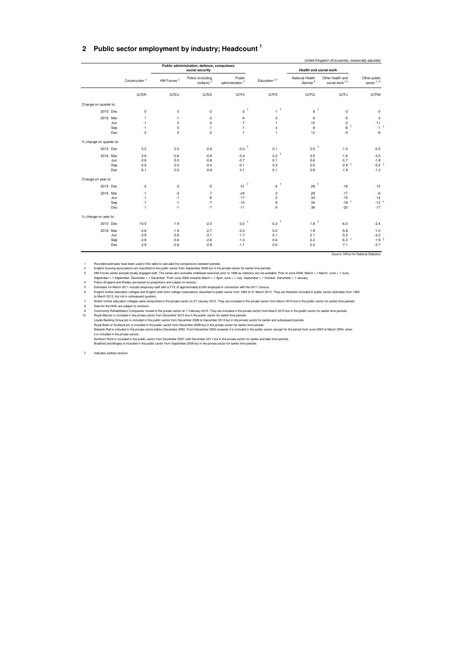#### <span id="page-16-0"></span>**2 Public sector employment by industry; Headcount <sup>1</sup>**

|                              |                                               | Health and social work                  |                     |                               | Public administration, defence, compulsory<br>social security |                        |                           |     |                         |
|------------------------------|-----------------------------------------------|-----------------------------------------|---------------------|-------------------------------|---------------------------------------------------------------|------------------------|---------------------------|-----|-------------------------|
| Other public<br>sector $210$ | Other health and<br>social work <sup>29</sup> | National Health<br>Service <sup>8</sup> | Education 67        | Public<br>administration $5$  | Police (including<br>civilians) <sup>4</sup>                  | HM Forces <sup>3</sup> | Construction <sup>2</sup> |     |                         |
| G7FM                         | G7FJ                                          | G7FG                                    | G7F5                | G7F2                          | G7EX                                                          | G7EU                   | G7ER                      |     |                         |
|                              |                                               |                                         |                     |                               |                                                               |                        |                           |     | Change on quarter to:   |
| $-3$                         | $-3$                                          | 8 <sup>†</sup>                          | $\tau^+$            | $-2$ <sup>+</sup>             | $-2$                                                          | $\mathbf 0$            | 0                         |     | 2015 Dec                |
| 3                            | $-5$                                          | 8                                       | 3                   | $-4$                          | $-2$                                                          | -1                     | 1                         |     | 2016 Mar                |
| $-11$                        | $-2$                                          | 10                                      | $\mathbf{1}$        | $-7$                          | $-2$                                                          | $\Omega$               | $-1$                      | Jun |                         |
| $-1^{-1}$                    | $-8$ +                                        | 8                                       | $\overline{4}$      | $-1$                          | $-1$                                                          | $\mathbf 0$            | $-1$                      | Sep |                         |
| $-8$                         | $-5$                                          | 12                                      | $\mathbf{1}$        | $\mathbf{1}$                  | $-2$                                                          | $\mathbf 0$            | $\overline{2}$            | Dec |                         |
|                              |                                               |                                         |                     |                               |                                                               |                        |                           |     | % change on quarter to: |
| $-0.5$                       | $-1.0$                                        | 0.5                                     | 0.1                 | $-0.2$                        | $-0.8$                                                        | 0.0                    | 0.0                       |     | 2015 Dec                |
| 0.5                          | $-1.8$                                        | 0.5                                     | 0.2                 | $-0.4$                        | $-0.8$                                                        | $-0.6$                 | 2.9                       |     | 2016 Mar                |
| $-1.8$                       | $-0.7$                                        | 0.6                                     | 0.1                 | $-0.7$                        | $-0.8$                                                        | 0.0                    | $-2.9$                    | Jun |                         |
| $-0.2$ <sup>†</sup>          | $-2.9$ <sup>+</sup>                           | 0.5                                     | 0.3                 | $-0.1$                        | $-0.4$                                                        | 0.0                    | $-2.9$                    | Sep |                         |
| $-1.3$                       | $-1.9$                                        | 0.8                                     | 0.1                 | 0.1                           | $-0.8$                                                        | 0.0                    | 6.1                       | Dec |                         |
|                              |                                               |                                         |                     |                               |                                                               |                        |                           |     | Change on year to:      |
| $-15$                        | $-18$                                         | 28                                      | -4 $^\dagger$       | $\ddot{\phantom{1}}$<br>$-31$ | $-5$                                                          | $-3$                   | $-4$                      |     | 2015 Dec                |
| $-6$                         | $-17$                                         | 29                                      | 3                   | $-24$                         | $-7$                                                          | $-3$                   | $-1$                      |     | 2016 Mar                |
| $-14$                        | $-15$                                         | 33                                      | $\overline{c}$      | $-17$                         | $-8$                                                          | $-1$                   | $-1$                      | Jun |                         |
| $-12$ <sup>+</sup>           | $-18$ <sup>+</sup>                            | 34                                      | 9                   | $-14$                         | $-7$                                                          | $-1$                   | $-1$                      | Sep |                         |
| $-17$                        | $-20$                                         | 38                                      | 9                   | $-11$                         | $-7$                                                          | $-1$                   | $\mathbf{1}$              | Dec |                         |
|                              |                                               |                                         |                     |                               |                                                               |                        |                           |     | % change on year to:    |
| $-2.4$                       | $-6.0$                                        | 1.8                                     | $-0.3$ <sup>+</sup> | $-3.0$                        | $-2.0$                                                        | $-1.9$                 | $-10.5$                   |     | 2015 Dec                |
| $-1.0$                       | $-5.8$                                        | 1.9                                     | 0.2                 | $-2.3$                        | $-2.7$                                                        | $-1.9$                 | $-2.8$                    |     | 2016 Mar                |
| $-2.2$                       | $-5.2$                                        | 2.1                                     | 0.1                 | $-1.7$                        | $-3.1$                                                        | $-0.6$                 | $-2.9$                    | Jun |                         |
| $-1.9$ <sup>t</sup>          | $-6.3$ <sup>+</sup>                           | 2.2                                     | 0.6                 | $-1.4$                        | $-2.8$                                                        | $-0.6$                 | $-2.9$                    | Sep |                         |
| $-2.7$                       | $-7.1$                                        | 2.4                                     | 0.6                 | $-1.1$                        | $-2.8$                                                        | $-0.6$                 | 2.9                       | Dec |                         |

1 Rounded estimates have been used in this labile to calculate the comparisons between periods.<br>
2 English housing associations are classified to the public sector from September 2008 but in the private sector for earlier

† Indicates earliest revision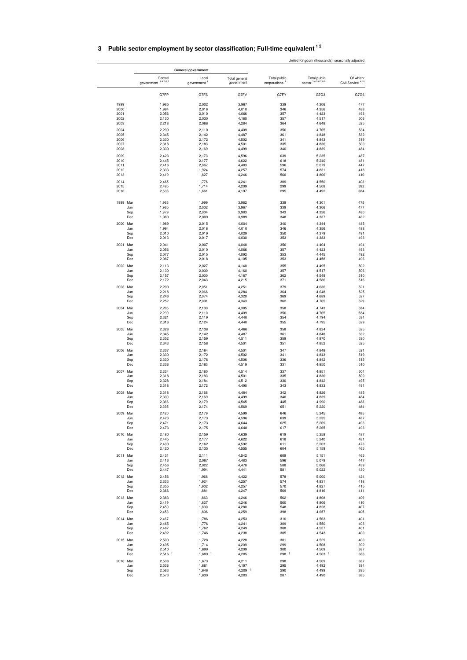|              |                              |                         |                      |                               |                                           | United Kingdom (thousands), seasonally adjusted |                                           |
|--------------|------------------------------|-------------------------|----------------------|-------------------------------|-------------------------------------------|-------------------------------------------------|-------------------------------------------|
|              |                              | General government      |                      |                               |                                           |                                                 |                                           |
|              | Central<br>government 34567  | government <sup>3</sup> | Local                | Total general<br>government   | Total public<br>corporations <sup>8</sup> | Total public<br>sector 3456789                  | Of which:<br>Civil Service <sup>410</sup> |
|              | G7FP                         |                         | G7FS                 | G7FV                          | G7FY                                      | G7G3                                            | G7G6                                      |
| 1999         | 1,965                        |                         | 2,002                | 3,967                         | 339                                       | 4,306                                           | 477                                       |
| 2000         | 1,994                        |                         | 2,016                | 4,010                         | 346                                       | 4,356                                           | 488                                       |
| 2001<br>2002 | 2,056<br>2,130               |                         | 2,010<br>2,030       | 4,066<br>4,160                | 357<br>357                                | 4,423<br>4,517                                  | 493<br>506                                |
| 2003         | 2,218                        |                         | 2,066                | 4,284                         | 364                                       | 4,648                                           | 525                                       |
| 2004         | 2,299                        |                         | 2,110                | 4,409                         | 356                                       | 4,765                                           | 534                                       |
| 2005<br>2006 | 2,345<br>2,330               |                         | 2,142<br>2,172       | 4,487<br>4,502                | 361<br>341                                | 4,848<br>4,843                                  | 532<br>519                                |
| 2007         | 2,318                        |                         | 2,183                | 4,501                         | 335                                       | 4,836                                           | 500                                       |
| 2008         | 2,330                        |                         | 2,169                | 4,499                         | 340                                       | 4,839                                           | 484                                       |
| 2009         | 2,423                        |                         | 2,173                | 4,596                         | 639                                       | 5,235                                           | 487                                       |
| 2010<br>2011 | 2,445<br>2,416               |                         | 2,177<br>2,067       | 4,622<br>4,483                | 618<br>596                                | 5,240<br>5,079                                  | 481<br>447                                |
| 2012         | 2,333                        |                         | 1,924                | 4,257                         | 574                                       | 4,831                                           | 418                                       |
| 2013         | 2,419                        |                         | 1,827                | 4,246                         | 560                                       | 4,806                                           | 410                                       |
| 2014<br>2015 | 2,465<br>2,495               |                         | 1,776<br>1,714       | 4,241<br>4,209                | 309<br>299                                | 4,550<br>4,508                                  | 403<br>392                                |
| 2016         | 2,536                        |                         | 1,661                | 4,197                         | 295                                       | 4,492                                           | 384                                       |
| 1999 Mar     | 1,963                        |                         | 1,999                | 3,962                         | 339                                       | 4,301                                           | 475                                       |
|              | Jun<br>1,965<br>Sep<br>1,979 |                         | 2,002<br>2,004       | 3,967<br>3,983                | 339<br>343                                | 4,306<br>4,326                                  | 477<br>480                                |
|              | Dec<br>1,980                 |                         | 2,009                | 3,989                         | 348                                       | 4,337                                           | 482                                       |
| 2000 Mar     | 1,989                        |                         | 2,015                | 4,004                         | 340                                       | 4,344                                           | 485                                       |
|              | 1,994<br>Jun                 |                         | 2,016                | 4,010                         | 346                                       | 4,356                                           | 488                                       |
|              | 2,010<br>Sep<br>Dec<br>2,013 |                         | 2,019<br>2,017       | 4,029<br>4,030                | 350<br>353                                | 4,379<br>4,383                                  | 491<br>493                                |
| 2001 Mar     | 2,041                        |                         | 2,007                | 4,048                         | 356                                       | 4,404                                           | 494                                       |
|              | 2,056<br>Jun                 |                         | 2,010                | 4,066                         | 357                                       | 4,423                                           | 493                                       |
|              | 2,077<br>Sep<br>Dec<br>2,087 |                         | 2,015<br>2,018       | 4,092<br>4,105                | 353<br>353                                | 4,445<br>4,458                                  | 492<br>496                                |
| 2002 Mar     | 2,113                        |                         | 2,027                | 4,140                         | 355                                       | 4,495                                           | 502                                       |
|              | Jun<br>2,130                 |                         | 2,030                | 4,160                         | 357                                       | 4,517                                           | 506                                       |
|              | 2,157<br>Sep                 |                         | 2,030                | 4,187                         | 362                                       | 4,549                                           | 510                                       |
|              | Dec<br>2,172                 |                         | 2,043                | 4,215                         | 371                                       | 4,586                                           | 516                                       |
| 2003 Mar     | 2,200<br>2,218<br>Jun        |                         | 2,051<br>2,066       | 4,251<br>4,284                | 379<br>364                                | 4,630<br>4,648                                  | 521<br>525                                |
|              | 2,246<br>Sep                 |                         | 2,074                | 4,320                         | 369                                       | 4,689                                           | 527                                       |
|              | Dec<br>2,252                 |                         | 2,091                | 4,343                         | 362                                       | 4,705                                           | 529                                       |
| 2004 Mar     | 2,285<br>2,299               |                         | 2,100                | 4,385                         | 358<br>356                                | 4,743<br>4,765                                  | 534<br>534                                |
|              | Jun<br>2,321<br>Sep          |                         | 2,110<br>2,119       | 4,409<br>4,440                | 354                                       | 4,794                                           | 534                                       |
|              | Dec<br>2,316                 |                         | 2,124                | 4,440                         | 355                                       | 4,795                                           | 529                                       |
| 2005 Mar     | 2,328                        |                         | 2,138                | 4,466                         | 358                                       | 4,824                                           | 525                                       |
|              | Jun<br>2,345<br>2,352<br>Sep |                         | 2,142<br>2,159       | 4,487<br>4,511                | 361<br>359                                | 4,848<br>4,870                                  | 532<br>530                                |
|              | Dec<br>2,343                 |                         | 2,158                | 4,501                         | 351                                       | 4,852                                           | 525                                       |
| 2006 Mar     | 2,337                        |                         | 2,164                | 4,501                         | 347                                       | 4,848                                           | 521                                       |
|              | 2,330<br>Jun                 |                         | 2,172                | 4,502                         | 341                                       | 4,843                                           | 519<br>515                                |
|              | 2,330<br>Sep<br>2,336<br>Dec |                         | 2,176<br>2,183       | 4,506<br>4,519                | 336<br>331                                | 4,842<br>4,850                                  | 510                                       |
| 2007 Mar     | 2,334                        |                         | 2,180                | 4,514                         | 337                                       | 4,851                                           | 504                                       |
|              | 2,318<br>Jun                 |                         | 2,183                | 4,501                         | 335                                       | 4,836                                           | 500                                       |
|              | 2,328<br>Sep<br>Dec<br>2,318 |                         | 2,184<br>2,172       | 4,512<br>4,490                | 330<br>343                                | 4,842<br>4,833                                  | 495<br>491                                |
| 2008 Mar     |                              |                         |                      |                               | 342                                       |                                                 | 485                                       |
|              | 2,318<br>2,330<br>Jun        |                         | 2,166<br>2,169       | 4,484<br>4,499                | 340                                       | 4,826<br>4,839                                  | 484                                       |
|              | Sep<br>2,366                 |                         | 2,179                | 4,545                         | 445                                       | 4,990                                           | 483                                       |
|              | 2,395<br>Dec                 |                         | 2,174                | 4,569                         | 651                                       | 5,220                                           | 484                                       |
| 2009 Mar     | 2,420<br>2,423<br>Jun        |                         | 2,179<br>2,173       | 4,599<br>4,596                | 646<br>639                                | 5,245<br>5,235                                  | 485<br>487                                |
|              | 2,471<br>Sep                 |                         | 2,173                | 4,644                         | 625                                       | 5,269                                           | 493                                       |
|              | Dec<br>2,473                 |                         | 2,175                | 4,648                         | 617                                       | 5,265                                           | 493                                       |
| 2010 Mar     | 2,480<br>2,445               |                         | 2,159                | 4,639                         | 619<br>618                                | 5,258                                           | 487                                       |
|              | Jun<br>Sep<br>2,430          |                         | 2,177<br>2,162       | 4,622<br>4,592                | 611                                       | 5,240<br>5,203                                  | 481<br>473                                |
|              | Dec<br>2,420                 |                         | 2,135                | 4,555                         | 604                                       | 5,159                                           | 465                                       |
| 2011 Mar     | 2,431                        |                         | 2,111                | 4,542                         | 609                                       | 5,151                                           | 465                                       |
|              | 2,416<br>Jun<br>2,456<br>Sep |                         | 2,067<br>2,022       | 4,483<br>4,478                | 596<br>588                                | 5,079<br>5,066                                  | 447<br>439                                |
|              | Dec<br>2,447                 |                         | 1,994                | 4,441                         | 581                                       | 5,022                                           | 430                                       |
| 2012 Mar     | 2,456                        |                         | 1,966                | 4,422                         | 578                                       | 5,000                                           | 424                                       |
|              | 2,333<br>Jun                 |                         | 1,924                | 4,257                         | 574                                       | 4,831                                           | 418                                       |
|              | 2,355<br>Sep<br>Dec<br>2,366 |                         | 1,902<br>1,881       | 4,257<br>4,247                | 570<br>569                                | 4,827<br>4,816                                  | 415<br>411                                |
| 2013 Mar     | 2,383                        |                         | 1,863                | 4,246                         | 562                                       | 4,808                                           | 409                                       |
|              | 2,419<br>Jun                 |                         | 1,827                | 4,246                         | 560                                       | 4,806                                           | 410                                       |
|              | 2,450<br>Sep<br>2,453<br>Dec |                         | 1,830<br>1,806       | 4,280<br>4,259                | 548<br>398                                | 4,828<br>4,657                                  | 407<br>405                                |
|              |                              |                         |                      |                               |                                           |                                                 |                                           |
| 2014 Mar     | 2,467<br>2,465<br>Jun        |                         | 1,786<br>1,776       | 4,253<br>4,241                | 310<br>309                                | 4,563<br>4,550                                  | 401<br>403                                |
|              | 2,487<br>Sep                 |                         | 1,762                | 4,249                         | 308                                       | 4,557                                           | 401                                       |
|              | 2,492<br>Dec                 |                         | 1,746                | 4,238                         | 305                                       | 4,543                                           | 400                                       |
| 2015 Mar     | 2,500<br>2,495<br>Jun        |                         | 1,728<br>1,714       | 4,228<br>4,209                | 301<br>299                                | 4,529<br>4,508                                  | 400<br>392                                |
|              | 2,510<br>Sep                 |                         | 1,699                | 4,209                         | 300                                       | 4,509                                           | 387                                       |
|              | Dec                          | $2,516$ <sup>+</sup>    | $1,689$ <sup>t</sup> | 4,205                         | $298$ $^{\dagger}$                        | $4,503$ <sup>+</sup>                            | 386                                       |
| 2016 Mar     | 2,538                        |                         | 1,673                | 4,211                         | 298                                       | 4,509                                           | 387                                       |
|              | 2,536<br>Jun<br>2,563<br>Sep |                         | 1,661<br>1,646       | 4,197<br>$4,209$ <sup>+</sup> | 295<br>290                                | 4,492<br>4,499                                  | 384<br>385                                |
|              | 2,573<br>Dec                 |                         | 1,630                | 4,203                         | 287                                       | 4,490                                           | 385                                       |

### **3 Public sector employment by sector classification; Full-time equivalent 1 2**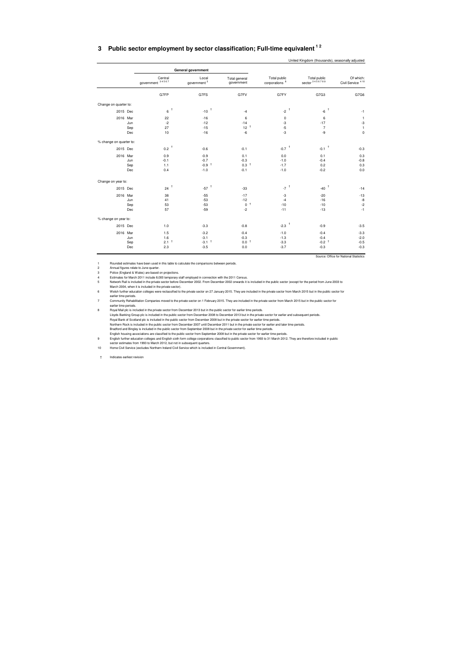### <span id="page-18-0"></span>**3 Public sector employment by sector classification; Full-time equivalent 1 2**

|                         |     |                             |                           |                             |                                           | United Kingdom (thousands), seasonally adjusted |                                           |
|-------------------------|-----|-----------------------------|---------------------------|-----------------------------|-------------------------------------------|-------------------------------------------------|-------------------------------------------|
|                         |     |                             | <b>General government</b> |                             |                                           |                                                 |                                           |
|                         |     | Central<br>government 34567 | Local<br>government $^3$  | Total general<br>government | Total public<br>corporations <sup>8</sup> | Total public<br>sector 3456789                  | Of which:<br>Civil Service <sup>410</sup> |
|                         |     | G7FP                        | G7FS                      | G7FV                        | G7FY                                      | G7G3                                            | G7G6                                      |
| Change on quarter to:   |     |                             |                           |                             |                                           |                                                 |                                           |
| 2015 Dec                |     | $6$ $^\dagger$              | $-10^{-\dagger}$          | $-4$                        | -2 $^\dagger$                             | $-6$ <sup>+</sup>                               | $-1$                                      |
| 2016 Mar                |     | 22                          | $-16$                     | 6                           | $\pmb{0}$                                 | 6                                               | $\mathbf{1}$                              |
|                         | Jun | $-2$                        | $-12$                     | $-14$                       | $-3$                                      | $-17$                                           | $-3$                                      |
|                         | Sep | 27                          | $-15$                     | 12 <sup>†</sup>             | $-5$                                      | $\overline{7}$                                  | $\mathbf{1}$                              |
|                         | Dec | 10                          | $-16$                     | $-6$                        | $-3$                                      | -9                                              | $\pmb{0}$                                 |
| % change on quarter to: |     |                             |                           |                             |                                           |                                                 |                                           |
| 2015 Dec                |     | 0.2 $^\dagger$              | $-0.6$                    | $-0.1$                      | $-0.7$ <sup>+</sup>                       | $-0.1$ <sup>+</sup>                             | $-0.3$                                    |
| 2016 Mar                |     | 0.9                         | $-0.9$                    | 0.1                         | 0.0                                       | 0.1                                             | 0.3                                       |
|                         | Jun | $-0.1$                      | $-0.7$                    | $-0.3$                      | $-1.0$                                    | $-0.4$                                          | $-0.8$                                    |
|                         | Sep | 1.1                         | $-0.9$ <sup>+</sup>       | $0.3$ <sup>+</sup>          | $-1.7$                                    | 0.2                                             | 0.3                                       |
|                         | Dec | 0.4                         | $-1.0$                    | $-0.1$                      | $-1.0$                                    | $-0.2$                                          | 0.0                                       |
| Change on year to:      |     |                             |                           |                             |                                           |                                                 |                                           |
| 2015 Dec                |     | 24                          | $-57$ <sup>+</sup>        | $-33$                       | $-7$ <sup>+</sup>                         | $-40$                                           | $-14$                                     |
| 2016 Mar                |     | 38                          | $-55$                     | $-17$                       | $-3$                                      | $-20$                                           | $-13$                                     |
|                         | Jun | 41                          | $-53$                     | $-12$                       | $-4$                                      | $-16$                                           | -8                                        |
|                         | Sep | 53                          | $-53$                     | 0 <sup>†</sup>              | $-10$                                     | $-10$                                           | $-2$                                      |
|                         | Dec | 57                          | $-59$                     | $-2$                        | $-11$                                     | $-13$                                           | $-1$                                      |
|                         |     |                             |                           |                             |                                           |                                                 |                                           |
| % change on year to:    |     |                             |                           |                             |                                           |                                                 |                                           |
| 2015 Dec                |     | 1.0                         | $-3.3$                    | $-0.8$                      | $-2.3$ <sup>+</sup>                       | $-0.9$                                          | $-3.5$                                    |
| 2016 Mar                |     | 1.5                         | $-3.2$                    | $-0.4$                      | $-1.0$                                    | $-0.4$                                          | $-3.3$                                    |
|                         | Jun | 1.6                         | $-3.1$                    | $-0.3$                      | $-1.3$                                    | $-0.4$                                          | $-2.0$                                    |
|                         | Sep | 2.1 <sup>†</sup>            | $-3.1$ <sup>+</sup>       | 0.0 <sup>†</sup>            | $-3.3$                                    | $-0.2$ <sup>+</sup>                             | $-0.5$                                    |
|                         | Dec | 2.3                         | $-3.5$                    | 0.0                         | $-3.7$                                    | $-0.3$                                          | $-0.3$                                    |
|                         |     |                             |                           |                             |                                           |                                                 | Source: Office for National Statistics    |

1<br>2 Rounded estimates have been used in this table to calculate the comparisons between periods.<br>2 Annual figures relate to June quarter.<br>19 Pelice (England & Wales) are based on projections.<br>2 Meter Doot, when it is inclu

ealier time periods.<br>
2015. They are included in the private sector on 1 February 2015. They are included in the private sector form March 2015 but in the public sector for earlier time periods.<br>
2019 Mail pic is included

† Indicates earliest revision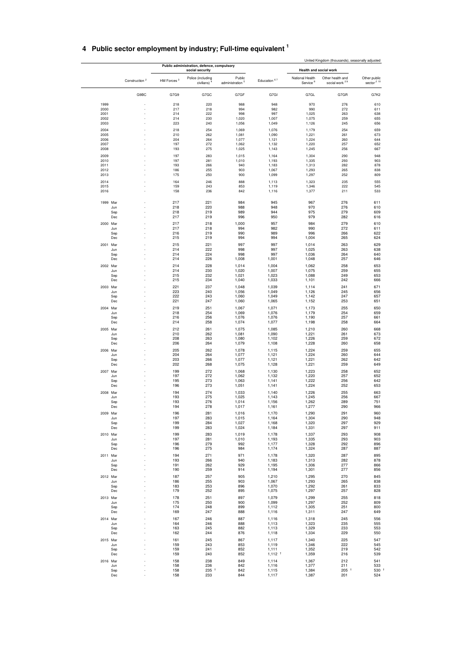|  |  |  | 4 Public sector employment by industry; Full-time equivalent 1 |  |  |
|--|--|--|----------------------------------------------------------------|--|--|
|--|--|--|----------------------------------------------------------------|--|--|

<span id="page-19-0"></span>

|                 |                           |                        | Public administration, defence, compulsory<br>social security |                             |                               | <b>Health and social work</b> |                           |              |
|-----------------|---------------------------|------------------------|---------------------------------------------------------------|-----------------------------|-------------------------------|-------------------------------|---------------------------|--------------|
|                 | Construction <sup>2</sup> | HM Forces <sup>3</sup> | Police (including                                             | Public                      | Education 67                  | National Health               | Other health and          | Other public |
|                 |                           |                        | civilians) <sup>4</sup>                                       | administration <sup>5</sup> |                               | Service <sup>8</sup>          | social work <sup>29</sup> | sector $210$ |
|                 | G9BC                      | G7G9                   | G7GC                                                          | G7GF                        | G7GI                          | G7GL                          | G7GR                      | G7K2         |
| 1999<br>2000    |                           | 218<br>217             | 220                                                           | 988<br>994                  | 948<br>982                    | 970<br>990                    | 276<br>272                | 610<br>611   |
| 2001            |                           | 214                    | 218<br>222                                                    | 998                         | 997                           | 1,025                         | 263                       | 638          |
| 2002            |                           | 214                    | 230                                                           | 1,020                       | 1,007                         | 1,075                         | 259                       | 655          |
| 2003            |                           | 223                    | 240                                                           | 1,056                       | 1,049                         | 1,126                         | 245                       | 656          |
| 2004            |                           | 218                    | 254                                                           | 1,069                       | 1,076                         | 1,179                         | 254                       | 659          |
| 2005<br>2006    |                           | 210<br>204             | 262<br>264                                                    | 1,081<br>1,077              | 1,090<br>1,121                | 1,221<br>1,224                | 261<br>260                | 673<br>644   |
| 2007            |                           | 197                    | 272                                                           | 1,062                       | 1,132                         | 1,220                         | 257                       | 652          |
| 2008            |                           | 193                    | 275                                                           | 1,025                       | 1,143                         | 1,245                         | 256                       | 667          |
| 2009            |                           | 197                    | 283                                                           | 1,015                       | 1,164                         | 1,304                         | 290                       | 948          |
| 2010            |                           | 197                    | 281                                                           | 1,010                       | 1,193                         | 1,335                         | 293                       | 903          |
| 2011<br>2012    |                           | 193<br>186             | 266<br>255                                                    | 940<br>903                  | 1,183<br>1,067                | 1,313<br>1,293                | 282<br>265                | 878<br>838   |
| 2013            |                           | 175                    | 250                                                           | 900                         | 1,099                         | 1,297                         | 252                       | 809          |
| 2014            |                           | 164                    | 246                                                           | 888                         | 1,113                         | 1,323                         | 235                       | 555          |
| 2015<br>2016    |                           | 159<br>158             | 243<br>236                                                    | 853<br>842                  | 1,119<br>1,116                | 1,346<br>1,377                | 222<br>211                | 545<br>533   |
| 1999 Mar        |                           | 217                    | 221                                                           | 984                         | 945                           | 967                           | 276                       | 611          |
| Jun             |                           | 218                    | 220                                                           | 988                         | 948                           | 970                           | 276                       | 610          |
| Sep             |                           | 218                    | 219                                                           | 989                         | 944                           | 975                           | 279                       | 609          |
| Dec             |                           | 217                    | 219                                                           | 996                         | 950                           | 979                           | 282                       | 616          |
| 2000 Mar        |                           | 217<br>217             | 218<br>218                                                    | 1,000<br>994                | 957<br>982                    | 984<br>990                    | 279<br>272                | 610<br>611   |
| Jun<br>Sep      |                           | 216                    | 219                                                           | 990                         | 989                           | 996                           | 266                       | 622          |
| Dec             |                           | 215                    | 219                                                           | 994                         | 994                           | 1,004                         | 265                       | 624          |
| 2001 Mar        |                           | 215                    | 221                                                           | 997                         | 997                           | 1,014                         | 263                       | 629          |
| Jun             |                           | 214                    | 222                                                           | 998                         | 997                           | 1,025                         | 263                       | 638          |
| Sep<br>Dec      |                           | 214<br>214             | 224<br>226                                                    | 998<br>1,008                | 997<br>1,001                  | 1,036<br>1,048                | 264<br>257                | 640<br>646   |
| 2002 Mar        |                           | 214                    | 228                                                           | 1,014                       | 1,004                         | 1,062                         | 258                       | 653          |
| Jun             |                           | 214                    | 230                                                           | 1,020                       | 1,007                         | 1,075                         | 259                       | 655          |
| Sep             |                           | 215                    | 232                                                           | 1,021                       | 1,023                         | 1,088                         | 249                       | 653          |
| Dec             |                           | 215                    | 234                                                           | 1,040                       | 1,033                         | 1,101                         | 242                       | 666          |
| 2003 Mar<br>Jun |                           | 221<br>223             | 237<br>240                                                    | 1,048<br>1,056              | 1,039<br>1,049                | 1,114<br>1,126                | 241<br>245                | 671<br>656   |
| Sep             |                           | 222                    | 243                                                           | 1,060                       | 1,049                         | 1,142                         | 247                       | 657          |
| Dec             |                           | 221                    | 247                                                           | 1,060                       | 1,065                         | 1,152                         | 253                       | 651          |
| 2004 Mar        |                           | 219                    | 251                                                           | 1,067                       | 1,071                         | 1,173                         | 255                       | 650          |
| Jun             |                           | 218                    | 254                                                           | 1,069                       | 1,076                         | 1,179                         | 254                       | 659          |
| Sep<br>Dec      |                           | 216<br>214             | 256<br>258                                                    | 1,076<br>1,074              | 1,076<br>1,077                | 1,190<br>1,198                | 257<br>258                | 661<br>664   |
|                 |                           |                        |                                                               |                             |                               |                               |                           |              |
| 2005 Mar<br>Jun |                           | 212<br>210             | 261<br>262                                                    | 1,075<br>1,081              | 1,085<br>1,090                | 1,210<br>1,221                | 260<br>261                | 668<br>673   |
| Sep             |                           | 208                    | 263                                                           | 1,080                       | 1,102                         | 1,226                         | 259                       | 672          |
| Dec             |                           | 206                    | 264                                                           | 1,079                       | 1,108                         | 1,228                         | 260                       | 658          |
| 2006 Mar        |                           | 205<br>204             | 262<br>264                                                    | 1,078                       | 1,115                         | 1,224                         | 259<br>260                | 655<br>644   |
| Jun<br>Sep      |                           | 203                    | 266                                                           | 1,077<br>1,077              | 1,121<br>1,121                | 1,224<br>1,221                | 262                       | 642          |
| Dec             |                           | 202                    | 268                                                           | 1,075                       | 1,128                         | 1,221                         | 259                       | 649          |
| 2007 Mar        |                           | 199                    | 272                                                           | 1,068                       | 1,130                         | 1,223                         | 258                       | 652          |
| Jun             |                           | 197                    | 272                                                           | 1,062                       | 1,132                         | 1,220                         | 257                       | 652          |
| Sep<br>Dec      |                           | 195<br>196             | 273<br>273                                                    | 1,063<br>1,051              | 1,141<br>1,141                | 1,222<br>1,224                | 256<br>252                | 642<br>653   |
| 2008 Mar        |                           | 194                    | 274                                                           | 1,033                       |                               |                               | 255                       | 663          |
| Jun             |                           | 193                    | 275                                                           | 1,025                       | 1,140<br>1,143                | 1,226<br>1,245                | 256                       | 667          |
| Sep             |                           | 193                    | 276                                                           | 1,014                       | 1,156                         | 1,262                         | 289                       | 751          |
| Dec             |                           | 194                    | 278                                                           | 1,017                       | 1,161                         | 1,277                         | 290                       | 966          |
| 2009 Mar        |                           | 196                    | 281                                                           | 1,016                       | 1,170                         | 1,290                         | 291                       | 960          |
| Jun<br>Sep      |                           | 197<br>199             | 283<br>284                                                    | 1,015<br>1,027              | 1,164<br>1,168                | 1,304<br>1,320                | 290<br>297                | 948<br>929   |
| Dec             |                           | 199                    | 283                                                           | 1,024                       | 1,184                         | 1,331                         | 297                       | 911          |
| 2010 Mar        |                           | 199                    | 283                                                           | 1,019                       | 1,178                         | 1,337                         | 293                       | 908          |
| Jun             |                           | 197                    | 281                                                           | 1,010                       | 1,193                         | 1,335                         | 293                       | 903          |
| Sep<br>Dec      |                           | 196<br>196             | 279<br>275                                                    | 992<br>984                  | 1,177<br>1,174                | 1,328<br>1,324                | 292<br>287                | 896<br>887   |
| 2011 Mar        |                           | 194                    | 271                                                           | 971                         | 1,178                         | 1,320                         | 287                       | 895          |
| Jun             |                           | 193                    | 266                                                           | 940                         | 1,183                         | 1,313                         | 282                       | 878          |
| Sep             |                           | 191                    | 262                                                           | 929                         | 1,195                         | 1,306                         | 277                       | 866          |
| Dec             |                           | 190                    | 259                                                           | 914                         | 1,194                         | 1,301                         | 277                       | 856          |
| 2012 Mar        |                           | 187                    | 257                                                           | 905                         | 1,210                         | 1,295                         | 270                       | 845          |
| Jun<br>Sep      |                           | 186<br>183             | 255<br>253                                                    | 903<br>896                  | 1,067<br>1,070                | 1,293<br>1,292                | 265<br>261                | 838<br>833   |
| Dec             |                           | 179                    | 252                                                           | 895                         | 1,075                         | 1,297                         | 257                       | 828          |
| 2013 Mar        |                           | 178                    | 251                                                           | 897                         | 1,079                         | 1,299                         | 255                       | 818          |
| Jun             |                           | 175                    | 250                                                           | 900                         | 1,099                         | 1,297                         | 252                       | 809          |
| Sep<br>Dec      |                           | 174<br>169             | 248<br>247                                                    | 899<br>888                  | 1,112<br>1,116                | 1,305<br>1,311                | 251<br>247                | 800<br>649   |
|                 |                           |                        |                                                               |                             |                               |                               |                           |              |
| 2014 Mar<br>Jun |                           | 167<br>164             | 246<br>246                                                    | 887<br>888                  | 1,116<br>1,113                | 1,318<br>1,323                | 245<br>235                | 556<br>555   |
| Sep             |                           | 163                    | 245                                                           | 882                         | 1,113                         | 1,329                         | 233                       | 553          |
| Dec             |                           | 162                    | 244                                                           | 876                         | 1,118                         | 1,334                         | 229                       | 550          |
| 2015 Mar        |                           | 161                    | 245                                                           | 867                         | 1,117                         | 1,340                         | 225                       | 547          |
| Jun             |                           | 159                    | 243                                                           | 853<br>852                  | 1,119                         | 1,346                         | 222<br>219                | 545<br>542   |
| Sep<br>Dec      |                           | 159<br>159             | 241<br>240                                                    | 852                         | 1,111<br>$1,112$ <sup>+</sup> | 1,352<br>1,359                | 216                       | 539          |
| 2016 Mar        |                           | 158                    | 238                                                           | 849                         | 1,114                         | 1,367                         | 212                       | 541          |
| Jun             |                           | 158                    | 236                                                           | 842                         | 1,116                         | 1,377                         | 211                       | 533          |
| Sep             |                           | 158                    | 235 +                                                         | 842                         | 1,115                         | 1,384                         | $205$ $†$                 | 530          |
| Dec             |                           | 158                    | 233                                                           | 844                         | 1,117                         | 1,387                         | 201                       | 524          |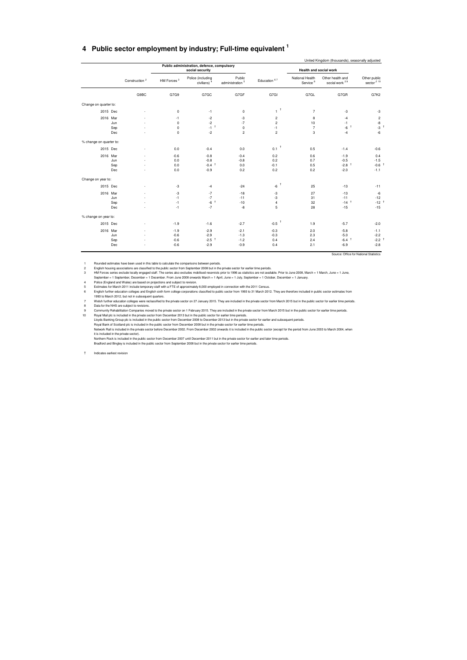#### **4 Public sector employment by industry; Full-time equivalent <sup>1</sup>**

|                         |                           |                                      | Public administration, defence, compulsory<br>social security |                                               |                                                                              | Health and social work                  |                                                   |                                                            |
|-------------------------|---------------------------|--------------------------------------|---------------------------------------------------------------|-----------------------------------------------|------------------------------------------------------------------------------|-----------------------------------------|---------------------------------------------------|------------------------------------------------------------|
|                         | Construction <sup>2</sup> | HM Forces <sup>3</sup>               | Police (including<br>civilians) <sup>4</sup>                  | Public<br>$\,$ administration $^{\,5}$        | Education 67                                                                 | National Health<br>Service <sup>8</sup> | Other health and<br>social work 29                | Other public<br>sector $210$                               |
|                         | G9BC                      | G7G9                                 | G7GC                                                          | G7GF                                          | G7GI                                                                         | G7GL                                    | G7GR                                              | G7K2                                                       |
| Change on quarter to:   |                           |                                      |                                                               |                                               |                                                                              |                                         |                                                   |                                                            |
| 2015 Dec                |                           | $\mathbf 0$                          | $-1$                                                          | $\mathbf 0$                                   | $\tau^+$                                                                     | $\overline{7}$                          | -3                                                | -3                                                         |
| 2016 Mar                | Jun<br>Sep<br>Dec         | $-1$<br>$\Omega$<br>$\mathbf 0$<br>0 | $-2$<br>$-2$<br>$-1^{-1}$<br>$-2$                             | $-3$<br>$-7$<br>$\mathbf 0$<br>$\overline{c}$ | $\overline{\mathbf{c}}$<br>$\overline{\mathbf{c}}$<br>$-1$<br>$\overline{c}$ | 8<br>10<br>$\overline{7}$<br>3          | $-4$<br>$-1$<br>$-6$ $+$<br>$-4$                  | $\overline{\mathbf{c}}$<br>-8<br>$-3$ <sup>1</sup><br>$-6$ |
| % change on quarter to: |                           |                                      |                                                               |                                               |                                                                              |                                         |                                                   |                                                            |
| 2015 Dec                |                           | 0.0                                  | $-0.4$                                                        | 0.0                                           | $\overline{\phantom{a}}$<br>0.1                                              | 0.5                                     | $-1.4$                                            | $-0.6$                                                     |
| 2016 Mar                | Jun<br>Sep<br>Dec         | $-0.6$<br>0.0<br>0.0<br>0.0          | $-0.8$<br>$-0.8$<br>$-0.4$ <sup>+</sup><br>$-0.9$             | $-0.4$<br>$-0.8$<br>0.0<br>0.2                | 0.2<br>0.2<br>$-0.1$<br>0.2                                                  | 0.6<br>0.7<br>0.5<br>0.2                | $-1.9$<br>$-0.5$<br>$-2.8$ <sup>+</sup><br>$-2.0$ | 0.4<br>$-1.5$<br>$-0.6$ <sup>1</sup><br>$-1.1$             |
| Change on year to:      |                           |                                      |                                                               |                                               |                                                                              |                                         |                                                   |                                                            |
| 2015 Dec                |                           | -3                                   | $-4$                                                          | $-24$                                         | $-6$ $^{\dagger}$                                                            | 25                                      | $-13$                                             | $-11$                                                      |
| 2016 Mar                | Jun<br>Sep<br>Dec         | -3<br>$-1$<br>$-1$<br>$-1$           | $-7$<br>$-7$<br>$-6$<br>$-7$                                  | $-18$<br>$-11$<br>$-10$<br>$-8$               | -3<br>$-3$<br>4<br>5                                                         | 27<br>31<br>32<br>28                    | $-13$<br>$-11$<br>$-14$ <sup>+</sup><br>$-15$     | $-6$<br>$-12$<br>$-12$ <sup>+</sup><br>$-15$               |
| % change on year to:    |                           |                                      |                                                               |                                               |                                                                              |                                         |                                                   |                                                            |
| 2015 Dec                |                           | $-1.9$                               | $-1.6$                                                        | $-2.7$                                        | $-0.5$                                                                       | 1.9                                     | $-5.7$                                            | $-2.0$                                                     |
| 2016 Mar                | Jun<br>Sep<br>Dec         | $-1.9$<br>$-0.6$<br>$-0.6$<br>$-0.6$ | $-2.9$<br>$-2.9$<br>$-2.5$ <sup>†</sup><br>$-2.9$             | $-2.1$<br>$-1.3$<br>$-1.2$<br>$-0.9$          | $-0.3$<br>$-0.3$<br>0.4<br>0.4                                               | 2.0<br>2.3<br>2.4<br>2.1                | $-5.8$<br>$-5.0$<br>$-6.4$ <sup>+</sup><br>$-6.9$ | $-1.1$<br>$-2.2$<br>$-2.2$ <sup>†</sup><br>$-2.8$          |

1 Mounded straines have been used in this table to calculate the comparisons between periods.<br>
1 English housing associations are classified to the public sector from September 2008 but in the private sector for earlier li

Northern Rock is included in the public sector from December 2007 until December 2011 but in the private sector for earlier and later time periods.<br>Bradford and Bingley is included in the public sector from September 2008

† Indicates earliest revision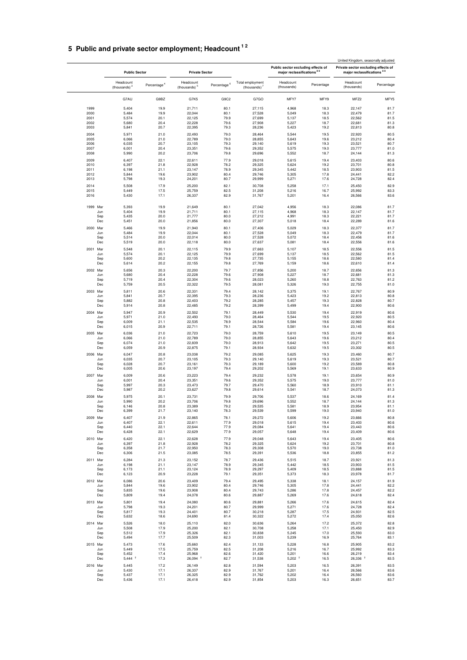## <span id="page-21-0"></span>**5 Public and private sector employment; Headcount 1 2**

|              |            | <b>Public Sector</b>         |                         | <b>Private Sector</b>                 |                |                                     | Public sector excluding effects of<br>major reclassifications <sup>85</sup> |              | United Kingdom, seasonally adjusted<br>Private sector excluding effects of<br>major reclassifications <sup>89</sup> |              |
|--------------|------------|------------------------------|-------------------------|---------------------------------------|----------------|-------------------------------------|-----------------------------------------------------------------------------|--------------|---------------------------------------------------------------------------------------------------------------------|--------------|
|              |            | Headcount<br>(thousands) $3$ | Percentage <sup>4</sup> | Headcount<br>(thousands) <sup>5</sup> | Percentage $6$ | Total employment<br>(thousands) $7$ | Headcount<br>(thousands)                                                    | Percentage   | Headcount<br>(thousands)                                                                                            | Percentage   |
|              |            | G7AU                         | G9BZ                    | G7K5                                  | G9C2           | G7GO                                | MFY7                                                                        | MFY9         | MFZ2                                                                                                                | MFY5         |
| 1999         |            | 5,404                        | 19.9                    | 21,711                                | 80.1           | 27,115                              | 4,968                                                                       | 18.3         | 22,147                                                                                                              | 81.7         |
| 2000         |            | 5,484                        | 19.9                    | 22,044                                | 80.1           | 27,528                              | 5,049                                                                       | 18.3         | 22,479                                                                                                              | 81.7         |
| 2001         |            | 5,574                        | 20.1                    | 22,125                                | 79.9           | 27,699                              | 5,137                                                                       | 18.5         | 22,562                                                                                                              | 81.5         |
| 2002         |            | 5,680                        | 20.4                    | 22,228                                | 79.6           | 27,908                              | 5,227                                                                       | 18.7         | 22,681                                                                                                              | 81.3         |
| 2003         |            | 5,841                        | 20.7                    | 22,395                                | 79.3           | 28,236                              | 5,423                                                                       | 19.2         | 22,813                                                                                                              | 80.8         |
| 2004         |            | 5,971                        | 21.0                    | 22,493                                | 79.0           | 28,464                              | 5,544                                                                       | 19.5         | 22,920                                                                                                              | 80.5         |
| 2005         |            | 6,066                        | 21.0                    | 22,789                                | 79.0           | 28,855                              | 5,643                                                                       | 19.6         | 23,212                                                                                                              | 80.4         |
| 2006<br>2007 |            | 6,035<br>6,001               | 20.7<br>20.4            | 23,105<br>23,351                      | 79.3<br>79.6   | 29,140<br>29,352                    | 5,619<br>5,575                                                              | 19.3<br>19.0 | 23,521<br>23,777                                                                                                    | 80.7<br>81.0 |
| 2008         |            | 5,990                        | 20.2                    | 23,706                                | 79.8           | 29,696                              | 5,552                                                                       | 18.7         | 24,144                                                                                                              | 81.3         |
| 2009         |            | 6,407                        | 22.1                    | 22,611                                | 77.9           | 29,018                              | 5,615                                                                       | 19.4         | 23,403                                                                                                              | 80.6         |
| 2010         |            | 6,397                        | 21.8                    | 22,928                                | 78.2           | 29,325                              | 5,624                                                                       | 19.2         | 23,701                                                                                                              | 80.8         |
| 2011         |            | 6,198                        | 21.1                    | 23,147                                | 78.9           | 29,345                              | 5,442                                                                       | 18.5         | 23,903                                                                                                              | 81.5         |
| 2012         |            | 5,844                        | 19.6                    | 23,902                                | 80.4           | 29,746                              | 5,305                                                                       | 17.8         | 24,441                                                                                                              | 82.2         |
| 2013         |            | 5,798                        | 19.3                    | 24,201                                | 80.7           | 29,999                              | 5,271                                                                       | 17.6         | 24,728                                                                                                              | 82.4         |
| 2014         |            | 5,508                        | 17.9                    | 25,200                                | 82.1<br>82.5   | 30,708                              | 5,258                                                                       | 17.1         | 25,450                                                                                                              | 82.9         |
| 2015<br>2016 |            | 5,449<br>5,430               | 17.5<br>17.1            | 25,759<br>26,337                      | 82.9           | 31,208<br>31,767                    | 5,216<br>5,201                                                              | 16.7<br>16.4 | 25,992<br>26,566                                                                                                    | 83.3<br>83.6 |
|              |            |                              |                         |                                       |                |                                     |                                                                             |              |                                                                                                                     |              |
| 1999 Mar     | Jun        | 5,393<br>5,404               | 19.9<br>19.9            | 21,649<br>21,711                      | 80.1<br>80.1   | 27,042<br>27,115                    | 4,956<br>4,968                                                              | 18.3<br>18.3 | 22,086<br>22,147                                                                                                    | 81.7<br>81.7 |
|              | Sep        | 5,435                        | 20.0                    | 21,777                                | 80.0           | 27,212                              | 4,991                                                                       | 18.3         | 22,221                                                                                                              | 81.7         |
|              | Dec        | 5,451                        | 20.0                    | 21,856                                | 80.0           | 27,307                              | 5,018                                                                       | 18.4         | 22,289                                                                                                              | 81.6         |
| 2000 Mar     |            | 5,466                        | 19.9                    | 21,940                                | 80.1           | 27,406                              | 5,029                                                                       | 18.3         | 22,377                                                                                                              | 81.7         |
|              | Jun        | 5,484                        | 19.9                    | 22,044                                | 80.1           | 27,528                              | 5,049                                                                       | 18.3         | 22,479                                                                                                              | 81.7         |
|              | Sep<br>Dec | 5,514                        | 20.0<br>20.0            | 22,014                                | 80.0<br>80.0   | 27,528                              | 5,072                                                                       | 18.4<br>18.4 | 22,456                                                                                                              | 81.6<br>81.6 |
|              |            | 5,519                        |                         | 22,118                                |                | 27,637                              | 5,081                                                                       |              | 22,556                                                                                                              |              |
| 2001 Mar     | Jun        | 5,548<br>5,574               | 20.1<br>20.1            | 22,115<br>22,125                      | 79.9<br>79.9   | 27,663<br>27,699                    | 5,107<br>5,137                                                              | 18.5<br>18.5 | 22,556<br>22,562                                                                                                    | 81.5<br>81.5 |
|              | Sep        | 5,600                        | 20.2                    | 22,135                                | 79.8           | 27,735                              | 5,155                                                                       | 18.6         | 22,580                                                                                                              | 81.4         |
|              | Dec        | 5,614                        | 20.2                    | 22,155                                | 79.8           | 27,769                              | 5,159                                                                       | 18.6         | 22,610                                                                                                              | 81.4         |
| 2002 Mar     |            | 5,656                        | 20.3                    | 22,200                                | 79.7           | 27,856                              | 5,200                                                                       | 18.7         | 22,656                                                                                                              | 81.3         |
|              | Jun        | 5,680                        | 20.4                    | 22,228                                | 79.6           | 27,908                              | 5,227                                                                       | 18.7         | 22,681                                                                                                              | 81.3         |
|              | Sep        | 5,719                        | 20.4                    | 22,304                                | 79.6           | 28,023                              | 5,260                                                                       | 18.8         | 22,763                                                                                                              | 81.2         |
|              | Dec        | 5,759                        | 20.5                    | 22,322                                | 79.5           | 28,081                              | 5,326                                                                       | 19.0         | 22,755                                                                                                              | 81.0         |
| 2003 Mar     |            | 5,811                        | 20.6                    | 22,331                                | 79.4           | 28,142                              | 5,375                                                                       | 19.1         | 22,767                                                                                                              | 80.9         |
|              | Jun        | 5,841                        | 20.7                    | 22,395                                | 79.3           | 28,236                              | 5,423                                                                       | 19.2         | 22,813                                                                                                              | 80.8         |
|              | Sep<br>Dec | 5,882<br>5,914               | 20.8<br>20.8            | 22,403<br>22,485                      | 79.2<br>79.2   | 28,285<br>28,399                    | 5,457<br>5,499                                                              | 19.3<br>19.4 | 22,828<br>22,900                                                                                                    | 80.7<br>80.6 |
| 2004         | Mar        | 5,947                        | 20.9                    | 22,502                                | 79.1           | 28,449                              | 5,530                                                                       | 19.4         | 22,919                                                                                                              | 80.6         |
|              | Jun        | 5,971                        | 21.0                    | 22,493                                | 79.0           | 28,464                              | 5,544                                                                       | 19.5         | 22,920                                                                                                              | 80.5         |
|              | Sep        | 6,009                        | 21.1                    | 22,535                                | 78.9           | 28,544                              | 5,584                                                                       | 19.6         | 22,960                                                                                                              | 80.4         |
|              | Dec        | 6,015                        | 20.9                    | 22,711                                | 79.1           | 28,726                              | 5,581                                                                       | 19.4         | 23,145                                                                                                              | 80.6         |
| 2005 Mar     |            | 6,036                        | 21.0                    | 22,723                                | 79.0           | 28,759                              | 5,610                                                                       | 19.5         | 23,149                                                                                                              | 80.5         |
|              | Jun        | 6,066                        | 21.0                    | 22,789                                | 79.0           | 28,855                              | 5,643                                                                       | 19.6         | 23,212                                                                                                              | 80.4         |
|              | Sep<br>Dec | 6,074<br>6,059               | 21.0<br>20.9            | 22,839<br>22,875                      | 79.0<br>79.1   | 28,913<br>28,934                    | 5,642<br>5,632                                                              | 19.5<br>19.5 | 23,271<br>23,302                                                                                                    | 80.5<br>80.5 |
| 2006 Mar     |            | 6,047                        | 20.8                    | 23,038                                | 79.2           | 29,085                              | 5,625                                                                       | 19.3         | 23,460                                                                                                              | 80.7         |
|              | Jun        | 6,035                        | 20.7                    | 23,105                                | 79.3           | 29,140                              | 5,619                                                                       | 19.3         | 23,521                                                                                                              | 80.7         |
|              | Sep        | 6,028                        | 20.7                    | 23,161                                | 79.3           | 29,189                              | 5,600                                                                       | 19.2         | 23,589                                                                                                              | 80.8         |
|              | Dec        | 6,005                        | 20.6                    | 23,197                                | 79.4           | 29,202                              | 5,569                                                                       | 19.1         | 23,633                                                                                                              | 80.9         |
| 2007 Mar     |            | 6,009                        | 20.6                    | 23,223                                | 79.4           | 29,232                              | 5,578                                                                       | 19.1         | 23,654                                                                                                              | 80.9         |
|              | Jun<br>Sep | 6,001<br>5,997               | 20.4<br>20.3            | 23,351<br>23,473                      | 79.6<br>79.7   | 29,352<br>29,470                    | 5,575<br>5,560                                                              | 19.0<br>18.9 | 23,777<br>23,910                                                                                                    | 81.0<br>81.1 |
|              | Dec        | 5,987                        | 20.2                    | 23,627                                | 79.8           | 29,614                              | 5,541                                                                       | 18.7         | 24,073                                                                                                              | 81.3         |
| 2008 Mar     |            | 5,975                        | 20.1                    | 23,731                                | 79.9           | 29,706                              | 5,537                                                                       | 18.6         | 24,169                                                                                                              | 81.4         |
|              | Jun        | 5,990                        | 20.2                    | 23,706                                | 79.8           | 29,696                              | 5,552                                                                       | 18.7         | 24,144                                                                                                              | 81.3         |
|              | Sep        | 6,146                        | 20.8                    | 23,389                                | 79.2           | 29,535                              | 5,581                                                                       | 18.9         | 23,954                                                                                                              | 81.1         |
|              | Dec        | 6,399                        | 21.7                    | 23,140                                | 78.3           | 29,539                              | 5,599                                                                       | 19.0         | 23,940                                                                                                              | 81.0         |
| 2009 Mar     |            | 6,407                        | 21.9                    | 22,865                                | 78.1           | 29,272                              | 5,606                                                                       | 19.2         | 23,666                                                                                                              | 80.8         |
|              | Jun<br>Sep | 6,407<br>6,440               | 22.1<br>22.1            | 22,611<br>22,644                      | 77.9<br>77.9   | 29,018<br>29,084                    | 5,615<br>5,641                                                              | 19.4<br>19.4 | 23,403<br>23,443                                                                                                    | 80.6<br>80.6 |
|              | Dec        | 6,428                        | 22.1                    | 22,629                                | 77.9           | 29,057                              | 5,648                                                                       | 19.4         | 23,409                                                                                                              | 80.6         |
| 2010 Mar     |            | 6,420                        | 22.1                    | 22,628                                | 77.9           | 29,048                              | 5,643                                                                       | 19.4         | 23,405                                                                                                              | 80.6         |
|              | Jun        | 6,397                        | 21.8                    | 22,928                                | 78.2           | 29,325                              | 5,624                                                                       | 19.2         | 23,701                                                                                                              | 80.8         |
|              | Sep        | 6,358                        | 21.7                    | 22,950                                | 78.3           | 29,308                              | 5,570                                                                       | 19.0         | 23,738                                                                                                              | 81.0         |
|              | Dec        | 6,306                        | 21.5                    | 23,085                                | 78.5           | 29,391                              | 5,536                                                                       | 18.8         | 23,855                                                                                                              | 81.2         |
| 2011 Mar     |            | 6,284                        | 21.3                    | 23,152                                | 78.7           | 29,436                              | 5,515                                                                       | 18.7         | 23,921                                                                                                              | 81.3         |
|              | Jun        | 6,198                        | 21.1                    | 23,147                                | 78.9<br>78.9   | 29,345<br>29,297                    | 5,442<br>5,409                                                              | 18.5         | 23,903                                                                                                              | 81.5         |
|              | Sep<br>Dec | 6,173<br>6,123               | 21.1<br>20.9            | 23,124<br>23,228                      | 79.1           | 29,351                              | 5,373                                                                       | 18.5<br>18.3 | 23,888<br>23,978                                                                                                    | 81.5<br>81.7 |
|              |            | 6,086                        | 20.6                    | 23,409                                | 79.4           | 29,495                              | 5,338                                                                       |              |                                                                                                                     | 81.9         |
| 2012 Mar     | Jun        | 5,844                        | 19.6                    | 23,902                                | 80.4           | 29,746                              | 5,305                                                                       | 18.1<br>17.8 | 24,157<br>24,441                                                                                                    | 82.2         |
|              | Sep        | 5,835                        | 19.6                    | 23,908                                | 80.4           | 29,743                              | 5,286                                                                       | 17.8         | 24,457                                                                                                              | 82.2         |
|              | Dec        | 5,809                        | 19.4                    | 24,078                                | 80.6           | 29,887                              | 5,269                                                                       | 17.6         | 24,618                                                                                                              | 82.4         |
| 2013 Mar     |            | 5,801                        | 19.4                    | 24,080                                | 80.6           | 29,881                              | 5,266                                                                       | 17.6         | 24,615                                                                                                              | 82.4         |
|              | Jun        | 5,798                        | 19.3                    | 24,201                                | 80.7           | 29,999                              | 5,271                                                                       | 17.6         | 24,728                                                                                                              | 82.4         |
|              | Sep        | 5,817<br>5,632               | 19.3                    | 24,401                                | 80.7           | 30,218                              | 5,287                                                                       | 17.5         | 24,931                                                                                                              | 82.5         |
|              | Dec        |                              | 18.6                    | 24,690                                | 81.4           | 30,322                              | 5,272                                                                       | 17.4         | 25,050                                                                                                              | 82.6         |
| 2014 Mar     | Jun        | 5,526<br>5,508               | 18.0<br>17.9            | 25,110<br>25,200                      | 82.0<br>82.1   | 30,636<br>30,708                    | 5,264<br>5,258                                                              | 17.2<br>17.1 | 25,372<br>25,450                                                                                                    | 82.8<br>82.9 |
|              | Sep        | 5,512                        | 17.9                    | 25,326                                | 82.1           | 30,838                              | 5,245                                                                       | 17.0         | 25,593                                                                                                              | 83.0         |
|              | Dec        | 5,494                        | 17.7                    | 25,509                                | 82.3           | 31,003                              | 5,239                                                                       | 16.9         | 25,764                                                                                                              | 83.1         |
| 2015 Mar     |            | 5,473                        | 17.6                    | 25,660                                | 82.4           | 31,133                              | 5,228                                                                       | 16.8         | 25,905                                                                                                              | 83.2         |
|              | Jun        | 5,449                        | 17.5                    | 25,759                                | 82.5           | 31,208                              | 5,216                                                                       | 16.7         | 25,992                                                                                                              | 83.3         |
|              | Sep        | 5,452                        | 17.4                    | 25,968                                | 82.6           | 31,420                              | 5,201                                                                       | 16.6         | 26,219                                                                                                              | 83.4         |
|              | Dec        | $5,444$ <sup>t</sup>         | 17.3                    | $26,094$ <sup>+</sup>                 | 82.7           | 31,538                              | $5,202$ <sup>†</sup>                                                        | 16.5         | $26,336$ <sup>†</sup>                                                                                               | 83.5         |
| 2016 Mar     |            | 5,445                        | 17.2                    | 26,149                                | 82.8           | 31,594                              | 5,203                                                                       | 16.5         | 26,391                                                                                                              | 83.5         |
|              | Jun<br>Sep | 5,430<br>5,437               | 17.1<br>17.1            | 26,337<br>26,325                      | 82.9<br>82.9   | 31,767<br>31,762                    | 5,201<br>5,202                                                              | 16.4<br>16.4 | 26,566<br>26,560                                                                                                    | 83.6<br>83.6 |
|              | Dec        | 5,436                        | 17.1                    | 26,418                                | 82.9           | 31,854                              | 5,203                                                                       | 16.3         | 26,651                                                                                                              | 83.7         |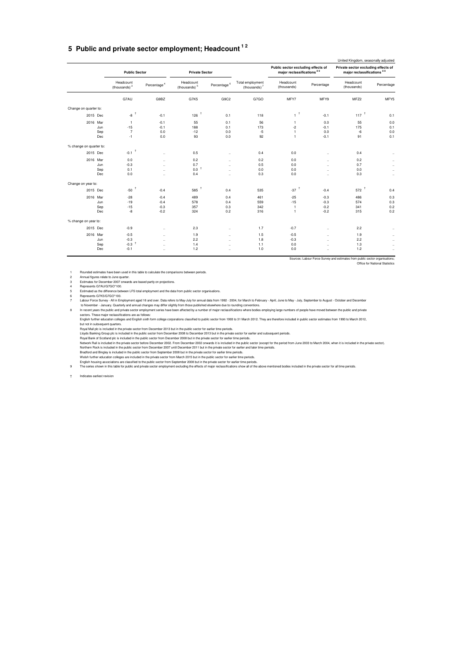### **5 Public and private sector employment; Headcount 1 2**

|                         |          |                                |                         |                                       |                |                                     |                                                                             |            | United Kingdom, seasonally adjusted                               |            |
|-------------------------|----------|--------------------------------|-------------------------|---------------------------------------|----------------|-------------------------------------|-----------------------------------------------------------------------------|------------|-------------------------------------------------------------------|------------|
|                         |          | <b>Public Sector</b>           |                         | <b>Private Sector</b>                 |                |                                     | Public sector excluding effects of<br>major reclassifications <sup>89</sup> |            | Private sector excluding effects of<br>major reclassifications 89 |            |
|                         |          | Headcount<br>(thousands) $3$   | Percentage <sup>4</sup> | Headcount<br>(thousands) <sup>5</sup> | Percentage $6$ | Total employment<br>(thousands) $7$ | Headcount<br>(thousands)                                                    | Percentage | Headcount<br>(thousands)                                          | Percentage |
|                         |          | G7AU                           | G9BZ                    | G7K5                                  | G9C2           | G7GO                                | MFY7                                                                        | MFY9       | MFZ2                                                              | MFY5       |
| Change on quarter to:   |          |                                |                         |                                       |                |                                     |                                                                             |            |                                                                   |            |
|                         | 2015 Dec | $-8$ $^{\dagger}$              | $-0.1$                  | 126                                   | 0.1            | 118                                 | $\mathbf{1}^{-\dagger}$                                                     | $-0.1$     | $117$ <sup>+</sup>                                                | 0.1        |
|                         | 2016 Mar | $\overline{1}$                 | $-0.1$                  | 55                                    | 0.1            | 56                                  | $\mathbf{1}$                                                                | 0.0        | 55                                                                | 0.0        |
|                         | Jun      | $-15$                          | $-0.1$                  | 188                                   | 0.1            | 173                                 | $-2$                                                                        | $-0.1$     | 175                                                               | 0.1        |
|                         | Sep      | $\overline{7}$                 | 0.0                     | $-12$                                 | 0.0            | $-5$                                | $\mathbf{1}$                                                                | 0.0        | $-6$                                                              | 0.0        |
|                         | Dec      | $-1$                           | 0.0                     | 93                                    | 0.0            | 92                                  | $\mathbf{1}$                                                                | $-0.1$     | 91                                                                | 0.1        |
| % change on quarter to: |          |                                |                         |                                       |                |                                     |                                                                             |            |                                                                   |            |
|                         | 2015 Dec | 1<br>$-0.1$                    | $\ddot{\phantom{a}}$    | 0.5                                   | $\ddotsc$      | 0.4                                 | 0.0                                                                         | $\ddotsc$  | 0.4                                                               | $\ddotsc$  |
|                         | 2016 Mar | 0.0                            | $\ddot{\phantom{a}}$    | 0.2                                   | $\ddotsc$      | 0.2                                 | 0.0                                                                         | $\sim$     | 0.2                                                               | $\cdots$   |
|                         | Jun      | $-0.3$                         | $\ddot{\phantom{a}}$    | 0.7                                   | $\ddotsc$      | 0.5                                 | 0.0                                                                         | $\ldots$   | 0.7                                                               | $\ddotsc$  |
|                         | Sep      | 0.1                            | $\ddot{\phantom{a}}$    | 0.0                                   | $\ddotsc$      | 0.0                                 | 0.0                                                                         | $\ddotsc$  | 0.0                                                               | $\ddotsc$  |
|                         | Dec      | 0.0                            | $\ddotsc$               | 0.4                                   | $\ddotsc$      | 0.3                                 | 0.0                                                                         | $\sim$     | 0.3                                                               | $\cdots$   |
| Change on year to:      |          |                                |                         |                                       |                |                                     |                                                                             |            |                                                                   |            |
|                         | 2015 Dec | $\overline{1}$<br>$-50$        | $-0.4$                  | 585                                   | 0.4            | 535                                 | $-37$ <sup>+</sup>                                                          | $-0.4$     | $572$ <sup>1</sup>                                                | 0.4        |
|                         | 2016 Mar | $-28$                          | $-0.4$                  | 489                                   | 0.4            | 461                                 | $-25$                                                                       | $-0.3$     | 486                                                               | 0.3        |
|                         | Jun      | $-19$                          | $-0.4$                  | 578                                   | 0.4            | 559                                 | $-15$                                                                       | $-0.3$     | 574                                                               | 0.3        |
|                         | Sep      | $-15$                          | $-0.3$                  | 357                                   | 0.3            | 342                                 | $\mathbf{1}$                                                                | $-0.2$     | 341                                                               | 0.2        |
|                         | Dec      | -8                             | $-0.2$                  | 324                                   | 0.2            | 316                                 | $\mathbf{1}$                                                                | $-0.2$     | 315                                                               | 0.2        |
| % change on year to:    |          |                                |                         |                                       |                |                                     |                                                                             |            |                                                                   |            |
|                         | 2015 Dec | $-0.9$                         | $\ddotsc$               | 2.3                                   | $\ddotsc$      | 1.7                                 | $-0.7$                                                                      | $\ldots$   | 2.2                                                               | $\ddotsc$  |
|                         | 2016 Mar | $-0.5$                         | $\ddot{\phantom{a}}$    | 1.9                                   | $\ddotsc$      | 1.5                                 | $-0.5$                                                                      | $\ddotsc$  | 1.9                                                               | $\ddotsc$  |
|                         | Jun      | $-0.3$                         | $\cdots$                | 2.2                                   | $\ddotsc$      | 1.8                                 | $-0.3$                                                                      | $\ddotsc$  | 2.2                                                               | $\cdots$   |
|                         | Sep      | $\ddot{\phantom{1}}$<br>$-0.3$ | $\ddot{\phantom{a}}$    | 1.4                                   | $\ddotsc$      | 1.1                                 | 0.0                                                                         | $\ddotsc$  | 1.3                                                               | $\cdots$   |
|                         | Dec      | $-0.1$                         | $\ddot{\phantom{a}}$    | 1.2                                   | $\ddotsc$      | 1.0                                 | 0.0                                                                         | $\ddotsc$  | 1.2                                                               | $\ddotsc$  |
|                         |          |                                |                         |                                       |                |                                     |                                                                             |            |                                                                   |            |

Sources: Labour Force Survey and estimates from public sector organisations; Office for National Statistics

1 Rounded estimates have been used in this table to calculate the comparisons between periods.<br>2 Annual figures relate to June quarter.<br>3 Senanates for December 2007 orwards are based partly on projections.<br>4 Represents G7

Estimated as the difference between LFS total employment and the data from public sector organisations.<br>The presents G7K5(G7GO\*100.<br>Labour Force Survey - All in Employment aged 16 and over. Data refers to May-July for annu

Royal Mail plc is included in the public sector from December 2013 but in the public sector for earlier lime periods.<br>Lloyds Banking Group plc is included in the public sector from December 2013 but in the private sector f

English housing associations are classified to the public sector from September 2008 but in the private sector for earlier time periods.<br>The series shown in this table for public and private sector employment excluding the

† Indicates earliest revision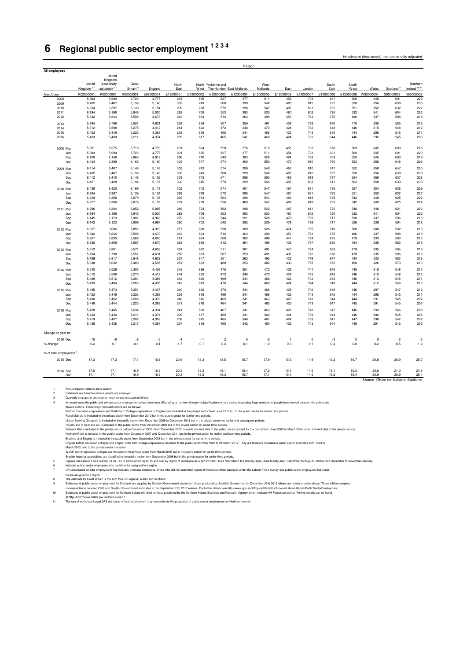# <span id="page-23-0"></span>**6 Regional public sector employment 1 2 3 4**

| All employees                      |                       |                         |                      |                |                  |                  |                     |                          |                  |                  |                  |            |                  |                  |                                        |                         |
|------------------------------------|-----------------------|-------------------------|----------------------|----------------|------------------|------------------|---------------------|--------------------------|------------------|------------------|------------------|------------|------------------|------------------|----------------------------------------|-------------------------|
|                                    |                       | United                  |                      |                |                  |                  |                     |                          |                  |                  |                  |            |                  |                  |                                        |                         |
|                                    | United                | Kingdom<br>(seasonally  | Great                |                |                  |                  |                     |                          |                  |                  |                  |            |                  |                  |                                        | Northern                |
|                                    | Kingdom <sup>67</sup> | adjusted) <sup>67</sup> | Britain <sup>8</sup> |                | North            |                  | North Yorkshire and |                          | West             |                  |                  | South      | South            |                  | Scotland <sup>9</sup>                  | Ireland <sup>1011</sup> |
|                                    |                       |                         |                      | England        | East             | West             |                     | The Humber East Midlands | Midlands         | East             | London           | East       | West             | Wales            |                                        |                         |
| Area Code                          | K02000001             | K02000001               | K03000001            | E92000001      | E12000001<br>291 | E12000002<br>695 | E12000003<br>527    | E12000004                | E12000005<br>511 | E12000006<br>454 | E12000007<br>733 | E12000008  | E12000009<br>509 | W92000004<br>345 | S92000003<br>601                       | N92000002<br>223        |
| 2008<br>2009                       | 5,983<br>6,402        | 5,990<br>6,407          | 5,723<br>6,136       | 4,777<br>5,140 | 302              | 743              | 568                 | 377<br>399               | 548              | 485              | 812              | 681<br>732 | 550              | 356              | 639                                    | 230                     |
| 2010                               | 6,394                 | 6,397                   | 6,139                | 5,154          | 299              | 738              | 572                 | 398                      | 547              | 487              | 831              | 732        | 551              | 352              | 632                                    | 227                     |
| 2011                               | 6,194                 | 6,198                   | 5,946                | 5,000          | 282              | 708              | 553                 | 393                      | 530              | 480              | 802              | 720        | 532              | 341              | 604                                    | 222                     |
| 2012                               | 5,842                 | 5,844                   | 5,598                | 4,673          | 263              | 663              | 512                 | 363                      | 499              | 451              | 763              | 675        | 486              | 337              | 588                                    | 218                     |
|                                    |                       |                         |                      |                |                  |                  |                     |                          |                  |                  |                  |            |                  |                  |                                        |                         |
| 2013                               | 5,794                 | 5,798                   | 5,551                | 4,631          | 258              | 659              | 507                 | 359                      | 491              | 436              | 772              | 670        | 478              | 335              | 585                                    | 218                     |
| 2014                               | 5,512                 | 5,508                   | 5,275                | 4.412          | 244              | 622              | 472                 | 348                      | 470              | 424              | 742              | 643        | 446              | 315              | 548                                    | 212                     |
| 2015                               | 5,453                 | 5,449                   | 5,223                | 4,383          | 238              | 618              | 466                 | 341                      | 466              | 422              | 743              | 645        | 444              | 295              | 545                                    | 211                     |
| 2016                               | 5,433                 | 5,430                   | 5,211                | 4,374          | 239              | 617              | 465                 | 341                      | 460              | 424              | 739              | 644        | 446              | 292              | 545                                    | 206                     |
|                                    |                       |                         |                      |                |                  |                  |                     |                          |                  |                  |                  |            |                  |                  |                                        |                         |
| 2008 Mar                           | 5,981                 | 5,975                   | 5,718                | 4,773          | 291              | 694              | 528                 | 376                      | 510              | 455              | 733              | 678        | 509              | 345              | 600                                    | 225                     |
| Jun                                | 5,983                 | 5,990                   | 5,723                | 4,777          | 291              | 695              | 527                 | 377                      | 511              | 454              | 733              | 681        | 509              | 345              | 601                                    | 223                     |
| Sep                                | 6.120                 | 6,146                   | 5.865                | 4.919          | 296              | 710              | 542                 | 383                      | 529              | 464              | 763              | 709        | 523              | 345              | 600                                    | 219                     |
| Dec                                | 6,424                 | 6,399                   | 6,166                | 5,160          | 303              | 747              | 574                 | 400                      | 550              | 473              | 810              | 750        | 553              | 358              | 648                                    | 228                     |
| 2009 Mar                           | 6,414                 | 6,407                   | 6,149                | 5,143          | 302              | 743              | 574                 | 399                      | 549              | 467              | 810              | 747        | 552              | 358              | 647                                    | 230                     |
| Jun                                | 6,402                 | 6,407                   | 6,136                | 5,140          | 302              | 743              | 568                 | 399                      | 548              | 485              | 812              | 732        | 550              | 356              | 639                                    | 230                     |
| Sep                                | 6,412                 | 6,440                   | 6,148                | 5,156          | 303              | 742              | 571                 | 396                      | 550              | 485              | 819              | 737        | 554              | 356              | 637                                    | 228                     |
| Dec                                | 6,451                 | 6,428                   | 6,194                | 5,197          | 302              | 745              | 579                 | 399                      | 549              | 487              | 833              | 741        | 563              | 358              | 639                                    | 230                     |
|                                    |                       |                         |                      |                |                  |                  |                     |                          |                  |                  |                  |            |                  |                  |                                        |                         |
| 2010 Mar                           | 6.428                 | 6.420                   | 6.169                | 5.179          | 302              | 742              | 574                 | 401                      | 547              | 487              | 831              | 738        | 557              | 354              | 636                                    | 229                     |
| Jun                                | 6,394                 | 6,397                   | 6,139                | 5,154          | 299              | 738              | 572                 | 398                      | 547              | 487              | 831              | 732        | 551              | 352              | 632                                    | 227                     |
| Sep                                | 6,329                 | 6,358                   | 6,079                | 5,105          | 293              | 733              | 564                 | 398                      | 544              | 483              | 818              | 729        | 543              | 349              | 625                                    | 222                     |
| Dec                                | 6,327                 | 6,306                   | 6,078                | 5,105          | 291              | 728              | 556                 | 400                      | 547              | 488              | 818              | 735        | 542              | 349              | 625                                    | 224                     |
| 2011 Mar                           | 6,296                 | 6,284                   | 6,052                | 5,085          | 289              | 724              | 562                 | 398                      | 542              | 487              | 811              | 732        | 540              | 346              | 621                                    | 223                     |
| Jun                                | 6,194                 | 6,198                   | 5,946                | 5,000          | 282              | 708              | 553                 | 393                      | 530              | 480              | 802              | 720        | 532              | 341              | 604                                    | 222                     |
| Sep                                | 6,145                 | 6,173                   | 5,901                | 4,968          | 279              | 703              | 544                 | 391                      | 528              | 478              | 799              | 717        | 530              | 337              | 596                                    | 218                     |
| Dec                                | 6,142                 | 6,123                   | 5,899                | 4,967          | 280              | 702              | 545                 | 392                      | 529              | 478              | 799              | 717        | 526              | 339              | 594                                    | 218                     |
| 2012 Mar                           | 6,097                 | 6,086                   | 5,851                | 4,919          | 277              | 698              | 538                 | 389                      | 528              | 474              | 795              | 713        | 508              | 340              | 592                                    | 219                     |
| Jun                                | 5,842                 | 5,844                   | 5.598                | 4.673          | 263              | 663              | 512                 | 363                      | 499              | 451              | 763              | 675        | 486              | 337              | 588                                    | 218                     |
| Sep                                | 5,807                 | 5,835                   | 5,566                | 4,650          | 261              | 664              | 508                 | 362                      | 496              | 441              | 764              | 675        | 479              | 333              | 583                                    | 215                     |
| Dec                                | 5,830                 | 5,809                   | 5,587                | 4,670          | 263              | 666              | 512                 | 364                      | 496              | 438              | 767              | 680        | 484              | 335              | 583                                    | 218                     |
| 2013 Mar                           |                       |                         | 5.571                | 4.652          | 261              | 662              | 511                 | 361                      | 491              | 440              | 764              | 683        | 479              | 335              | 584                                    | 218                     |
|                                    | 5,812<br>5,794        | 5,801<br>5,798          | 5,551                | 4,631          | 258              | 659              | 507                 | 359                      | 491              | 436              | 772              | 670        | 478              | 335              | 585                                    | 218                     |
| Jun<br>Sep                         | 5,789                 | 5,817                   | 5,548                | 4,632          | 257              | 647              | 501                 | 362                      | 490              | 435              | 779              | 677        | 484              | 333              | 583                                    | 216                     |
| Dec                                | 5,638                 | 5,632                   | 5,400                | 4,505          | 251              | 633              | 488                 | 353                      | 482              | 430              | 755              | 655        | 458              | 326              | 570                                    | 213                     |
|                                    |                       |                         |                      |                |                  |                  |                     |                          |                  |                  |                  |            |                  |                  |                                        |                         |
| 2014 Mar                           | 5,540                 | 5,526                   | 5,303                | 4,436          | 246              | 626              | 475                 | 351                      | 472              | 426              | 744              | 648        | 448              | 318              | 548                                    | 213                     |
| Jun                                | 5,512                 | 5,508                   | 5,275                | 4,412          | 244              | 622              | 472                 | 348                      | 470              | 424              | 742              | 643        | 446              | 315              | 548                                    | 212                     |
| Sep                                | 5,489                 | 5,512                   | 5,254                | 4,396          | 242              | 620              | 469                 | 344                      | 468              | 422              | 742              | 643        | 446              | 313              | 545                                    | 211                     |
| Dec                                | 5,499                 | 5,494                   | 5,263                | 4,405          | 242              | 619              | 470                 | 344                      | 469              | 424              | 744              | 649        | 444              | 312              | 546                                    | 213                     |
| 2015 Mar                           | 5,485                 | 5,473                   | 5,251                | 4,407          | 240              | 620              | 470                 | 344                      | 468              | 425              | 746              | 649        | 446              | 297              | 547                                    | 212                     |
| Jun                                | 5,453                 | 5,449                   | 5,223                | 4,383          | 238              | 618              | 466                 | 341                      | 466              | 422              | 743              | 645        | 444              | 295              | 545                                    | 211                     |
| Sep                                | 5,430                 | 5,452                   | 5,208                | 4,372          | 240              | 616              | 462                 | 341                      | 463              | 420              | 741              | 644        | 444              | 291              | 545                                    | 207                     |
| Dec                                | 5,449                 | 5,444                   | 5,225                | 4,389          | 241              | 618              | 464                 | 341                      | 465              | 425              | 743              | 647        | 445              | 291              | 545                                    | 207                     |
| 2016 Mar                           | 5,458                 | 5,445                   | 5,234                | 4,394          | 241              | 620              | 467                 | 341                      | 463              | 426              | 743              | 647        | 446              | 293              | 546                                    | 208                     |
| Jun                                | 5,433                 | 5,430                   | 5,211                | 4,374          | 239              | 617              | 465                 | 341                      | 460              | 424              | 739              | 644        | 446              | 292              | 545                                    | 206                     |
| Sep                                | 5,419                 | 5,437                   | 5,202                | 4,369          | 236              | 615              | 465                 | 340                      | 461              | 424              | 739              | 641        | 447              | 290              | 542                                    | 202                     |
| Dec                                | 5,439                 | 5,436                   | 5,217                | 4,384          | 237              | 618              | 465                 | 342                      | 460              | 426              | 742              | 644        | 449              | 291              | 542                                    | 205                     |
|                                    |                       |                         |                      |                |                  |                  |                     |                          |                  |                  |                  |            |                  |                  |                                        |                         |
| Change on year to:                 |                       |                         |                      |                |                  |                  |                     |                          |                  |                  |                  |            |                  |                  |                                        |                         |
|                                    |                       |                         |                      |                |                  |                  |                     |                          |                  |                  |                  |            |                  |                  |                                        |                         |
| 2016 Dec                           | $-10$                 | -8                      | -8                   | $-5$           | $-4$             | $-1$             | $\overline{c}$      | $\mathbf 0$              | $-5$             | $\overline{1}$   | $\circ$          | $-3$       | 3                | $\mathbf 0$      | $-3$                                   | $-2$                    |
| % change                           | $-0.2$                | $-0.1$                  | $-0.1$               | $-0.1$         | $-1.7$           | $-0.1$           | 0.4                 | 0.1                      | $-1.0$           | 0.3              | $-0.1$           | $-0.4$     | 0.8              | 0.2              | $-0.5$                                 | $-1.2$                  |
| % of total employment <sup>®</sup> |                       |                         |                      |                |                  |                  |                     |                          |                  |                  |                  |            |                  |                  |                                        |                         |
|                                    |                       |                         |                      |                |                  |                  |                     |                          |                  |                  |                  |            |                  |                  |                                        |                         |
| 2015 Dec                           | 17.3                  | 17.3                    | 17.1                 | 16.6           | 20.6             | 18.3             | 18.5                | 15.7                     | 17.9             | 15.5             | 14.9             | 15.2       | 16.7             | 20.8             | 20.9                                   | 25.7                    |
|                                    |                       |                         |                      |                |                  |                  |                     |                          |                  |                  |                  |            |                  |                  |                                        |                         |
| 2016 Sep                           | 17.0                  | 17.1                    | 16.9                 | 16.3           | 20.2             | 18.3             | 18.1                | 15.4                     | 17.2             | 15.4             | 14.5             | 15.1       | 16.3             | 20.8             | 21.0                                   | 24.8                    |
| Dec                                | 17.1                  | 17.1                    | 16.9                 | 16.3           | 20.3             | 18.2             | 18.3                | 15.7                     | 17.1             | 15.4             | 14.5             | 15.2       | 16.4             | 20.9             | 20.9                                   | 25.4                    |
|                                    |                       |                         |                      |                |                  |                  |                     |                          |                  |                  |                  |            |                  |                  | Source: Office for National Statistics |                         |

Region

Headcount (thousands), not seasonally adjusted

1<br>a Annual figures relate to June quarter.<br>
Traditional agrees are beneform my be due to seasonal effects.<br>
The recent years the public and private sector employent series have been affected by a rumber of major reclassifi

English housing associations are classified to the public sector from September 2008 but in the private sector for earlier time periods.<br>5 Furus use Labour Force Survey LES) - All in employment aged 16 and over by region o

6 Ingures use Labour Force Survey (L+S) . All nemptyment ages to a relate the management could not be a region.<br>6 Includes public sector employees who could not be assigned to a region.<br>7 UK rates based on total employment

UK rates based on total employment that includes overseas employees, those who did not state their region of workplace when surveyed under the Labour Force Survey and public sector employees that could not be assigned to a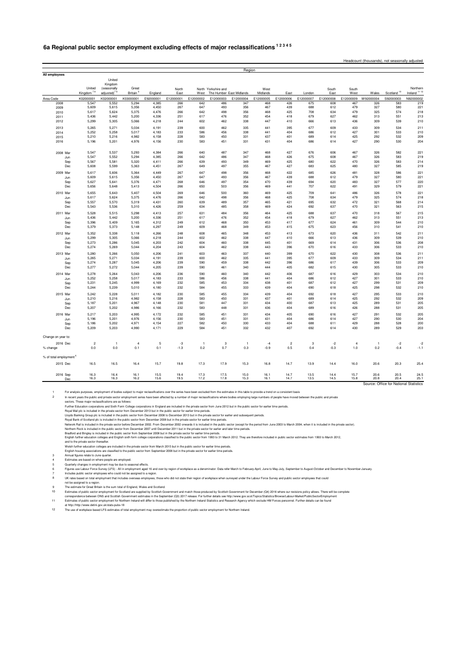## **6a Regional public sector employment excluding effects of major reclassifications 1 2 3 4 5**

|                                    |                       |                         |                      |                |            |                |                     | Region                   |              |                |            |            |              |                |                                        |                         |
|------------------------------------|-----------------------|-------------------------|----------------------|----------------|------------|----------------|---------------------|--------------------------|--------------|----------------|------------|------------|--------------|----------------|----------------------------------------|-------------------------|
| All employees                      |                       |                         |                      |                |            |                |                     |                          |              |                |            |            |              |                |                                        |                         |
|                                    |                       | United                  |                      |                |            |                |                     |                          |              |                |            |            |              |                |                                        |                         |
|                                    | United                | Kingdom<br>(seasonally  | Great                |                | North      |                | North Yorkshire and |                          | West         |                |            | South      | South        |                |                                        | Northern                |
|                                    | Kingdom <sup>78</sup> | adjusted) <sup>78</sup> | Britain <sup>9</sup> | England        | East       | West           |                     | The Humber East Midlands | Midlands     | Fast           | London     | East       | West         | Wales          | Scotland <sup>10</sup>                 | Ireland <sup>1112</sup> |
| Area Code                          | K02000001             | K02000001               | K03000001            | E92000001      | E12000001  | E12000002      | E12000003           | E12000004                | E12000005    | E12000006      | E12000007  | E12000008  | E12000009    | W92000004      | S92000003                              | N92000002               |
| 2008                               | 5.547                 | 5,552                   | 5,294                | 4,385          | 266        | 642            | 486                 | 347                      | 468          | 426            | 675        | 608        | 467          | 326            | 583                                    | 219                     |
| 2009                               | 5,609                 | 5,615                   | 5,356                | 4,450          | 267        | 647            | 493                 | 356                      | 467          | 439            | 688        | 612        | 479          | 327            | 580                                    | 221                     |
| 2010<br>2011                       | 5,617<br>5,436        | 5,624<br>5,442          | 5,375<br>5,200       | 4,476<br>4,336 | 266<br>251 | 642<br>617     | 498<br>476          | 356<br>352               | 468<br>454   | 425<br>418     | 708<br>679 | 634<br>627 | 479<br>462   | 325<br>313     | 574<br>551                             | 218<br>213              |
| 2012                               | 5,299                 | 5,305                   | 5,066                | 4,218          | 244        | 602            | 462                 | 338                      | 447          | 410            | 666        | 613        | 436          | 309            | 539                                    | 210                     |
|                                    | 5,265                 | 5,271                   | 5,034                | 4,191          | 239        | 600            | 462                 | 335                      | 441          | 395            | 677        | 609        | 433          | 309            | 534                                    | 211                     |
| 2013<br>2014                       | 5,252                 | 5,258                   | 5,017                | 4,183          | 233        | 586            | 456                 | 338                      | 441          | 404            | 686        | 612        | 427          | 301            | 533                                    | 210                     |
| 2015                               | 5,210                 | 5,216                   | 4,982                | 4,158          | 228        | 583            | 450                 | 331                      | 437          | 401            | 689        | 614        | 425          | 292            | 532                                    | 209                     |
| 2016                               | 5,196                 | 5,201                   | 4,976                | 4,156          | 230        | 583            | 451                 | 331                      | 431          | 404            | 686        | 614        | 427          | 290            | 530                                    | 204                     |
|                                    |                       |                         |                      |                |            |                |                     |                          |              |                |            |            |              |                |                                        |                         |
| 2008 Mar                           | 5,547                 | 5,537                   | 5,293                | 4,384          | 266        | 640            | 487                 | 347                      | 468          | 427            | 676        | 606        | 467          | 326            | 582                                    | 221                     |
| Jun                                | 5,547                 | 5,552                   | 5,294                | 4,385          | 266        | 642            | 486                 | 347                      | 468          | 426            | 675        | 608        | 467          | 326            | 583                                    | 219                     |
| Sep                                | 5,567                 | 5,581                   | 5,320                | 4,411          | 266        | 639            | 493                 | 349                      | 469          | 425            | 680        | 622        | 470          | 326            | 583                                    | 214                     |
| Dec                                | 5,608                 | 5,599                   | 5,363                | 4,451          | 267        | 649            | 497                 | 355                      | 467          | 427            | 683        | 625        | 480          | 327            | 585                                    | 219                     |
| 2009 Mar                           | 5,617                 | 5,606                   | 5,364                | 4,449          | 267        | 647            | 498                 | 356                      | 468          | 422            | 685        | 626        | 481          | 328            | 586                                    | 221                     |
| Jun                                | 5,609                 | 5,615                   | 5,356                | 4,450          | 267        | 647<br>646     | 493<br>497          | 356<br>354               | 467<br>470   | 439            | 688<br>694 | 612        | 479<br>483   | 327<br>327     | 580<br>577                             | 221                     |
| Sep<br>Dec                         | 5,627<br>5,656        | 5,641<br>5,648          | 5,376<br>5,413       | 4,471<br>4,504 | 268<br>266 | 650            | 503                 | 356                      | 469          | 439<br>441     | 707        | 620<br>622 | 491          | 329            | 579                                    | 220<br>221              |
|                                    |                       |                         |                      |                |            |                |                     |                          |              |                |            |            |              |                |                                        |                         |
| 2010 Mar                           | 5,655<br>5,617        | 5,643<br>5,624          | 5,407<br>5,375       | 4,504<br>4,476 | 269<br>266 | 646<br>642     | 500<br>498          | 360<br>356               | 469<br>468   | 425<br>425     | 709<br>708 | 641<br>634 | 486<br>479   | 326<br>325     | 578<br>574                             | 221<br>218              |
| Jun<br>Sep                         | 5,557                 | 5,570                   | 5,319                | 4,431          | 260        | 639            | 489                 | 357                      | 465          | 421            | 695        | 632        | 472          | 321            | 568                                    | 214                     |
| Dec                                | 5,543                 | 5,536                   | 5,310                | 4,426          | 259        | 634            | 485                 | 358                      | 469          | 424            | 692        | 637        | 470          | 321            | 563                                    | 215                     |
| 2011 Mar                           | 5,528                 | 5,515                   | 5,298                | 4,413          | 257        | 631            | 484                 | 356                      | 464          | 425            | 688        | 637        | 470          | 318            | 567                                    | 215                     |
| Jun                                | 5,436                 | 5,442                   | 5,200                | 4,336          | 251        | 617            | 476                 | 352                      | 454          | 418            | 679        | 627        | 462          | 313            | 551                                    | 213                     |
| Sep                                | 5,396                 | 5,409                   | 5,165                | 4,312          | 249        | 612            | 468                 | 350                      | 453          | 417            | 677        | 624        | 461          | 309            | 544                                    | 210                     |
| Dec                                | 5,379                 | 5,373                   | 5,148                | 4,297          | 249        | 609            | 468                 | 349                      | 453          | 415            | 675        | 623        | 456          | 310            | 541                                    | 210                     |
| 2012 Mar                           | 5,352                 | 5,338                   | 5,118                | 4,266          | 248        | 608            | 465                 | 348                      | 453          | 413            | 673        | 620        | 436          | 311            | 542                                    | 211                     |
| Jun                                | 5,299                 | 5,305                   | 5,066                | 4,218          | 244        | 602            | 462                 | 338                      | 447          | 410            | 666        | 613        | 436          | 309            | 539                                    | 210                     |
| Sep                                | 5,273                 | 5,286                   | 5,045                | 4,203          | 242        | 604            | 460                 | 338                      | 445          | 401            | 669        | 614        | 431          | 306            | 536                                    | 208                     |
| Dec                                | 5,274                 | 5,269                   | 5,044                | 4,204          | 243        | 604            | 462                 | 338                      | 443          | 396            | 670        | 616        | 433          | 306            | 533                                    | 210                     |
| 2013 Mar                           | 5,280                 | 5,266                   | 5,050                | 4,206          | 241        | 603            | 463                 | 337                      | 440          | 399            | 670        | 622        | 430          | 308            | 536                                    | 211                     |
| Jun                                | 5,265                 | 5,271                   | 5,034                | 4,191          | 239        | 600            | 462                 | 335                      | 441          | 395            | 677        | 609        | 433          | 309            | 534                                    | 211                     |
| Sep                                | 5,274                 | 5,287                   | 5,045                | 4,206          | 239        | 590            | 459                 | 338                      | 442          | 396            | 686        | 617        | 439          | 306            | 533                                    | 209                     |
| Dec                                | 5,277                 | 5,272                   | 5,044                | 4,205          | 239        | 590            | 461                 | 340                      | 444          | 405            | 682        | 615        | 430          | 305            | 533                                    | 210                     |
| 2014 Mar                           | 5,278                 | 5,264                   | 5,043                | 4,206          | 236        | 590            | 460                 | 340                      | 442          | 406            | 687        | 616        | 429          | 303            | 534                                    | 210                     |
| Jun.                               | 5,252<br>5.231        | 5,258<br>5.245          | 5,017<br>4.999       | 4,183<br>4.169 | 233<br>232 | 586<br>585     | 456<br>453          | 338<br>334               | 441<br>438   | 404<br>401     | 686<br>687 | 612<br>612 | 427<br>427   | 301<br>299     | 533<br>531                             | 210<br>209              |
| Sep<br>Dec                         | 5,244                 | 5,239                   | 5,010                | 4,180          | 232        | 584            | 455                 | 333                      | 439          | 404            | 690        | 618        | 425          | 298            | 532                                    | 210                     |
|                                    |                       |                         |                      |                |            |                |                     |                          |              |                |            |            |              |                |                                        |                         |
| 2015 Mar<br>Jun                    | 5,242<br>5,210        | 5,228<br>5,216          | 5,011<br>4,982       | 4,182<br>4,158 | 230<br>228 | 585<br>583     | 455<br>450          | 334<br>331               | 439<br>437   | 404<br>401     | 692<br>689 | 618<br>614 | 427<br>425   | 295<br>292     | 533<br>532                             | 210<br>209              |
| Sep                                | 5,187                 | 5,201                   | 4,967                | 4,148          | 230        | 581            | 447                 | 331                      | 434          | 400            | 687        | 613        | 425          | 289            | 531                                    | 205                     |
| Dec                                | 5,207                 | 5,202                   | 4,986                | 4,166          | 232        | 583            | 448                 | 331                      | 436          | 404            | 689        | 616        | 426          | 288            | 531                                    | 205                     |
| 2016 Mar                           | 5,217                 | 5,203                   | 4,995                | 4,172          | 232        | 585            | 451                 | 331                      | 434          | 405            | 690        | 616        | 427          | 291            | 532                                    | 205                     |
| Jun                                | 5,196                 | 5,201                   | 4,976                | 4,156          | 230        | 583            | 451                 | 331                      | 431          | 404            | 686        | 614        | 427          | 290            | 530                                    | 204                     |
| Sep                                | 5,186                 | 5,202                   | 4,971                | 4,154          | 227        | 582            | 450                 | 330                      | 433          | 404            | 688        | 611        | 429          | 288            | 528                                    | 200                     |
| Dec                                | 5,209                 | 5,203                   | 4,990                | 4,171          | 229        | 584            | 451                 | 332                      | 432          | 407            | 692        | 614        | 430          | 289            | 529                                    | 203                     |
| Change on year to:                 |                       |                         |                      |                |            |                |                     |                          |              |                |            |            |              |                |                                        |                         |
| 2016 Dec                           | $\overline{c}$        | $\mathbf{1}$            | $\overline{4}$       | 5              | $-3$       | $\overline{1}$ | 3                   | $\overline{1}$           | $-4$         | $\overline{c}$ | 3          | $-2$       | 4            | $\overline{1}$ | $-2$                                   | $-2$                    |
| % change                           | 0.0                   | 0.0                     | 0.1                  | 0.1            | $-1.3$     | 0.2            | 0.7                 | 0.3                      | $-0.9$       | 0.5            | 0.4        | $-0.3$     | 1.0          | 0.2            | $-0.4$                                 | $-1.1$                  |
|                                    |                       |                         |                      |                |            |                |                     |                          |              |                |            |            |              |                |                                        |                         |
| % of total employment <sup>6</sup> |                       |                         |                      |                |            |                |                     |                          |              |                |            |            |              |                |                                        |                         |
| 2015 Dec                           | 16.5                  | 16.5                    | 16.4                 | 15.7           | 19.8       | 17.3           | 17.9                | 15.3                     | 16.8         | 14.7           | 13.9       | 14.4       | 16.0         | 20.6           | 20.3                                   | 25.4                    |
|                                    | 16.3                  |                         |                      |                | 19.4       | 17.3           |                     |                          |              |                | 13.5       | 14.4       |              | 20.6           | 20.5                                   |                         |
| 2016 Sep<br>Dec                    | 16.3                  | 16.4<br>16.3            | 16.1<br>16.2         | 15.5<br>15.6   | 19.5       | 17.2           | 17.5<br>17.8        | 15.0<br>15.3             | 16.1<br>16.1 | 14.7<br>14.7   | 13.5       | 14.5       | 15.7<br>15.8 | 20.8           | 20.4                                   | 24.5<br>25.1            |
|                                    |                       |                         |                      |                |            |                |                     |                          |              |                |            |            |              |                | Source: Office for National Statistics |                         |

1 For analysis purposes, employment of boldes aubject to major ecclessifications over the selein technological particular to the selection of the listen and contained by the contained the properties in the selection of the

9 The estimate for Great Britain is the sum total of England, Wales and Scotland.<br>10 Estimates of public sector employment for Scotland are supplied by Scottish Gr

Estimates of public sector employment for Scotland are supplied by Scottish Government and match those produced by Scottish Government for December (C4) 2016 where our revisions policy allows. There will be complete<br>corres

at http://http://www.detini.gov.uk/stats-pubs-18 12 The use of workplace based LFS estimates of total employment may overestimate the proportion of public sector employment for Northern Ireland.

Headcount (thousands), not seasonally adjusted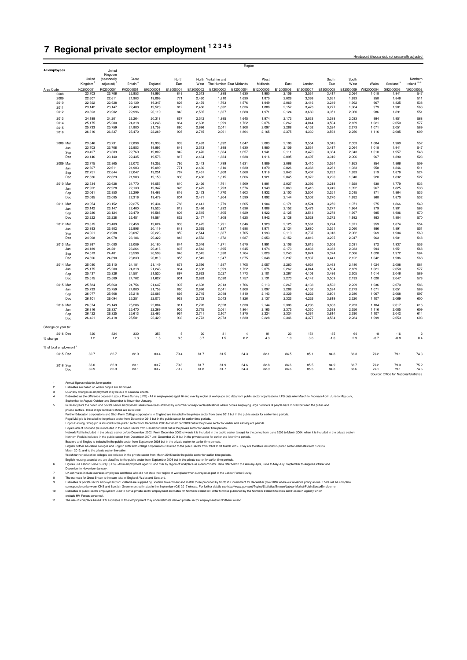## <span id="page-25-0"></span>**7 Regional private sector employment 1 2 3 4 5**

Headcount (thousands), not seasonally ad

| United<br>(seasonally<br>Northern<br>Great<br>North<br>North Yorkshire and<br>West<br>South<br>South<br>Ireland <sup>1011</sup><br>Kingdom $7$<br>adiusted) <sup>7</sup><br>Britain <sup>8</sup><br>The Humber East Midlands<br>Scotland <sup>9</sup><br>England<br>East<br>West<br>Midlands<br>East<br>London<br>East<br>West<br>Wales<br>E12000005<br>E12000006<br>W92000004<br>K02000001<br>K02000001<br>K03000001<br>E92000001<br>E12000001<br>E12000002<br>E12000003<br>E12000004<br>E12000007<br>E12000008<br>E12000009<br>S92000003<br>N92000002<br>Area Code<br>547<br>23,703<br>23,706<br>22,953<br>19,995<br>849<br>2,513<br>1,898<br>1,630<br>1,980<br>2,109<br>3,534<br>3,417<br>2,064<br>1,018<br>1,941<br>2008<br>511<br>2009<br>22,607<br>22,611<br>21,903<br>19,099<br>771<br>2,430<br>1,810<br>1,630<br>1,870<br>2,026<br>3,368<br>3,261<br>1,933<br>958<br>1,846<br>538<br>22,922<br>2,479<br>1,825<br>2010<br>22,928<br>22,139<br>19,347<br>826<br>1,793<br>1,576<br>1,949<br>2,069<br>3,416<br>3,249<br>1,992<br>967<br>563<br>23,142<br>19,520<br>812<br>2,486<br>1,832<br>1,888<br>2,152<br>3,473<br>3,277<br>1,964<br>979<br>1,901<br>2011<br>23,147<br>22,400<br>1,636<br>551<br>2012<br>23,893<br>23,902<br>22,996<br>1,971<br>3,680<br>1,891<br>20,119<br>843<br>2,565<br>1,837<br>1,688<br>2,124<br>3,351<br>2,060<br>986<br>568<br>24,189<br>24,201<br>23,264<br>20,318<br>837<br>2,542<br>1,895<br>1,645<br>1,974<br>2,173<br>3,833<br>3,388<br>2,033<br>994<br>1,951<br>2013<br>25,175<br>2,608<br>2,262<br>2,050<br>577<br>2014<br>25,200<br>24,318<br>21,248<br>864<br>1,999<br>1,722<br>2,076<br>4,044<br>3,504<br>2,169<br>1,021<br>2,041<br>2,288<br>589<br>2015<br>25,733<br>25,759<br>24,880<br>21,758<br>880<br>2,696<br>1,808<br>2,097<br>4,152<br>3,524<br>2,273<br>1,071<br>2,051<br>26,316<br>26,337<br>25,470<br>22,269<br>905<br>2,715<br>2,061<br>1,864<br>2,375<br>4,330<br>3,598<br>2,256<br>2,085<br>609<br>2016<br>2,165<br>1,116<br>2008 Mar<br>23,646<br>23,731<br>22,898<br>19,933<br>839<br>2.493<br>1.892<br>1,647<br>2,003<br>2,106<br>3.554<br>3.345<br>2.053<br>1.004<br>1,960<br>552<br>547<br>23,703<br>23,706<br>22,953<br>19,995<br>849<br>2,513<br>1,898<br>1,630<br>1,980<br>2,109<br>3,534<br>3,417<br>2,064<br>1,018<br>1,941<br>Jun<br>548<br>23,497<br>23,389<br>22,769<br>19,802<br>842<br>2,470<br>1,884<br>1,657<br>1,941<br>2,111<br>3,470<br>3,384<br>2,043<br>1,010<br>1,957<br>Sep<br>23,140<br>22,435<br>19,578<br>817<br>2,464<br>1,834<br>1,638<br>1,916<br>2,095<br>3,497<br>3,310<br>967<br>1,890<br>523<br>Dec<br>23,146<br>2,006<br>509<br>19,252<br>2,068<br>22,775<br>22,865<br>22,072<br>795<br>2,443<br>1,799<br>1,631<br>1,889<br>3,410<br>3,264<br>1,953<br>954<br>1,866<br>2009 Mar<br>511<br>22,607<br>22,611<br>21,903<br>19,099<br>771<br>2.430<br>1,810<br>1,630<br>1,870<br>2.026<br>3,368<br>3,261<br>1.933<br>958<br>1,846<br>Jun<br>524<br>22,644<br>22,047<br>787<br>2,461<br>1,808<br>2,040<br>3,407<br>3,232<br>1,933<br>1,876<br>22,751<br>19,251<br>1,668<br>1,916<br>919<br>Sep<br>527<br>1,832<br>22,636<br>22,629<br>21,903<br>19,150<br>800<br>2,430<br>1,815<br>1,606<br>1,921<br>2,045<br>3,372<br>3,220<br>1,940<br>920<br>Dec<br>22,534<br>19,053<br>1,791<br>2,027<br>3,392<br>3,218<br>1,779<br>533<br>22,628<br>21,770<br>810<br>2,426<br>1,569<br>1,891<br>1,928<br>938<br>2010 Mar<br>538<br>22,922<br>22,928<br>22,139<br>19,347<br>826<br>2,479<br>1,793<br>1,576<br>1,949<br>2,069<br>3,416<br>3,249<br>1,992<br>967<br>1,825<br>Jun<br>23,061<br>22,950<br>22,299<br>19,463<br>816<br>2,473<br>1,770<br>1,603<br>1,932<br>2,100<br>3,504<br>3,251<br>2,015<br>971<br>1,864<br>535<br>Sep<br>532<br>23,085<br>2,471<br>1,804<br>1,870<br>23,085<br>22,316<br>19,479<br>804<br>1,599<br>1,892<br>2,144<br>3,502<br>3,270<br>1,992<br>968<br>Dec<br>23,054<br>22.275<br>19.434<br>788<br>1.779<br>1.904<br>2.171<br>3.524<br>3.250<br>1.971<br>975<br>1.866<br>549<br>2011 Mar<br>23.152<br>2.441<br>1,605<br>22,400<br>812<br>2,486<br>1,832<br>1,888<br>2,152<br>3,473<br>979<br>1,901<br>563<br>23,142<br>23,147<br>19,520<br>1,636<br>3,277<br>1,964<br>Jun<br>570<br>23,236<br>23,124<br>22,479<br>19,588<br>806<br>2,515<br>1,805<br>1,629<br>1,922<br>2,125<br>3,513<br>3,278<br>1,997<br>985<br>1,906<br>Sep<br>23,222<br>23,228<br>22,451<br>19,584<br>822<br>2,477<br>1,808<br>1,625<br>1,942<br>2,128<br>3,528<br>3,272<br>1,982<br>983<br>1,884<br>570<br>Dec<br>554<br>2012 Mar<br>23,315<br>23,409<br>22,458<br>19,624<br>833<br>2.475<br>1,791<br>1,646<br>1,929<br>2.125<br>3.581<br>3,274<br>1,971<br>959<br>1.874<br>22.996<br>1.971<br>3.680<br>986<br>1.891<br>551<br>23,893<br>23.902<br>20.119<br>843<br>2.565<br>1.837<br>1.688<br>2.124<br>3.351<br>2.060<br>Jun<br>20,223<br>859<br>3,737<br>969<br>1,904<br>560<br>24,021<br>23,908<br>23,097<br>2,544<br>1,887<br>1,705<br>1,993<br>2,119<br>3,318<br>2,062<br>Sep<br>24,068<br>20,322<br>848<br>2,552<br>1,872<br>1,687<br>2,053<br>2,152<br>3,816<br>3,295<br>2,047<br>963<br>1,901<br>548<br>Dec<br>24,078<br>23,186<br>556<br>2013 Mar<br>23,997<br>24,080<br>23,089<br>20,180<br>2,546<br>1,871<br>1,670<br>1,991<br>2,106<br>3,815<br>3,306<br>2,031<br>972<br>1,937<br>844<br>568<br>24,189<br>24,201<br>23,264<br>20,318<br>837<br>2,542<br>1,895<br>1,645<br>1,974<br>2,173<br>3,833<br>3,388<br>2,033<br>994<br>1,951<br>Jun<br>564<br>24,513<br>24,401<br>23,598<br>20,599<br>846<br>2.545<br>1,930<br>1,704<br>2.020<br>2.240<br>3,874<br>3,374<br>2,066<br>1,028<br>1,972<br>Sep<br>568<br>855<br>1,675<br>2,237<br>3,937<br>1,986<br>Dec<br>24,696<br>24,690<br>23,839<br>20,810<br>2,549<br>1,947<br>2,048<br>3,441<br>2,122<br>1,042<br>25,030<br>25,110<br>24,181<br>21,149<br>878<br>2,596<br>1,987<br>1,705<br>2,057<br>2,260<br>4,024<br>3,463<br>2,180<br>1,024<br>2,008<br>581<br>2014 Mar<br>577<br>25,175<br>25,200<br>1,999<br>1,722<br>2,076<br>2,262<br>2,050<br>24,318<br>21,248<br>864<br>2,608<br>4,044<br>3,504<br>2,169<br>1,021<br>Jun<br>589<br>25,437<br>25,326<br>24,581<br>21,520<br>897<br>2,662<br>2,027<br>1,773<br>2,101<br>2,267<br>4,103<br>3,486<br>2,205<br>1,014<br>2,046<br>Sep<br>578<br>25,515<br>25,509<br>24,702<br>21,627<br>901<br>2,693<br>2,030<br>1,757<br>2,131<br>2,270<br>4,142<br>3,509<br>2,193<br>1,028<br>2,047<br>Dec<br>25,584<br>24,754<br>907<br>2,698<br>2,013<br>1,766<br>2,113<br>2,267<br>4,133<br>3,522<br>2,229<br>2,070<br>586<br>2015 Mar<br>25,660<br>21,647<br>1,036<br>25,733<br>25,759<br>24,880<br>21,758<br>880<br>2.696<br>2,041<br>1,808<br>2,097<br>2.288<br>4,152<br>3.524<br>2.273<br>1,071<br>2,051<br>589<br>Jun<br>2,068<br>597<br>26,077<br>25,968<br>22,083<br>895<br>2,745<br>2,048<br>1,810<br>2,143<br>2,329<br>4,222<br>3,604<br>2,286<br>1,067<br>Sep<br>25,218<br>26,101<br>26,094<br>25,251<br>22,075<br>929<br>2,753<br>2,043<br>1,826<br>2,137<br>2,323<br>4,226<br>3,619<br>2,220<br>1,107<br>2,069<br>600<br>Dec<br>22,084<br>2,306<br>4,296<br>26,074<br>26,149<br>25,206<br>911<br>2,720<br>2,028<br>1,838<br>2,144<br>3,608<br>2,233<br>2,017<br>616<br>1,104<br>2016 Mar<br>2,375<br>609<br>26,316<br>26,337<br>25,470<br>22,269<br>905<br>2,715<br>2,061<br>1,864<br>2,165<br>4,330<br>3,598<br>2,256<br>1,116<br>2,085<br>Jun<br>614<br>26,422<br>26,325<br>25,613<br>22,465<br>934<br>2,741<br>2,107<br>1,870<br>2,224<br>2,324<br>4,361<br>3,614<br>2,290<br>1,107<br>2,042<br>Sep<br>25.581<br>933<br>2.073<br>1,830<br>2.346<br>3,584<br>1.099<br>2.053<br>603<br>26,421<br>26.418<br>22,429<br>2.773<br>2.228<br>4,377<br>2.284<br>Dec<br>Change on year to:<br>330<br>$\mathbf 5$<br>23<br>320<br>324<br>353<br>20<br>31<br>91<br>151<br>$-35$<br>64<br>-8<br>$-16$<br>2016 Dec<br>$\overline{4}$<br>$\overline{2}$<br>0.5<br>0.7<br>$-0.7$<br>$-0.8$<br>1.2<br>1.2<br>1.3<br>1.6<br>1.5<br>0.2<br>4.3<br>1.0<br>3.6<br>$-1.0$<br>2.9<br>0.4<br>% change<br>% of total employment <sup>6</sup><br>82.7<br>82.7<br>82.9<br>83.4<br>79.4<br>81.7<br>81.5<br>84.3<br>82.1<br>84.5<br>85.1<br>84.8<br>83.3<br>79.2<br>79.1<br>74.3<br>2015 Dec<br>83.0<br>82.9<br>83.1<br>83.7<br>79.8<br>81.7<br>81.9<br>84.6<br>82.8<br>84.6<br>85.5<br>84.9<br>83.7<br>79.2<br>79.0<br>75.2<br>2016 Sep<br>82.9<br>82.9<br>83.1<br>83.7<br>79.7<br>81.8<br>84.3<br>82.9<br>85.5<br>84.8<br>83.6<br>74.6<br>81.7<br>84.6<br>79.1<br>79.1<br>Dec<br>Source: Office for National Statistics | All employees | United  |  |  |  |  |  |  |  |
|-----------------------------------------------------------------------------------------------------------------------------------------------------------------------------------------------------------------------------------------------------------------------------------------------------------------------------------------------------------------------------------------------------------------------------------------------------------------------------------------------------------------------------------------------------------------------------------------------------------------------------------------------------------------------------------------------------------------------------------------------------------------------------------------------------------------------------------------------------------------------------------------------------------------------------------------------------------------------------------------------------------------------------------------------------------------------------------------------------------------------------------------------------------------------------------------------------------------------------------------------------------------------------------------------------------------------------------------------------------------------------------------------------------------------------------------------------------------------------------------------------------------------------------------------------------------------------------------------------------------------------------------------------------------------------------------------------------------------------------------------------------------------------------------------------------------------------------------------------------------------------------------------------------------------------------------------------------------------------------------------------------------------------------------------------------------------------------------------------------------------------------------------------------------------------------------------------------------------------------------------------------------------------------------------------------------------------------------------------------------------------------------------------------------------------------------------------------------------------------------------------------------------------------------------------------------------------------------------------------------------------------------------------------------------------------------------------------------------------------------------------------------------------------------------------------------------------------------------------------------------------------------------------------------------------------------------------------------------------------------------------------------------------------------------------------------------------------------------------------------------------------------------------------------------------------------------------------------------------------------------------------------------------------------------------------------------------------------------------------------------------------------------------------------------------------------------------------------------------------------------------------------------------------------------------------------------------------------------------------------------------------------------------------------------------------------------------------------------------------------------------------------------------------------------------------------------------------------------------------------------------------------------------------------------------------------------------------------------------------------------------------------------------------------------------------------------------------------------------------------------------------------------------------------------------------------------------------------------------------------------------------------------------------------------------------------------------------------------------------------------------------------------------------------------------------------------------------------------------------------------------------------------------------------------------------------------------------------------------------------------------------------------------------------------------------------------------------------------------------------------------------------------------------------------------------------------------------------------------------------------------------------------------------------------------------------------------------------------------------------------------------------------------------------------------------------------------------------------------------------------------------------------------------------------------------------------------------------------------------------------------------------------------------------------------------------------------------------------------------------------------------------------------------------------------------------------------------------------------------------------------------------------------------------------------------------------------------------------------------------------------------------------------------------------------------------------------------------------------------------------------------------------------------------------------------------------------------------------------------------------------------------------------------------------------------------------------------------------------------------------------------------------------------------------------------------------------------------------------------------------------------------------------------------------------------------------------------------------------------------------------------------------------------------------------------------------------------------------------------------------------------------------------------------------------------------------------------------------------------------------------------------------------------------------------------------------------------------------------------------------------------------------------------------------------------------------------------------------------------------------------------------------------------------------------------------------------------------------------------------------------------------------------------------------------------------------------------------------------------------------------------------------------------------------------------------------------------------------------------------------------------------------------------------------------------------------------------------------------------------------------------------------------------------------------------------------------------------------------------------------------------------------------------------------------------------------------------------------------------------------------------------------------------------------------------------------------------------------------------------------------------------------------------------------------------------------------------------------------------------------------------------------------------------------------------------------------------------------------------------------------------------------------------------------------------------------------------------------------------------------------------------------------------------------------------------------------------------------------------------------------------------------------------------------------------------------------------------------------------------------------------------------------------------------------------------------------------------------------------------------------------------------------------------------------------------------------------------------------------------|---------------|---------|--|--|--|--|--|--|--|
|                                                                                                                                                                                                                                                                                                                                                                                                                                                                                                                                                                                                                                                                                                                                                                                                                                                                                                                                                                                                                                                                                                                                                                                                                                                                                                                                                                                                                                                                                                                                                                                                                                                                                                                                                                                                                                                                                                                                                                                                                                                                                                                                                                                                                                                                                                                                                                                                                                                                                                                                                                                                                                                                                                                                                                                                                                                                                                                                                                                                                                                                                                                                                                                                                                                                                                                                                                                                                                                                                                                                                                                                                                                                                                                                                                                                                                                                                                                                                                                                                                                                                                                                                                                                                                                                                                                                                                                                                                                                                                                                                                                                                                                                                                                                                                                                                                                                                                                                                                                                                                                                                                                                                                                                                                                                                                                                                                                                                                                                                                                                                                                                                                                                                                                                                                                                                                                                                                                                                                                                                                                                                                                                                                                                                                                                                                                                                                                                                                                                                                                                                                                                                                                                                                                                                                                                                                                                                                                                                                                                                                                                                                                                                                                                                                                                                                                                                                                                                                                                                                                                                                                                                                                                                                                                                                                                                                                                                                                                                                                                                                                                                                                                                                                                                                                                                                                                                                                                                                                                                         |               | Kingdom |  |  |  |  |  |  |  |
|                                                                                                                                                                                                                                                                                                                                                                                                                                                                                                                                                                                                                                                                                                                                                                                                                                                                                                                                                                                                                                                                                                                                                                                                                                                                                                                                                                                                                                                                                                                                                                                                                                                                                                                                                                                                                                                                                                                                                                                                                                                                                                                                                                                                                                                                                                                                                                                                                                                                                                                                                                                                                                                                                                                                                                                                                                                                                                                                                                                                                                                                                                                                                                                                                                                                                                                                                                                                                                                                                                                                                                                                                                                                                                                                                                                                                                                                                                                                                                                                                                                                                                                                                                                                                                                                                                                                                                                                                                                                                                                                                                                                                                                                                                                                                                                                                                                                                                                                                                                                                                                                                                                                                                                                                                                                                                                                                                                                                                                                                                                                                                                                                                                                                                                                                                                                                                                                                                                                                                                                                                                                                                                                                                                                                                                                                                                                                                                                                                                                                                                                                                                                                                                                                                                                                                                                                                                                                                                                                                                                                                                                                                                                                                                                                                                                                                                                                                                                                                                                                                                                                                                                                                                                                                                                                                                                                                                                                                                                                                                                                                                                                                                                                                                                                                                                                                                                                                                                                                                                                         |               |         |  |  |  |  |  |  |  |
|                                                                                                                                                                                                                                                                                                                                                                                                                                                                                                                                                                                                                                                                                                                                                                                                                                                                                                                                                                                                                                                                                                                                                                                                                                                                                                                                                                                                                                                                                                                                                                                                                                                                                                                                                                                                                                                                                                                                                                                                                                                                                                                                                                                                                                                                                                                                                                                                                                                                                                                                                                                                                                                                                                                                                                                                                                                                                                                                                                                                                                                                                                                                                                                                                                                                                                                                                                                                                                                                                                                                                                                                                                                                                                                                                                                                                                                                                                                                                                                                                                                                                                                                                                                                                                                                                                                                                                                                                                                                                                                                                                                                                                                                                                                                                                                                                                                                                                                                                                                                                                                                                                                                                                                                                                                                                                                                                                                                                                                                                                                                                                                                                                                                                                                                                                                                                                                                                                                                                                                                                                                                                                                                                                                                                                                                                                                                                                                                                                                                                                                                                                                                                                                                                                                                                                                                                                                                                                                                                                                                                                                                                                                                                                                                                                                                                                                                                                                                                                                                                                                                                                                                                                                                                                                                                                                                                                                                                                                                                                                                                                                                                                                                                                                                                                                                                                                                                                                                                                                                                         |               |         |  |  |  |  |  |  |  |
|                                                                                                                                                                                                                                                                                                                                                                                                                                                                                                                                                                                                                                                                                                                                                                                                                                                                                                                                                                                                                                                                                                                                                                                                                                                                                                                                                                                                                                                                                                                                                                                                                                                                                                                                                                                                                                                                                                                                                                                                                                                                                                                                                                                                                                                                                                                                                                                                                                                                                                                                                                                                                                                                                                                                                                                                                                                                                                                                                                                                                                                                                                                                                                                                                                                                                                                                                                                                                                                                                                                                                                                                                                                                                                                                                                                                                                                                                                                                                                                                                                                                                                                                                                                                                                                                                                                                                                                                                                                                                                                                                                                                                                                                                                                                                                                                                                                                                                                                                                                                                                                                                                                                                                                                                                                                                                                                                                                                                                                                                                                                                                                                                                                                                                                                                                                                                                                                                                                                                                                                                                                                                                                                                                                                                                                                                                                                                                                                                                                                                                                                                                                                                                                                                                                                                                                                                                                                                                                                                                                                                                                                                                                                                                                                                                                                                                                                                                                                                                                                                                                                                                                                                                                                                                                                                                                                                                                                                                                                                                                                                                                                                                                                                                                                                                                                                                                                                                                                                                                                                         |               |         |  |  |  |  |  |  |  |
|                                                                                                                                                                                                                                                                                                                                                                                                                                                                                                                                                                                                                                                                                                                                                                                                                                                                                                                                                                                                                                                                                                                                                                                                                                                                                                                                                                                                                                                                                                                                                                                                                                                                                                                                                                                                                                                                                                                                                                                                                                                                                                                                                                                                                                                                                                                                                                                                                                                                                                                                                                                                                                                                                                                                                                                                                                                                                                                                                                                                                                                                                                                                                                                                                                                                                                                                                                                                                                                                                                                                                                                                                                                                                                                                                                                                                                                                                                                                                                                                                                                                                                                                                                                                                                                                                                                                                                                                                                                                                                                                                                                                                                                                                                                                                                                                                                                                                                                                                                                                                                                                                                                                                                                                                                                                                                                                                                                                                                                                                                                                                                                                                                                                                                                                                                                                                                                                                                                                                                                                                                                                                                                                                                                                                                                                                                                                                                                                                                                                                                                                                                                                                                                                                                                                                                                                                                                                                                                                                                                                                                                                                                                                                                                                                                                                                                                                                                                                                                                                                                                                                                                                                                                                                                                                                                                                                                                                                                                                                                                                                                                                                                                                                                                                                                                                                                                                                                                                                                                                                         |               |         |  |  |  |  |  |  |  |
|                                                                                                                                                                                                                                                                                                                                                                                                                                                                                                                                                                                                                                                                                                                                                                                                                                                                                                                                                                                                                                                                                                                                                                                                                                                                                                                                                                                                                                                                                                                                                                                                                                                                                                                                                                                                                                                                                                                                                                                                                                                                                                                                                                                                                                                                                                                                                                                                                                                                                                                                                                                                                                                                                                                                                                                                                                                                                                                                                                                                                                                                                                                                                                                                                                                                                                                                                                                                                                                                                                                                                                                                                                                                                                                                                                                                                                                                                                                                                                                                                                                                                                                                                                                                                                                                                                                                                                                                                                                                                                                                                                                                                                                                                                                                                                                                                                                                                                                                                                                                                                                                                                                                                                                                                                                                                                                                                                                                                                                                                                                                                                                                                                                                                                                                                                                                                                                                                                                                                                                                                                                                                                                                                                                                                                                                                                                                                                                                                                                                                                                                                                                                                                                                                                                                                                                                                                                                                                                                                                                                                                                                                                                                                                                                                                                                                                                                                                                                                                                                                                                                                                                                                                                                                                                                                                                                                                                                                                                                                                                                                                                                                                                                                                                                                                                                                                                                                                                                                                                                                         |               |         |  |  |  |  |  |  |  |
|                                                                                                                                                                                                                                                                                                                                                                                                                                                                                                                                                                                                                                                                                                                                                                                                                                                                                                                                                                                                                                                                                                                                                                                                                                                                                                                                                                                                                                                                                                                                                                                                                                                                                                                                                                                                                                                                                                                                                                                                                                                                                                                                                                                                                                                                                                                                                                                                                                                                                                                                                                                                                                                                                                                                                                                                                                                                                                                                                                                                                                                                                                                                                                                                                                                                                                                                                                                                                                                                                                                                                                                                                                                                                                                                                                                                                                                                                                                                                                                                                                                                                                                                                                                                                                                                                                                                                                                                                                                                                                                                                                                                                                                                                                                                                                                                                                                                                                                                                                                                                                                                                                                                                                                                                                                                                                                                                                                                                                                                                                                                                                                                                                                                                                                                                                                                                                                                                                                                                                                                                                                                                                                                                                                                                                                                                                                                                                                                                                                                                                                                                                                                                                                                                                                                                                                                                                                                                                                                                                                                                                                                                                                                                                                                                                                                                                                                                                                                                                                                                                                                                                                                                                                                                                                                                                                                                                                                                                                                                                                                                                                                                                                                                                                                                                                                                                                                                                                                                                                                                         |               |         |  |  |  |  |  |  |  |
|                                                                                                                                                                                                                                                                                                                                                                                                                                                                                                                                                                                                                                                                                                                                                                                                                                                                                                                                                                                                                                                                                                                                                                                                                                                                                                                                                                                                                                                                                                                                                                                                                                                                                                                                                                                                                                                                                                                                                                                                                                                                                                                                                                                                                                                                                                                                                                                                                                                                                                                                                                                                                                                                                                                                                                                                                                                                                                                                                                                                                                                                                                                                                                                                                                                                                                                                                                                                                                                                                                                                                                                                                                                                                                                                                                                                                                                                                                                                                                                                                                                                                                                                                                                                                                                                                                                                                                                                                                                                                                                                                                                                                                                                                                                                                                                                                                                                                                                                                                                                                                                                                                                                                                                                                                                                                                                                                                                                                                                                                                                                                                                                                                                                                                                                                                                                                                                                                                                                                                                                                                                                                                                                                                                                                                                                                                                                                                                                                                                                                                                                                                                                                                                                                                                                                                                                                                                                                                                                                                                                                                                                                                                                                                                                                                                                                                                                                                                                                                                                                                                                                                                                                                                                                                                                                                                                                                                                                                                                                                                                                                                                                                                                                                                                                                                                                                                                                                                                                                                                                         |               |         |  |  |  |  |  |  |  |
|                                                                                                                                                                                                                                                                                                                                                                                                                                                                                                                                                                                                                                                                                                                                                                                                                                                                                                                                                                                                                                                                                                                                                                                                                                                                                                                                                                                                                                                                                                                                                                                                                                                                                                                                                                                                                                                                                                                                                                                                                                                                                                                                                                                                                                                                                                                                                                                                                                                                                                                                                                                                                                                                                                                                                                                                                                                                                                                                                                                                                                                                                                                                                                                                                                                                                                                                                                                                                                                                                                                                                                                                                                                                                                                                                                                                                                                                                                                                                                                                                                                                                                                                                                                                                                                                                                                                                                                                                                                                                                                                                                                                                                                                                                                                                                                                                                                                                                                                                                                                                                                                                                                                                                                                                                                                                                                                                                                                                                                                                                                                                                                                                                                                                                                                                                                                                                                                                                                                                                                                                                                                                                                                                                                                                                                                                                                                                                                                                                                                                                                                                                                                                                                                                                                                                                                                                                                                                                                                                                                                                                                                                                                                                                                                                                                                                                                                                                                                                                                                                                                                                                                                                                                                                                                                                                                                                                                                                                                                                                                                                                                                                                                                                                                                                                                                                                                                                                                                                                                                                         |               |         |  |  |  |  |  |  |  |
|                                                                                                                                                                                                                                                                                                                                                                                                                                                                                                                                                                                                                                                                                                                                                                                                                                                                                                                                                                                                                                                                                                                                                                                                                                                                                                                                                                                                                                                                                                                                                                                                                                                                                                                                                                                                                                                                                                                                                                                                                                                                                                                                                                                                                                                                                                                                                                                                                                                                                                                                                                                                                                                                                                                                                                                                                                                                                                                                                                                                                                                                                                                                                                                                                                                                                                                                                                                                                                                                                                                                                                                                                                                                                                                                                                                                                                                                                                                                                                                                                                                                                                                                                                                                                                                                                                                                                                                                                                                                                                                                                                                                                                                                                                                                                                                                                                                                                                                                                                                                                                                                                                                                                                                                                                                                                                                                                                                                                                                                                                                                                                                                                                                                                                                                                                                                                                                                                                                                                                                                                                                                                                                                                                                                                                                                                                                                                                                                                                                                                                                                                                                                                                                                                                                                                                                                                                                                                                                                                                                                                                                                                                                                                                                                                                                                                                                                                                                                                                                                                                                                                                                                                                                                                                                                                                                                                                                                                                                                                                                                                                                                                                                                                                                                                                                                                                                                                                                                                                                                                         |               |         |  |  |  |  |  |  |  |
|                                                                                                                                                                                                                                                                                                                                                                                                                                                                                                                                                                                                                                                                                                                                                                                                                                                                                                                                                                                                                                                                                                                                                                                                                                                                                                                                                                                                                                                                                                                                                                                                                                                                                                                                                                                                                                                                                                                                                                                                                                                                                                                                                                                                                                                                                                                                                                                                                                                                                                                                                                                                                                                                                                                                                                                                                                                                                                                                                                                                                                                                                                                                                                                                                                                                                                                                                                                                                                                                                                                                                                                                                                                                                                                                                                                                                                                                                                                                                                                                                                                                                                                                                                                                                                                                                                                                                                                                                                                                                                                                                                                                                                                                                                                                                                                                                                                                                                                                                                                                                                                                                                                                                                                                                                                                                                                                                                                                                                                                                                                                                                                                                                                                                                                                                                                                                                                                                                                                                                                                                                                                                                                                                                                                                                                                                                                                                                                                                                                                                                                                                                                                                                                                                                                                                                                                                                                                                                                                                                                                                                                                                                                                                                                                                                                                                                                                                                                                                                                                                                                                                                                                                                                                                                                                                                                                                                                                                                                                                                                                                                                                                                                                                                                                                                                                                                                                                                                                                                                                                         |               |         |  |  |  |  |  |  |  |
|                                                                                                                                                                                                                                                                                                                                                                                                                                                                                                                                                                                                                                                                                                                                                                                                                                                                                                                                                                                                                                                                                                                                                                                                                                                                                                                                                                                                                                                                                                                                                                                                                                                                                                                                                                                                                                                                                                                                                                                                                                                                                                                                                                                                                                                                                                                                                                                                                                                                                                                                                                                                                                                                                                                                                                                                                                                                                                                                                                                                                                                                                                                                                                                                                                                                                                                                                                                                                                                                                                                                                                                                                                                                                                                                                                                                                                                                                                                                                                                                                                                                                                                                                                                                                                                                                                                                                                                                                                                                                                                                                                                                                                                                                                                                                                                                                                                                                                                                                                                                                                                                                                                                                                                                                                                                                                                                                                                                                                                                                                                                                                                                                                                                                                                                                                                                                                                                                                                                                                                                                                                                                                                                                                                                                                                                                                                                                                                                                                                                                                                                                                                                                                                                                                                                                                                                                                                                                                                                                                                                                                                                                                                                                                                                                                                                                                                                                                                                                                                                                                                                                                                                                                                                                                                                                                                                                                                                                                                                                                                                                                                                                                                                                                                                                                                                                                                                                                                                                                                                                         |               |         |  |  |  |  |  |  |  |
|                                                                                                                                                                                                                                                                                                                                                                                                                                                                                                                                                                                                                                                                                                                                                                                                                                                                                                                                                                                                                                                                                                                                                                                                                                                                                                                                                                                                                                                                                                                                                                                                                                                                                                                                                                                                                                                                                                                                                                                                                                                                                                                                                                                                                                                                                                                                                                                                                                                                                                                                                                                                                                                                                                                                                                                                                                                                                                                                                                                                                                                                                                                                                                                                                                                                                                                                                                                                                                                                                                                                                                                                                                                                                                                                                                                                                                                                                                                                                                                                                                                                                                                                                                                                                                                                                                                                                                                                                                                                                                                                                                                                                                                                                                                                                                                                                                                                                                                                                                                                                                                                                                                                                                                                                                                                                                                                                                                                                                                                                                                                                                                                                                                                                                                                                                                                                                                                                                                                                                                                                                                                                                                                                                                                                                                                                                                                                                                                                                                                                                                                                                                                                                                                                                                                                                                                                                                                                                                                                                                                                                                                                                                                                                                                                                                                                                                                                                                                                                                                                                                                                                                                                                                                                                                                                                                                                                                                                                                                                                                                                                                                                                                                                                                                                                                                                                                                                                                                                                                                                         |               |         |  |  |  |  |  |  |  |
|                                                                                                                                                                                                                                                                                                                                                                                                                                                                                                                                                                                                                                                                                                                                                                                                                                                                                                                                                                                                                                                                                                                                                                                                                                                                                                                                                                                                                                                                                                                                                                                                                                                                                                                                                                                                                                                                                                                                                                                                                                                                                                                                                                                                                                                                                                                                                                                                                                                                                                                                                                                                                                                                                                                                                                                                                                                                                                                                                                                                                                                                                                                                                                                                                                                                                                                                                                                                                                                                                                                                                                                                                                                                                                                                                                                                                                                                                                                                                                                                                                                                                                                                                                                                                                                                                                                                                                                                                                                                                                                                                                                                                                                                                                                                                                                                                                                                                                                                                                                                                                                                                                                                                                                                                                                                                                                                                                                                                                                                                                                                                                                                                                                                                                                                                                                                                                                                                                                                                                                                                                                                                                                                                                                                                                                                                                                                                                                                                                                                                                                                                                                                                                                                                                                                                                                                                                                                                                                                                                                                                                                                                                                                                                                                                                                                                                                                                                                                                                                                                                                                                                                                                                                                                                                                                                                                                                                                                                                                                                                                                                                                                                                                                                                                                                                                                                                                                                                                                                                                                         |               |         |  |  |  |  |  |  |  |
|                                                                                                                                                                                                                                                                                                                                                                                                                                                                                                                                                                                                                                                                                                                                                                                                                                                                                                                                                                                                                                                                                                                                                                                                                                                                                                                                                                                                                                                                                                                                                                                                                                                                                                                                                                                                                                                                                                                                                                                                                                                                                                                                                                                                                                                                                                                                                                                                                                                                                                                                                                                                                                                                                                                                                                                                                                                                                                                                                                                                                                                                                                                                                                                                                                                                                                                                                                                                                                                                                                                                                                                                                                                                                                                                                                                                                                                                                                                                                                                                                                                                                                                                                                                                                                                                                                                                                                                                                                                                                                                                                                                                                                                                                                                                                                                                                                                                                                                                                                                                                                                                                                                                                                                                                                                                                                                                                                                                                                                                                                                                                                                                                                                                                                                                                                                                                                                                                                                                                                                                                                                                                                                                                                                                                                                                                                                                                                                                                                                                                                                                                                                                                                                                                                                                                                                                                                                                                                                                                                                                                                                                                                                                                                                                                                                                                                                                                                                                                                                                                                                                                                                                                                                                                                                                                                                                                                                                                                                                                                                                                                                                                                                                                                                                                                                                                                                                                                                                                                                                                         |               |         |  |  |  |  |  |  |  |
|                                                                                                                                                                                                                                                                                                                                                                                                                                                                                                                                                                                                                                                                                                                                                                                                                                                                                                                                                                                                                                                                                                                                                                                                                                                                                                                                                                                                                                                                                                                                                                                                                                                                                                                                                                                                                                                                                                                                                                                                                                                                                                                                                                                                                                                                                                                                                                                                                                                                                                                                                                                                                                                                                                                                                                                                                                                                                                                                                                                                                                                                                                                                                                                                                                                                                                                                                                                                                                                                                                                                                                                                                                                                                                                                                                                                                                                                                                                                                                                                                                                                                                                                                                                                                                                                                                                                                                                                                                                                                                                                                                                                                                                                                                                                                                                                                                                                                                                                                                                                                                                                                                                                                                                                                                                                                                                                                                                                                                                                                                                                                                                                                                                                                                                                                                                                                                                                                                                                                                                                                                                                                                                                                                                                                                                                                                                                                                                                                                                                                                                                                                                                                                                                                                                                                                                                                                                                                                                                                                                                                                                                                                                                                                                                                                                                                                                                                                                                                                                                                                                                                                                                                                                                                                                                                                                                                                                                                                                                                                                                                                                                                                                                                                                                                                                                                                                                                                                                                                                                                         |               |         |  |  |  |  |  |  |  |
|                                                                                                                                                                                                                                                                                                                                                                                                                                                                                                                                                                                                                                                                                                                                                                                                                                                                                                                                                                                                                                                                                                                                                                                                                                                                                                                                                                                                                                                                                                                                                                                                                                                                                                                                                                                                                                                                                                                                                                                                                                                                                                                                                                                                                                                                                                                                                                                                                                                                                                                                                                                                                                                                                                                                                                                                                                                                                                                                                                                                                                                                                                                                                                                                                                                                                                                                                                                                                                                                                                                                                                                                                                                                                                                                                                                                                                                                                                                                                                                                                                                                                                                                                                                                                                                                                                                                                                                                                                                                                                                                                                                                                                                                                                                                                                                                                                                                                                                                                                                                                                                                                                                                                                                                                                                                                                                                                                                                                                                                                                                                                                                                                                                                                                                                                                                                                                                                                                                                                                                                                                                                                                                                                                                                                                                                                                                                                                                                                                                                                                                                                                                                                                                                                                                                                                                                                                                                                                                                                                                                                                                                                                                                                                                                                                                                                                                                                                                                                                                                                                                                                                                                                                                                                                                                                                                                                                                                                                                                                                                                                                                                                                                                                                                                                                                                                                                                                                                                                                                                                         |               |         |  |  |  |  |  |  |  |
|                                                                                                                                                                                                                                                                                                                                                                                                                                                                                                                                                                                                                                                                                                                                                                                                                                                                                                                                                                                                                                                                                                                                                                                                                                                                                                                                                                                                                                                                                                                                                                                                                                                                                                                                                                                                                                                                                                                                                                                                                                                                                                                                                                                                                                                                                                                                                                                                                                                                                                                                                                                                                                                                                                                                                                                                                                                                                                                                                                                                                                                                                                                                                                                                                                                                                                                                                                                                                                                                                                                                                                                                                                                                                                                                                                                                                                                                                                                                                                                                                                                                                                                                                                                                                                                                                                                                                                                                                                                                                                                                                                                                                                                                                                                                                                                                                                                                                                                                                                                                                                                                                                                                                                                                                                                                                                                                                                                                                                                                                                                                                                                                                                                                                                                                                                                                                                                                                                                                                                                                                                                                                                                                                                                                                                                                                                                                                                                                                                                                                                                                                                                                                                                                                                                                                                                                                                                                                                                                                                                                                                                                                                                                                                                                                                                                                                                                                                                                                                                                                                                                                                                                                                                                                                                                                                                                                                                                                                                                                                                                                                                                                                                                                                                                                                                                                                                                                                                                                                                                                         |               |         |  |  |  |  |  |  |  |
|                                                                                                                                                                                                                                                                                                                                                                                                                                                                                                                                                                                                                                                                                                                                                                                                                                                                                                                                                                                                                                                                                                                                                                                                                                                                                                                                                                                                                                                                                                                                                                                                                                                                                                                                                                                                                                                                                                                                                                                                                                                                                                                                                                                                                                                                                                                                                                                                                                                                                                                                                                                                                                                                                                                                                                                                                                                                                                                                                                                                                                                                                                                                                                                                                                                                                                                                                                                                                                                                                                                                                                                                                                                                                                                                                                                                                                                                                                                                                                                                                                                                                                                                                                                                                                                                                                                                                                                                                                                                                                                                                                                                                                                                                                                                                                                                                                                                                                                                                                                                                                                                                                                                                                                                                                                                                                                                                                                                                                                                                                                                                                                                                                                                                                                                                                                                                                                                                                                                                                                                                                                                                                                                                                                                                                                                                                                                                                                                                                                                                                                                                                                                                                                                                                                                                                                                                                                                                                                                                                                                                                                                                                                                                                                                                                                                                                                                                                                                                                                                                                                                                                                                                                                                                                                                                                                                                                                                                                                                                                                                                                                                                                                                                                                                                                                                                                                                                                                                                                                                                         |               |         |  |  |  |  |  |  |  |
|                                                                                                                                                                                                                                                                                                                                                                                                                                                                                                                                                                                                                                                                                                                                                                                                                                                                                                                                                                                                                                                                                                                                                                                                                                                                                                                                                                                                                                                                                                                                                                                                                                                                                                                                                                                                                                                                                                                                                                                                                                                                                                                                                                                                                                                                                                                                                                                                                                                                                                                                                                                                                                                                                                                                                                                                                                                                                                                                                                                                                                                                                                                                                                                                                                                                                                                                                                                                                                                                                                                                                                                                                                                                                                                                                                                                                                                                                                                                                                                                                                                                                                                                                                                                                                                                                                                                                                                                                                                                                                                                                                                                                                                                                                                                                                                                                                                                                                                                                                                                                                                                                                                                                                                                                                                                                                                                                                                                                                                                                                                                                                                                                                                                                                                                                                                                                                                                                                                                                                                                                                                                                                                                                                                                                                                                                                                                                                                                                                                                                                                                                                                                                                                                                                                                                                                                                                                                                                                                                                                                                                                                                                                                                                                                                                                                                                                                                                                                                                                                                                                                                                                                                                                                                                                                                                                                                                                                                                                                                                                                                                                                                                                                                                                                                                                                                                                                                                                                                                                                                         |               |         |  |  |  |  |  |  |  |
|                                                                                                                                                                                                                                                                                                                                                                                                                                                                                                                                                                                                                                                                                                                                                                                                                                                                                                                                                                                                                                                                                                                                                                                                                                                                                                                                                                                                                                                                                                                                                                                                                                                                                                                                                                                                                                                                                                                                                                                                                                                                                                                                                                                                                                                                                                                                                                                                                                                                                                                                                                                                                                                                                                                                                                                                                                                                                                                                                                                                                                                                                                                                                                                                                                                                                                                                                                                                                                                                                                                                                                                                                                                                                                                                                                                                                                                                                                                                                                                                                                                                                                                                                                                                                                                                                                                                                                                                                                                                                                                                                                                                                                                                                                                                                                                                                                                                                                                                                                                                                                                                                                                                                                                                                                                                                                                                                                                                                                                                                                                                                                                                                                                                                                                                                                                                                                                                                                                                                                                                                                                                                                                                                                                                                                                                                                                                                                                                                                                                                                                                                                                                                                                                                                                                                                                                                                                                                                                                                                                                                                                                                                                                                                                                                                                                                                                                                                                                                                                                                                                                                                                                                                                                                                                                                                                                                                                                                                                                                                                                                                                                                                                                                                                                                                                                                                                                                                                                                                                                                         |               |         |  |  |  |  |  |  |  |
|                                                                                                                                                                                                                                                                                                                                                                                                                                                                                                                                                                                                                                                                                                                                                                                                                                                                                                                                                                                                                                                                                                                                                                                                                                                                                                                                                                                                                                                                                                                                                                                                                                                                                                                                                                                                                                                                                                                                                                                                                                                                                                                                                                                                                                                                                                                                                                                                                                                                                                                                                                                                                                                                                                                                                                                                                                                                                                                                                                                                                                                                                                                                                                                                                                                                                                                                                                                                                                                                                                                                                                                                                                                                                                                                                                                                                                                                                                                                                                                                                                                                                                                                                                                                                                                                                                                                                                                                                                                                                                                                                                                                                                                                                                                                                                                                                                                                                                                                                                                                                                                                                                                                                                                                                                                                                                                                                                                                                                                                                                                                                                                                                                                                                                                                                                                                                                                                                                                                                                                                                                                                                                                                                                                                                                                                                                                                                                                                                                                                                                                                                                                                                                                                                                                                                                                                                                                                                                                                                                                                                                                                                                                                                                                                                                                                                                                                                                                                                                                                                                                                                                                                                                                                                                                                                                                                                                                                                                                                                                                                                                                                                                                                                                                                                                                                                                                                                                                                                                                                                         |               |         |  |  |  |  |  |  |  |
|                                                                                                                                                                                                                                                                                                                                                                                                                                                                                                                                                                                                                                                                                                                                                                                                                                                                                                                                                                                                                                                                                                                                                                                                                                                                                                                                                                                                                                                                                                                                                                                                                                                                                                                                                                                                                                                                                                                                                                                                                                                                                                                                                                                                                                                                                                                                                                                                                                                                                                                                                                                                                                                                                                                                                                                                                                                                                                                                                                                                                                                                                                                                                                                                                                                                                                                                                                                                                                                                                                                                                                                                                                                                                                                                                                                                                                                                                                                                                                                                                                                                                                                                                                                                                                                                                                                                                                                                                                                                                                                                                                                                                                                                                                                                                                                                                                                                                                                                                                                                                                                                                                                                                                                                                                                                                                                                                                                                                                                                                                                                                                                                                                                                                                                                                                                                                                                                                                                                                                                                                                                                                                                                                                                                                                                                                                                                                                                                                                                                                                                                                                                                                                                                                                                                                                                                                                                                                                                                                                                                                                                                                                                                                                                                                                                                                                                                                                                                                                                                                                                                                                                                                                                                                                                                                                                                                                                                                                                                                                                                                                                                                                                                                                                                                                                                                                                                                                                                                                                                                         |               |         |  |  |  |  |  |  |  |
|                                                                                                                                                                                                                                                                                                                                                                                                                                                                                                                                                                                                                                                                                                                                                                                                                                                                                                                                                                                                                                                                                                                                                                                                                                                                                                                                                                                                                                                                                                                                                                                                                                                                                                                                                                                                                                                                                                                                                                                                                                                                                                                                                                                                                                                                                                                                                                                                                                                                                                                                                                                                                                                                                                                                                                                                                                                                                                                                                                                                                                                                                                                                                                                                                                                                                                                                                                                                                                                                                                                                                                                                                                                                                                                                                                                                                                                                                                                                                                                                                                                                                                                                                                                                                                                                                                                                                                                                                                                                                                                                                                                                                                                                                                                                                                                                                                                                                                                                                                                                                                                                                                                                                                                                                                                                                                                                                                                                                                                                                                                                                                                                                                                                                                                                                                                                                                                                                                                                                                                                                                                                                                                                                                                                                                                                                                                                                                                                                                                                                                                                                                                                                                                                                                                                                                                                                                                                                                                                                                                                                                                                                                                                                                                                                                                                                                                                                                                                                                                                                                                                                                                                                                                                                                                                                                                                                                                                                                                                                                                                                                                                                                                                                                                                                                                                                                                                                                                                                                                                                         |               |         |  |  |  |  |  |  |  |
|                                                                                                                                                                                                                                                                                                                                                                                                                                                                                                                                                                                                                                                                                                                                                                                                                                                                                                                                                                                                                                                                                                                                                                                                                                                                                                                                                                                                                                                                                                                                                                                                                                                                                                                                                                                                                                                                                                                                                                                                                                                                                                                                                                                                                                                                                                                                                                                                                                                                                                                                                                                                                                                                                                                                                                                                                                                                                                                                                                                                                                                                                                                                                                                                                                                                                                                                                                                                                                                                                                                                                                                                                                                                                                                                                                                                                                                                                                                                                                                                                                                                                                                                                                                                                                                                                                                                                                                                                                                                                                                                                                                                                                                                                                                                                                                                                                                                                                                                                                                                                                                                                                                                                                                                                                                                                                                                                                                                                                                                                                                                                                                                                                                                                                                                                                                                                                                                                                                                                                                                                                                                                                                                                                                                                                                                                                                                                                                                                                                                                                                                                                                                                                                                                                                                                                                                                                                                                                                                                                                                                                                                                                                                                                                                                                                                                                                                                                                                                                                                                                                                                                                                                                                                                                                                                                                                                                                                                                                                                                                                                                                                                                                                                                                                                                                                                                                                                                                                                                                                                         |               |         |  |  |  |  |  |  |  |
|                                                                                                                                                                                                                                                                                                                                                                                                                                                                                                                                                                                                                                                                                                                                                                                                                                                                                                                                                                                                                                                                                                                                                                                                                                                                                                                                                                                                                                                                                                                                                                                                                                                                                                                                                                                                                                                                                                                                                                                                                                                                                                                                                                                                                                                                                                                                                                                                                                                                                                                                                                                                                                                                                                                                                                                                                                                                                                                                                                                                                                                                                                                                                                                                                                                                                                                                                                                                                                                                                                                                                                                                                                                                                                                                                                                                                                                                                                                                                                                                                                                                                                                                                                                                                                                                                                                                                                                                                                                                                                                                                                                                                                                                                                                                                                                                                                                                                                                                                                                                                                                                                                                                                                                                                                                                                                                                                                                                                                                                                                                                                                                                                                                                                                                                                                                                                                                                                                                                                                                                                                                                                                                                                                                                                                                                                                                                                                                                                                                                                                                                                                                                                                                                                                                                                                                                                                                                                                                                                                                                                                                                                                                                                                                                                                                                                                                                                                                                                                                                                                                                                                                                                                                                                                                                                                                                                                                                                                                                                                                                                                                                                                                                                                                                                                                                                                                                                                                                                                                                                         |               |         |  |  |  |  |  |  |  |
|                                                                                                                                                                                                                                                                                                                                                                                                                                                                                                                                                                                                                                                                                                                                                                                                                                                                                                                                                                                                                                                                                                                                                                                                                                                                                                                                                                                                                                                                                                                                                                                                                                                                                                                                                                                                                                                                                                                                                                                                                                                                                                                                                                                                                                                                                                                                                                                                                                                                                                                                                                                                                                                                                                                                                                                                                                                                                                                                                                                                                                                                                                                                                                                                                                                                                                                                                                                                                                                                                                                                                                                                                                                                                                                                                                                                                                                                                                                                                                                                                                                                                                                                                                                                                                                                                                                                                                                                                                                                                                                                                                                                                                                                                                                                                                                                                                                                                                                                                                                                                                                                                                                                                                                                                                                                                                                                                                                                                                                                                                                                                                                                                                                                                                                                                                                                                                                                                                                                                                                                                                                                                                                                                                                                                                                                                                                                                                                                                                                                                                                                                                                                                                                                                                                                                                                                                                                                                                                                                                                                                                                                                                                                                                                                                                                                                                                                                                                                                                                                                                                                                                                                                                                                                                                                                                                                                                                                                                                                                                                                                                                                                                                                                                                                                                                                                                                                                                                                                                                                                         |               |         |  |  |  |  |  |  |  |
|                                                                                                                                                                                                                                                                                                                                                                                                                                                                                                                                                                                                                                                                                                                                                                                                                                                                                                                                                                                                                                                                                                                                                                                                                                                                                                                                                                                                                                                                                                                                                                                                                                                                                                                                                                                                                                                                                                                                                                                                                                                                                                                                                                                                                                                                                                                                                                                                                                                                                                                                                                                                                                                                                                                                                                                                                                                                                                                                                                                                                                                                                                                                                                                                                                                                                                                                                                                                                                                                                                                                                                                                                                                                                                                                                                                                                                                                                                                                                                                                                                                                                                                                                                                                                                                                                                                                                                                                                                                                                                                                                                                                                                                                                                                                                                                                                                                                                                                                                                                                                                                                                                                                                                                                                                                                                                                                                                                                                                                                                                                                                                                                                                                                                                                                                                                                                                                                                                                                                                                                                                                                                                                                                                                                                                                                                                                                                                                                                                                                                                                                                                                                                                                                                                                                                                                                                                                                                                                                                                                                                                                                                                                                                                                                                                                                                                                                                                                                                                                                                                                                                                                                                                                                                                                                                                                                                                                                                                                                                                                                                                                                                                                                                                                                                                                                                                                                                                                                                                                                                         |               |         |  |  |  |  |  |  |  |
|                                                                                                                                                                                                                                                                                                                                                                                                                                                                                                                                                                                                                                                                                                                                                                                                                                                                                                                                                                                                                                                                                                                                                                                                                                                                                                                                                                                                                                                                                                                                                                                                                                                                                                                                                                                                                                                                                                                                                                                                                                                                                                                                                                                                                                                                                                                                                                                                                                                                                                                                                                                                                                                                                                                                                                                                                                                                                                                                                                                                                                                                                                                                                                                                                                                                                                                                                                                                                                                                                                                                                                                                                                                                                                                                                                                                                                                                                                                                                                                                                                                                                                                                                                                                                                                                                                                                                                                                                                                                                                                                                                                                                                                                                                                                                                                                                                                                                                                                                                                                                                                                                                                                                                                                                                                                                                                                                                                                                                                                                                                                                                                                                                                                                                                                                                                                                                                                                                                                                                                                                                                                                                                                                                                                                                                                                                                                                                                                                                                                                                                                                                                                                                                                                                                                                                                                                                                                                                                                                                                                                                                                                                                                                                                                                                                                                                                                                                                                                                                                                                                                                                                                                                                                                                                                                                                                                                                                                                                                                                                                                                                                                                                                                                                                                                                                                                                                                                                                                                                                                         |               |         |  |  |  |  |  |  |  |
|                                                                                                                                                                                                                                                                                                                                                                                                                                                                                                                                                                                                                                                                                                                                                                                                                                                                                                                                                                                                                                                                                                                                                                                                                                                                                                                                                                                                                                                                                                                                                                                                                                                                                                                                                                                                                                                                                                                                                                                                                                                                                                                                                                                                                                                                                                                                                                                                                                                                                                                                                                                                                                                                                                                                                                                                                                                                                                                                                                                                                                                                                                                                                                                                                                                                                                                                                                                                                                                                                                                                                                                                                                                                                                                                                                                                                                                                                                                                                                                                                                                                                                                                                                                                                                                                                                                                                                                                                                                                                                                                                                                                                                                                                                                                                                                                                                                                                                                                                                                                                                                                                                                                                                                                                                                                                                                                                                                                                                                                                                                                                                                                                                                                                                                                                                                                                                                                                                                                                                                                                                                                                                                                                                                                                                                                                                                                                                                                                                                                                                                                                                                                                                                                                                                                                                                                                                                                                                                                                                                                                                                                                                                                                                                                                                                                                                                                                                                                                                                                                                                                                                                                                                                                                                                                                                                                                                                                                                                                                                                                                                                                                                                                                                                                                                                                                                                                                                                                                                                                                         |               |         |  |  |  |  |  |  |  |
|                                                                                                                                                                                                                                                                                                                                                                                                                                                                                                                                                                                                                                                                                                                                                                                                                                                                                                                                                                                                                                                                                                                                                                                                                                                                                                                                                                                                                                                                                                                                                                                                                                                                                                                                                                                                                                                                                                                                                                                                                                                                                                                                                                                                                                                                                                                                                                                                                                                                                                                                                                                                                                                                                                                                                                                                                                                                                                                                                                                                                                                                                                                                                                                                                                                                                                                                                                                                                                                                                                                                                                                                                                                                                                                                                                                                                                                                                                                                                                                                                                                                                                                                                                                                                                                                                                                                                                                                                                                                                                                                                                                                                                                                                                                                                                                                                                                                                                                                                                                                                                                                                                                                                                                                                                                                                                                                                                                                                                                                                                                                                                                                                                                                                                                                                                                                                                                                                                                                                                                                                                                                                                                                                                                                                                                                                                                                                                                                                                                                                                                                                                                                                                                                                                                                                                                                                                                                                                                                                                                                                                                                                                                                                                                                                                                                                                                                                                                                                                                                                                                                                                                                                                                                                                                                                                                                                                                                                                                                                                                                                                                                                                                                                                                                                                                                                                                                                                                                                                                                                         |               |         |  |  |  |  |  |  |  |
|                                                                                                                                                                                                                                                                                                                                                                                                                                                                                                                                                                                                                                                                                                                                                                                                                                                                                                                                                                                                                                                                                                                                                                                                                                                                                                                                                                                                                                                                                                                                                                                                                                                                                                                                                                                                                                                                                                                                                                                                                                                                                                                                                                                                                                                                                                                                                                                                                                                                                                                                                                                                                                                                                                                                                                                                                                                                                                                                                                                                                                                                                                                                                                                                                                                                                                                                                                                                                                                                                                                                                                                                                                                                                                                                                                                                                                                                                                                                                                                                                                                                                                                                                                                                                                                                                                                                                                                                                                                                                                                                                                                                                                                                                                                                                                                                                                                                                                                                                                                                                                                                                                                                                                                                                                                                                                                                                                                                                                                                                                                                                                                                                                                                                                                                                                                                                                                                                                                                                                                                                                                                                                                                                                                                                                                                                                                                                                                                                                                                                                                                                                                                                                                                                                                                                                                                                                                                                                                                                                                                                                                                                                                                                                                                                                                                                                                                                                                                                                                                                                                                                                                                                                                                                                                                                                                                                                                                                                                                                                                                                                                                                                                                                                                                                                                                                                                                                                                                                                                                                         |               |         |  |  |  |  |  |  |  |
|                                                                                                                                                                                                                                                                                                                                                                                                                                                                                                                                                                                                                                                                                                                                                                                                                                                                                                                                                                                                                                                                                                                                                                                                                                                                                                                                                                                                                                                                                                                                                                                                                                                                                                                                                                                                                                                                                                                                                                                                                                                                                                                                                                                                                                                                                                                                                                                                                                                                                                                                                                                                                                                                                                                                                                                                                                                                                                                                                                                                                                                                                                                                                                                                                                                                                                                                                                                                                                                                                                                                                                                                                                                                                                                                                                                                                                                                                                                                                                                                                                                                                                                                                                                                                                                                                                                                                                                                                                                                                                                                                                                                                                                                                                                                                                                                                                                                                                                                                                                                                                                                                                                                                                                                                                                                                                                                                                                                                                                                                                                                                                                                                                                                                                                                                                                                                                                                                                                                                                                                                                                                                                                                                                                                                                                                                                                                                                                                                                                                                                                                                                                                                                                                                                                                                                                                                                                                                                                                                                                                                                                                                                                                                                                                                                                                                                                                                                                                                                                                                                                                                                                                                                                                                                                                                                                                                                                                                                                                                                                                                                                                                                                                                                                                                                                                                                                                                                                                                                                                                         |               |         |  |  |  |  |  |  |  |
|                                                                                                                                                                                                                                                                                                                                                                                                                                                                                                                                                                                                                                                                                                                                                                                                                                                                                                                                                                                                                                                                                                                                                                                                                                                                                                                                                                                                                                                                                                                                                                                                                                                                                                                                                                                                                                                                                                                                                                                                                                                                                                                                                                                                                                                                                                                                                                                                                                                                                                                                                                                                                                                                                                                                                                                                                                                                                                                                                                                                                                                                                                                                                                                                                                                                                                                                                                                                                                                                                                                                                                                                                                                                                                                                                                                                                                                                                                                                                                                                                                                                                                                                                                                                                                                                                                                                                                                                                                                                                                                                                                                                                                                                                                                                                                                                                                                                                                                                                                                                                                                                                                                                                                                                                                                                                                                                                                                                                                                                                                                                                                                                                                                                                                                                                                                                                                                                                                                                                                                                                                                                                                                                                                                                                                                                                                                                                                                                                                                                                                                                                                                                                                                                                                                                                                                                                                                                                                                                                                                                                                                                                                                                                                                                                                                                                                                                                                                                                                                                                                                                                                                                                                                                                                                                                                                                                                                                                                                                                                                                                                                                                                                                                                                                                                                                                                                                                                                                                                                                                         |               |         |  |  |  |  |  |  |  |
|                                                                                                                                                                                                                                                                                                                                                                                                                                                                                                                                                                                                                                                                                                                                                                                                                                                                                                                                                                                                                                                                                                                                                                                                                                                                                                                                                                                                                                                                                                                                                                                                                                                                                                                                                                                                                                                                                                                                                                                                                                                                                                                                                                                                                                                                                                                                                                                                                                                                                                                                                                                                                                                                                                                                                                                                                                                                                                                                                                                                                                                                                                                                                                                                                                                                                                                                                                                                                                                                                                                                                                                                                                                                                                                                                                                                                                                                                                                                                                                                                                                                                                                                                                                                                                                                                                                                                                                                                                                                                                                                                                                                                                                                                                                                                                                                                                                                                                                                                                                                                                                                                                                                                                                                                                                                                                                                                                                                                                                                                                                                                                                                                                                                                                                                                                                                                                                                                                                                                                                                                                                                                                                                                                                                                                                                                                                                                                                                                                                                                                                                                                                                                                                                                                                                                                                                                                                                                                                                                                                                                                                                                                                                                                                                                                                                                                                                                                                                                                                                                                                                                                                                                                                                                                                                                                                                                                                                                                                                                                                                                                                                                                                                                                                                                                                                                                                                                                                                                                                                                         |               |         |  |  |  |  |  |  |  |
|                                                                                                                                                                                                                                                                                                                                                                                                                                                                                                                                                                                                                                                                                                                                                                                                                                                                                                                                                                                                                                                                                                                                                                                                                                                                                                                                                                                                                                                                                                                                                                                                                                                                                                                                                                                                                                                                                                                                                                                                                                                                                                                                                                                                                                                                                                                                                                                                                                                                                                                                                                                                                                                                                                                                                                                                                                                                                                                                                                                                                                                                                                                                                                                                                                                                                                                                                                                                                                                                                                                                                                                                                                                                                                                                                                                                                                                                                                                                                                                                                                                                                                                                                                                                                                                                                                                                                                                                                                                                                                                                                                                                                                                                                                                                                                                                                                                                                                                                                                                                                                                                                                                                                                                                                                                                                                                                                                                                                                                                                                                                                                                                                                                                                                                                                                                                                                                                                                                                                                                                                                                                                                                                                                                                                                                                                                                                                                                                                                                                                                                                                                                                                                                                                                                                                                                                                                                                                                                                                                                                                                                                                                                                                                                                                                                                                                                                                                                                                                                                                                                                                                                                                                                                                                                                                                                                                                                                                                                                                                                                                                                                                                                                                                                                                                                                                                                                                                                                                                                                                         |               |         |  |  |  |  |  |  |  |
|                                                                                                                                                                                                                                                                                                                                                                                                                                                                                                                                                                                                                                                                                                                                                                                                                                                                                                                                                                                                                                                                                                                                                                                                                                                                                                                                                                                                                                                                                                                                                                                                                                                                                                                                                                                                                                                                                                                                                                                                                                                                                                                                                                                                                                                                                                                                                                                                                                                                                                                                                                                                                                                                                                                                                                                                                                                                                                                                                                                                                                                                                                                                                                                                                                                                                                                                                                                                                                                                                                                                                                                                                                                                                                                                                                                                                                                                                                                                                                                                                                                                                                                                                                                                                                                                                                                                                                                                                                                                                                                                                                                                                                                                                                                                                                                                                                                                                                                                                                                                                                                                                                                                                                                                                                                                                                                                                                                                                                                                                                                                                                                                                                                                                                                                                                                                                                                                                                                                                                                                                                                                                                                                                                                                                                                                                                                                                                                                                                                                                                                                                                                                                                                                                                                                                                                                                                                                                                                                                                                                                                                                                                                                                                                                                                                                                                                                                                                                                                                                                                                                                                                                                                                                                                                                                                                                                                                                                                                                                                                                                                                                                                                                                                                                                                                                                                                                                                                                                                                                                         |               |         |  |  |  |  |  |  |  |
|                                                                                                                                                                                                                                                                                                                                                                                                                                                                                                                                                                                                                                                                                                                                                                                                                                                                                                                                                                                                                                                                                                                                                                                                                                                                                                                                                                                                                                                                                                                                                                                                                                                                                                                                                                                                                                                                                                                                                                                                                                                                                                                                                                                                                                                                                                                                                                                                                                                                                                                                                                                                                                                                                                                                                                                                                                                                                                                                                                                                                                                                                                                                                                                                                                                                                                                                                                                                                                                                                                                                                                                                                                                                                                                                                                                                                                                                                                                                                                                                                                                                                                                                                                                                                                                                                                                                                                                                                                                                                                                                                                                                                                                                                                                                                                                                                                                                                                                                                                                                                                                                                                                                                                                                                                                                                                                                                                                                                                                                                                                                                                                                                                                                                                                                                                                                                                                                                                                                                                                                                                                                                                                                                                                                                                                                                                                                                                                                                                                                                                                                                                                                                                                                                                                                                                                                                                                                                                                                                                                                                                                                                                                                                                                                                                                                                                                                                                                                                                                                                                                                                                                                                                                                                                                                                                                                                                                                                                                                                                                                                                                                                                                                                                                                                                                                                                                                                                                                                                                                                         |               |         |  |  |  |  |  |  |  |
|                                                                                                                                                                                                                                                                                                                                                                                                                                                                                                                                                                                                                                                                                                                                                                                                                                                                                                                                                                                                                                                                                                                                                                                                                                                                                                                                                                                                                                                                                                                                                                                                                                                                                                                                                                                                                                                                                                                                                                                                                                                                                                                                                                                                                                                                                                                                                                                                                                                                                                                                                                                                                                                                                                                                                                                                                                                                                                                                                                                                                                                                                                                                                                                                                                                                                                                                                                                                                                                                                                                                                                                                                                                                                                                                                                                                                                                                                                                                                                                                                                                                                                                                                                                                                                                                                                                                                                                                                                                                                                                                                                                                                                                                                                                                                                                                                                                                                                                                                                                                                                                                                                                                                                                                                                                                                                                                                                                                                                                                                                                                                                                                                                                                                                                                                                                                                                                                                                                                                                                                                                                                                                                                                                                                                                                                                                                                                                                                                                                                                                                                                                                                                                                                                                                                                                                                                                                                                                                                                                                                                                                                                                                                                                                                                                                                                                                                                                                                                                                                                                                                                                                                                                                                                                                                                                                                                                                                                                                                                                                                                                                                                                                                                                                                                                                                                                                                                                                                                                                                                         |               |         |  |  |  |  |  |  |  |
|                                                                                                                                                                                                                                                                                                                                                                                                                                                                                                                                                                                                                                                                                                                                                                                                                                                                                                                                                                                                                                                                                                                                                                                                                                                                                                                                                                                                                                                                                                                                                                                                                                                                                                                                                                                                                                                                                                                                                                                                                                                                                                                                                                                                                                                                                                                                                                                                                                                                                                                                                                                                                                                                                                                                                                                                                                                                                                                                                                                                                                                                                                                                                                                                                                                                                                                                                                                                                                                                                                                                                                                                                                                                                                                                                                                                                                                                                                                                                                                                                                                                                                                                                                                                                                                                                                                                                                                                                                                                                                                                                                                                                                                                                                                                                                                                                                                                                                                                                                                                                                                                                                                                                                                                                                                                                                                                                                                                                                                                                                                                                                                                                                                                                                                                                                                                                                                                                                                                                                                                                                                                                                                                                                                                                                                                                                                                                                                                                                                                                                                                                                                                                                                                                                                                                                                                                                                                                                                                                                                                                                                                                                                                                                                                                                                                                                                                                                                                                                                                                                                                                                                                                                                                                                                                                                                                                                                                                                                                                                                                                                                                                                                                                                                                                                                                                                                                                                                                                                                                                         |               |         |  |  |  |  |  |  |  |
|                                                                                                                                                                                                                                                                                                                                                                                                                                                                                                                                                                                                                                                                                                                                                                                                                                                                                                                                                                                                                                                                                                                                                                                                                                                                                                                                                                                                                                                                                                                                                                                                                                                                                                                                                                                                                                                                                                                                                                                                                                                                                                                                                                                                                                                                                                                                                                                                                                                                                                                                                                                                                                                                                                                                                                                                                                                                                                                                                                                                                                                                                                                                                                                                                                                                                                                                                                                                                                                                                                                                                                                                                                                                                                                                                                                                                                                                                                                                                                                                                                                                                                                                                                                                                                                                                                                                                                                                                                                                                                                                                                                                                                                                                                                                                                                                                                                                                                                                                                                                                                                                                                                                                                                                                                                                                                                                                                                                                                                                                                                                                                                                                                                                                                                                                                                                                                                                                                                                                                                                                                                                                                                                                                                                                                                                                                                                                                                                                                                                                                                                                                                                                                                                                                                                                                                                                                                                                                                                                                                                                                                                                                                                                                                                                                                                                                                                                                                                                                                                                                                                                                                                                                                                                                                                                                                                                                                                                                                                                                                                                                                                                                                                                                                                                                                                                                                                                                                                                                                                                         |               |         |  |  |  |  |  |  |  |
|                                                                                                                                                                                                                                                                                                                                                                                                                                                                                                                                                                                                                                                                                                                                                                                                                                                                                                                                                                                                                                                                                                                                                                                                                                                                                                                                                                                                                                                                                                                                                                                                                                                                                                                                                                                                                                                                                                                                                                                                                                                                                                                                                                                                                                                                                                                                                                                                                                                                                                                                                                                                                                                                                                                                                                                                                                                                                                                                                                                                                                                                                                                                                                                                                                                                                                                                                                                                                                                                                                                                                                                                                                                                                                                                                                                                                                                                                                                                                                                                                                                                                                                                                                                                                                                                                                                                                                                                                                                                                                                                                                                                                                                                                                                                                                                                                                                                                                                                                                                                                                                                                                                                                                                                                                                                                                                                                                                                                                                                                                                                                                                                                                                                                                                                                                                                                                                                                                                                                                                                                                                                                                                                                                                                                                                                                                                                                                                                                                                                                                                                                                                                                                                                                                                                                                                                                                                                                                                                                                                                                                                                                                                                                                                                                                                                                                                                                                                                                                                                                                                                                                                                                                                                                                                                                                                                                                                                                                                                                                                                                                                                                                                                                                                                                                                                                                                                                                                                                                                                                         |               |         |  |  |  |  |  |  |  |
|                                                                                                                                                                                                                                                                                                                                                                                                                                                                                                                                                                                                                                                                                                                                                                                                                                                                                                                                                                                                                                                                                                                                                                                                                                                                                                                                                                                                                                                                                                                                                                                                                                                                                                                                                                                                                                                                                                                                                                                                                                                                                                                                                                                                                                                                                                                                                                                                                                                                                                                                                                                                                                                                                                                                                                                                                                                                                                                                                                                                                                                                                                                                                                                                                                                                                                                                                                                                                                                                                                                                                                                                                                                                                                                                                                                                                                                                                                                                                                                                                                                                                                                                                                                                                                                                                                                                                                                                                                                                                                                                                                                                                                                                                                                                                                                                                                                                                                                                                                                                                                                                                                                                                                                                                                                                                                                                                                                                                                                                                                                                                                                                                                                                                                                                                                                                                                                                                                                                                                                                                                                                                                                                                                                                                                                                                                                                                                                                                                                                                                                                                                                                                                                                                                                                                                                                                                                                                                                                                                                                                                                                                                                                                                                                                                                                                                                                                                                                                                                                                                                                                                                                                                                                                                                                                                                                                                                                                                                                                                                                                                                                                                                                                                                                                                                                                                                                                                                                                                                                                         |               |         |  |  |  |  |  |  |  |
|                                                                                                                                                                                                                                                                                                                                                                                                                                                                                                                                                                                                                                                                                                                                                                                                                                                                                                                                                                                                                                                                                                                                                                                                                                                                                                                                                                                                                                                                                                                                                                                                                                                                                                                                                                                                                                                                                                                                                                                                                                                                                                                                                                                                                                                                                                                                                                                                                                                                                                                                                                                                                                                                                                                                                                                                                                                                                                                                                                                                                                                                                                                                                                                                                                                                                                                                                                                                                                                                                                                                                                                                                                                                                                                                                                                                                                                                                                                                                                                                                                                                                                                                                                                                                                                                                                                                                                                                                                                                                                                                                                                                                                                                                                                                                                                                                                                                                                                                                                                                                                                                                                                                                                                                                                                                                                                                                                                                                                                                                                                                                                                                                                                                                                                                                                                                                                                                                                                                                                                                                                                                                                                                                                                                                                                                                                                                                                                                                                                                                                                                                                                                                                                                                                                                                                                                                                                                                                                                                                                                                                                                                                                                                                                                                                                                                                                                                                                                                                                                                                                                                                                                                                                                                                                                                                                                                                                                                                                                                                                                                                                                                                                                                                                                                                                                                                                                                                                                                                                                                         |               |         |  |  |  |  |  |  |  |
|                                                                                                                                                                                                                                                                                                                                                                                                                                                                                                                                                                                                                                                                                                                                                                                                                                                                                                                                                                                                                                                                                                                                                                                                                                                                                                                                                                                                                                                                                                                                                                                                                                                                                                                                                                                                                                                                                                                                                                                                                                                                                                                                                                                                                                                                                                                                                                                                                                                                                                                                                                                                                                                                                                                                                                                                                                                                                                                                                                                                                                                                                                                                                                                                                                                                                                                                                                                                                                                                                                                                                                                                                                                                                                                                                                                                                                                                                                                                                                                                                                                                                                                                                                                                                                                                                                                                                                                                                                                                                                                                                                                                                                                                                                                                                                                                                                                                                                                                                                                                                                                                                                                                                                                                                                                                                                                                                                                                                                                                                                                                                                                                                                                                                                                                                                                                                                                                                                                                                                                                                                                                                                                                                                                                                                                                                                                                                                                                                                                                                                                                                                                                                                                                                                                                                                                                                                                                                                                                                                                                                                                                                                                                                                                                                                                                                                                                                                                                                                                                                                                                                                                                                                                                                                                                                                                                                                                                                                                                                                                                                                                                                                                                                                                                                                                                                                                                                                                                                                                                                         |               |         |  |  |  |  |  |  |  |
|                                                                                                                                                                                                                                                                                                                                                                                                                                                                                                                                                                                                                                                                                                                                                                                                                                                                                                                                                                                                                                                                                                                                                                                                                                                                                                                                                                                                                                                                                                                                                                                                                                                                                                                                                                                                                                                                                                                                                                                                                                                                                                                                                                                                                                                                                                                                                                                                                                                                                                                                                                                                                                                                                                                                                                                                                                                                                                                                                                                                                                                                                                                                                                                                                                                                                                                                                                                                                                                                                                                                                                                                                                                                                                                                                                                                                                                                                                                                                                                                                                                                                                                                                                                                                                                                                                                                                                                                                                                                                                                                                                                                                                                                                                                                                                                                                                                                                                                                                                                                                                                                                                                                                                                                                                                                                                                                                                                                                                                                                                                                                                                                                                                                                                                                                                                                                                                                                                                                                                                                                                                                                                                                                                                                                                                                                                                                                                                                                                                                                                                                                                                                                                                                                                                                                                                                                                                                                                                                                                                                                                                                                                                                                                                                                                                                                                                                                                                                                                                                                                                                                                                                                                                                                                                                                                                                                                                                                                                                                                                                                                                                                                                                                                                                                                                                                                                                                                                                                                                                                         |               |         |  |  |  |  |  |  |  |
|                                                                                                                                                                                                                                                                                                                                                                                                                                                                                                                                                                                                                                                                                                                                                                                                                                                                                                                                                                                                                                                                                                                                                                                                                                                                                                                                                                                                                                                                                                                                                                                                                                                                                                                                                                                                                                                                                                                                                                                                                                                                                                                                                                                                                                                                                                                                                                                                                                                                                                                                                                                                                                                                                                                                                                                                                                                                                                                                                                                                                                                                                                                                                                                                                                                                                                                                                                                                                                                                                                                                                                                                                                                                                                                                                                                                                                                                                                                                                                                                                                                                                                                                                                                                                                                                                                                                                                                                                                                                                                                                                                                                                                                                                                                                                                                                                                                                                                                                                                                                                                                                                                                                                                                                                                                                                                                                                                                                                                                                                                                                                                                                                                                                                                                                                                                                                                                                                                                                                                                                                                                                                                                                                                                                                                                                                                                                                                                                                                                                                                                                                                                                                                                                                                                                                                                                                                                                                                                                                                                                                                                                                                                                                                                                                                                                                                                                                                                                                                                                                                                                                                                                                                                                                                                                                                                                                                                                                                                                                                                                                                                                                                                                                                                                                                                                                                                                                                                                                                                                                         |               |         |  |  |  |  |  |  |  |
|                                                                                                                                                                                                                                                                                                                                                                                                                                                                                                                                                                                                                                                                                                                                                                                                                                                                                                                                                                                                                                                                                                                                                                                                                                                                                                                                                                                                                                                                                                                                                                                                                                                                                                                                                                                                                                                                                                                                                                                                                                                                                                                                                                                                                                                                                                                                                                                                                                                                                                                                                                                                                                                                                                                                                                                                                                                                                                                                                                                                                                                                                                                                                                                                                                                                                                                                                                                                                                                                                                                                                                                                                                                                                                                                                                                                                                                                                                                                                                                                                                                                                                                                                                                                                                                                                                                                                                                                                                                                                                                                                                                                                                                                                                                                                                                                                                                                                                                                                                                                                                                                                                                                                                                                                                                                                                                                                                                                                                                                                                                                                                                                                                                                                                                                                                                                                                                                                                                                                                                                                                                                                                                                                                                                                                                                                                                                                                                                                                                                                                                                                                                                                                                                                                                                                                                                                                                                                                                                                                                                                                                                                                                                                                                                                                                                                                                                                                                                                                                                                                                                                                                                                                                                                                                                                                                                                                                                                                                                                                                                                                                                                                                                                                                                                                                                                                                                                                                                                                                                                         |               |         |  |  |  |  |  |  |  |
|                                                                                                                                                                                                                                                                                                                                                                                                                                                                                                                                                                                                                                                                                                                                                                                                                                                                                                                                                                                                                                                                                                                                                                                                                                                                                                                                                                                                                                                                                                                                                                                                                                                                                                                                                                                                                                                                                                                                                                                                                                                                                                                                                                                                                                                                                                                                                                                                                                                                                                                                                                                                                                                                                                                                                                                                                                                                                                                                                                                                                                                                                                                                                                                                                                                                                                                                                                                                                                                                                                                                                                                                                                                                                                                                                                                                                                                                                                                                                                                                                                                                                                                                                                                                                                                                                                                                                                                                                                                                                                                                                                                                                                                                                                                                                                                                                                                                                                                                                                                                                                                                                                                                                                                                                                                                                                                                                                                                                                                                                                                                                                                                                                                                                                                                                                                                                                                                                                                                                                                                                                                                                                                                                                                                                                                                                                                                                                                                                                                                                                                                                                                                                                                                                                                                                                                                                                                                                                                                                                                                                                                                                                                                                                                                                                                                                                                                                                                                                                                                                                                                                                                                                                                                                                                                                                                                                                                                                                                                                                                                                                                                                                                                                                                                                                                                                                                                                                                                                                                                                         |               |         |  |  |  |  |  |  |  |
|                                                                                                                                                                                                                                                                                                                                                                                                                                                                                                                                                                                                                                                                                                                                                                                                                                                                                                                                                                                                                                                                                                                                                                                                                                                                                                                                                                                                                                                                                                                                                                                                                                                                                                                                                                                                                                                                                                                                                                                                                                                                                                                                                                                                                                                                                                                                                                                                                                                                                                                                                                                                                                                                                                                                                                                                                                                                                                                                                                                                                                                                                                                                                                                                                                                                                                                                                                                                                                                                                                                                                                                                                                                                                                                                                                                                                                                                                                                                                                                                                                                                                                                                                                                                                                                                                                                                                                                                                                                                                                                                                                                                                                                                                                                                                                                                                                                                                                                                                                                                                                                                                                                                                                                                                                                                                                                                                                                                                                                                                                                                                                                                                                                                                                                                                                                                                                                                                                                                                                                                                                                                                                                                                                                                                                                                                                                                                                                                                                                                                                                                                                                                                                                                                                                                                                                                                                                                                                                                                                                                                                                                                                                                                                                                                                                                                                                                                                                                                                                                                                                                                                                                                                                                                                                                                                                                                                                                                                                                                                                                                                                                                                                                                                                                                                                                                                                                                                                                                                                                                         |               |         |  |  |  |  |  |  |  |
|                                                                                                                                                                                                                                                                                                                                                                                                                                                                                                                                                                                                                                                                                                                                                                                                                                                                                                                                                                                                                                                                                                                                                                                                                                                                                                                                                                                                                                                                                                                                                                                                                                                                                                                                                                                                                                                                                                                                                                                                                                                                                                                                                                                                                                                                                                                                                                                                                                                                                                                                                                                                                                                                                                                                                                                                                                                                                                                                                                                                                                                                                                                                                                                                                                                                                                                                                                                                                                                                                                                                                                                                                                                                                                                                                                                                                                                                                                                                                                                                                                                                                                                                                                                                                                                                                                                                                                                                                                                                                                                                                                                                                                                                                                                                                                                                                                                                                                                                                                                                                                                                                                                                                                                                                                                                                                                                                                                                                                                                                                                                                                                                                                                                                                                                                                                                                                                                                                                                                                                                                                                                                                                                                                                                                                                                                                                                                                                                                                                                                                                                                                                                                                                                                                                                                                                                                                                                                                                                                                                                                                                                                                                                                                                                                                                                                                                                                                                                                                                                                                                                                                                                                                                                                                                                                                                                                                                                                                                                                                                                                                                                                                                                                                                                                                                                                                                                                                                                                                                                                         |               |         |  |  |  |  |  |  |  |
|                                                                                                                                                                                                                                                                                                                                                                                                                                                                                                                                                                                                                                                                                                                                                                                                                                                                                                                                                                                                                                                                                                                                                                                                                                                                                                                                                                                                                                                                                                                                                                                                                                                                                                                                                                                                                                                                                                                                                                                                                                                                                                                                                                                                                                                                                                                                                                                                                                                                                                                                                                                                                                                                                                                                                                                                                                                                                                                                                                                                                                                                                                                                                                                                                                                                                                                                                                                                                                                                                                                                                                                                                                                                                                                                                                                                                                                                                                                                                                                                                                                                                                                                                                                                                                                                                                                                                                                                                                                                                                                                                                                                                                                                                                                                                                                                                                                                                                                                                                                                                                                                                                                                                                                                                                                                                                                                                                                                                                                                                                                                                                                                                                                                                                                                                                                                                                                                                                                                                                                                                                                                                                                                                                                                                                                                                                                                                                                                                                                                                                                                                                                                                                                                                                                                                                                                                                                                                                                                                                                                                                                                                                                                                                                                                                                                                                                                                                                                                                                                                                                                                                                                                                                                                                                                                                                                                                                                                                                                                                                                                                                                                                                                                                                                                                                                                                                                                                                                                                                                                         |               |         |  |  |  |  |  |  |  |
|                                                                                                                                                                                                                                                                                                                                                                                                                                                                                                                                                                                                                                                                                                                                                                                                                                                                                                                                                                                                                                                                                                                                                                                                                                                                                                                                                                                                                                                                                                                                                                                                                                                                                                                                                                                                                                                                                                                                                                                                                                                                                                                                                                                                                                                                                                                                                                                                                                                                                                                                                                                                                                                                                                                                                                                                                                                                                                                                                                                                                                                                                                                                                                                                                                                                                                                                                                                                                                                                                                                                                                                                                                                                                                                                                                                                                                                                                                                                                                                                                                                                                                                                                                                                                                                                                                                                                                                                                                                                                                                                                                                                                                                                                                                                                                                                                                                                                                                                                                                                                                                                                                                                                                                                                                                                                                                                                                                                                                                                                                                                                                                                                                                                                                                                                                                                                                                                                                                                                                                                                                                                                                                                                                                                                                                                                                                                                                                                                                                                                                                                                                                                                                                                                                                                                                                                                                                                                                                                                                                                                                                                                                                                                                                                                                                                                                                                                                                                                                                                                                                                                                                                                                                                                                                                                                                                                                                                                                                                                                                                                                                                                                                                                                                                                                                                                                                                                                                                                                                                                         |               |         |  |  |  |  |  |  |  |
|                                                                                                                                                                                                                                                                                                                                                                                                                                                                                                                                                                                                                                                                                                                                                                                                                                                                                                                                                                                                                                                                                                                                                                                                                                                                                                                                                                                                                                                                                                                                                                                                                                                                                                                                                                                                                                                                                                                                                                                                                                                                                                                                                                                                                                                                                                                                                                                                                                                                                                                                                                                                                                                                                                                                                                                                                                                                                                                                                                                                                                                                                                                                                                                                                                                                                                                                                                                                                                                                                                                                                                                                                                                                                                                                                                                                                                                                                                                                                                                                                                                                                                                                                                                                                                                                                                                                                                                                                                                                                                                                                                                                                                                                                                                                                                                                                                                                                                                                                                                                                                                                                                                                                                                                                                                                                                                                                                                                                                                                                                                                                                                                                                                                                                                                                                                                                                                                                                                                                                                                                                                                                                                                                                                                                                                                                                                                                                                                                                                                                                                                                                                                                                                                                                                                                                                                                                                                                                                                                                                                                                                                                                                                                                                                                                                                                                                                                                                                                                                                                                                                                                                                                                                                                                                                                                                                                                                                                                                                                                                                                                                                                                                                                                                                                                                                                                                                                                                                                                                                                         |               |         |  |  |  |  |  |  |  |
|                                                                                                                                                                                                                                                                                                                                                                                                                                                                                                                                                                                                                                                                                                                                                                                                                                                                                                                                                                                                                                                                                                                                                                                                                                                                                                                                                                                                                                                                                                                                                                                                                                                                                                                                                                                                                                                                                                                                                                                                                                                                                                                                                                                                                                                                                                                                                                                                                                                                                                                                                                                                                                                                                                                                                                                                                                                                                                                                                                                                                                                                                                                                                                                                                                                                                                                                                                                                                                                                                                                                                                                                                                                                                                                                                                                                                                                                                                                                                                                                                                                                                                                                                                                                                                                                                                                                                                                                                                                                                                                                                                                                                                                                                                                                                                                                                                                                                                                                                                                                                                                                                                                                                                                                                                                                                                                                                                                                                                                                                                                                                                                                                                                                                                                                                                                                                                                                                                                                                                                                                                                                                                                                                                                                                                                                                                                                                                                                                                                                                                                                                                                                                                                                                                                                                                                                                                                                                                                                                                                                                                                                                                                                                                                                                                                                                                                                                                                                                                                                                                                                                                                                                                                                                                                                                                                                                                                                                                                                                                                                                                                                                                                                                                                                                                                                                                                                                                                                                                                                                         |               |         |  |  |  |  |  |  |  |
|                                                                                                                                                                                                                                                                                                                                                                                                                                                                                                                                                                                                                                                                                                                                                                                                                                                                                                                                                                                                                                                                                                                                                                                                                                                                                                                                                                                                                                                                                                                                                                                                                                                                                                                                                                                                                                                                                                                                                                                                                                                                                                                                                                                                                                                                                                                                                                                                                                                                                                                                                                                                                                                                                                                                                                                                                                                                                                                                                                                                                                                                                                                                                                                                                                                                                                                                                                                                                                                                                                                                                                                                                                                                                                                                                                                                                                                                                                                                                                                                                                                                                                                                                                                                                                                                                                                                                                                                                                                                                                                                                                                                                                                                                                                                                                                                                                                                                                                                                                                                                                                                                                                                                                                                                                                                                                                                                                                                                                                                                                                                                                                                                                                                                                                                                                                                                                                                                                                                                                                                                                                                                                                                                                                                                                                                                                                                                                                                                                                                                                                                                                                                                                                                                                                                                                                                                                                                                                                                                                                                                                                                                                                                                                                                                                                                                                                                                                                                                                                                                                                                                                                                                                                                                                                                                                                                                                                                                                                                                                                                                                                                                                                                                                                                                                                                                                                                                                                                                                                                                         |               |         |  |  |  |  |  |  |  |
|                                                                                                                                                                                                                                                                                                                                                                                                                                                                                                                                                                                                                                                                                                                                                                                                                                                                                                                                                                                                                                                                                                                                                                                                                                                                                                                                                                                                                                                                                                                                                                                                                                                                                                                                                                                                                                                                                                                                                                                                                                                                                                                                                                                                                                                                                                                                                                                                                                                                                                                                                                                                                                                                                                                                                                                                                                                                                                                                                                                                                                                                                                                                                                                                                                                                                                                                                                                                                                                                                                                                                                                                                                                                                                                                                                                                                                                                                                                                                                                                                                                                                                                                                                                                                                                                                                                                                                                                                                                                                                                                                                                                                                                                                                                                                                                                                                                                                                                                                                                                                                                                                                                                                                                                                                                                                                                                                                                                                                                                                                                                                                                                                                                                                                                                                                                                                                                                                                                                                                                                                                                                                                                                                                                                                                                                                                                                                                                                                                                                                                                                                                                                                                                                                                                                                                                                                                                                                                                                                                                                                                                                                                                                                                                                                                                                                                                                                                                                                                                                                                                                                                                                                                                                                                                                                                                                                                                                                                                                                                                                                                                                                                                                                                                                                                                                                                                                                                                                                                                                                         |               |         |  |  |  |  |  |  |  |
|                                                                                                                                                                                                                                                                                                                                                                                                                                                                                                                                                                                                                                                                                                                                                                                                                                                                                                                                                                                                                                                                                                                                                                                                                                                                                                                                                                                                                                                                                                                                                                                                                                                                                                                                                                                                                                                                                                                                                                                                                                                                                                                                                                                                                                                                                                                                                                                                                                                                                                                                                                                                                                                                                                                                                                                                                                                                                                                                                                                                                                                                                                                                                                                                                                                                                                                                                                                                                                                                                                                                                                                                                                                                                                                                                                                                                                                                                                                                                                                                                                                                                                                                                                                                                                                                                                                                                                                                                                                                                                                                                                                                                                                                                                                                                                                                                                                                                                                                                                                                                                                                                                                                                                                                                                                                                                                                                                                                                                                                                                                                                                                                                                                                                                                                                                                                                                                                                                                                                                                                                                                                                                                                                                                                                                                                                                                                                                                                                                                                                                                                                                                                                                                                                                                                                                                                                                                                                                                                                                                                                                                                                                                                                                                                                                                                                                                                                                                                                                                                                                                                                                                                                                                                                                                                                                                                                                                                                                                                                                                                                                                                                                                                                                                                                                                                                                                                                                                                                                                                                         |               |         |  |  |  |  |  |  |  |
|                                                                                                                                                                                                                                                                                                                                                                                                                                                                                                                                                                                                                                                                                                                                                                                                                                                                                                                                                                                                                                                                                                                                                                                                                                                                                                                                                                                                                                                                                                                                                                                                                                                                                                                                                                                                                                                                                                                                                                                                                                                                                                                                                                                                                                                                                                                                                                                                                                                                                                                                                                                                                                                                                                                                                                                                                                                                                                                                                                                                                                                                                                                                                                                                                                                                                                                                                                                                                                                                                                                                                                                                                                                                                                                                                                                                                                                                                                                                                                                                                                                                                                                                                                                                                                                                                                                                                                                                                                                                                                                                                                                                                                                                                                                                                                                                                                                                                                                                                                                                                                                                                                                                                                                                                                                                                                                                                                                                                                                                                                                                                                                                                                                                                                                                                                                                                                                                                                                                                                                                                                                                                                                                                                                                                                                                                                                                                                                                                                                                                                                                                                                                                                                                                                                                                                                                                                                                                                                                                                                                                                                                                                                                                                                                                                                                                                                                                                                                                                                                                                                                                                                                                                                                                                                                                                                                                                                                                                                                                                                                                                                                                                                                                                                                                                                                                                                                                                                                                                                                                         |               |         |  |  |  |  |  |  |  |
|                                                                                                                                                                                                                                                                                                                                                                                                                                                                                                                                                                                                                                                                                                                                                                                                                                                                                                                                                                                                                                                                                                                                                                                                                                                                                                                                                                                                                                                                                                                                                                                                                                                                                                                                                                                                                                                                                                                                                                                                                                                                                                                                                                                                                                                                                                                                                                                                                                                                                                                                                                                                                                                                                                                                                                                                                                                                                                                                                                                                                                                                                                                                                                                                                                                                                                                                                                                                                                                                                                                                                                                                                                                                                                                                                                                                                                                                                                                                                                                                                                                                                                                                                                                                                                                                                                                                                                                                                                                                                                                                                                                                                                                                                                                                                                                                                                                                                                                                                                                                                                                                                                                                                                                                                                                                                                                                                                                                                                                                                                                                                                                                                                                                                                                                                                                                                                                                                                                                                                                                                                                                                                                                                                                                                                                                                                                                                                                                                                                                                                                                                                                                                                                                                                                                                                                                                                                                                                                                                                                                                                                                                                                                                                                                                                                                                                                                                                                                                                                                                                                                                                                                                                                                                                                                                                                                                                                                                                                                                                                                                                                                                                                                                                                                                                                                                                                                                                                                                                                                                         |               |         |  |  |  |  |  |  |  |

Region

A Anual Space relate to June quark are completed.<br>The method is used to June quark are considered in the proposition of the state of the proposition of the state of the proposition of the state of the state of the state of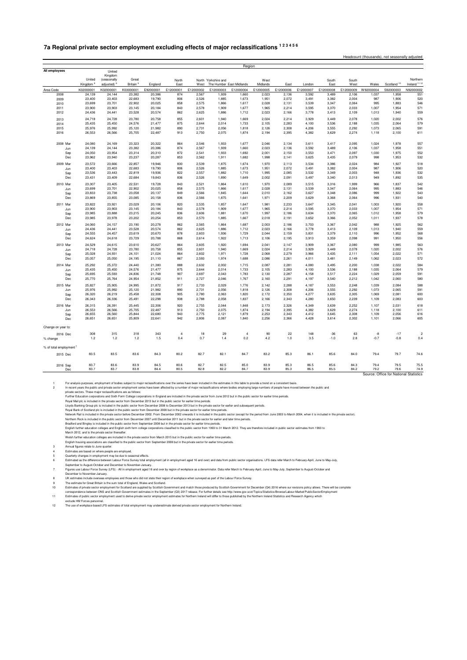## **7a Regional private sector employment excluding effects of major reclassifications 1 2 3 4 5 6**

Headcount (thousands), not seasonally adjusted

|                                    |                      |                        |                      |                  |              |                |                     | Region                   |                |                |                |                |                |                |                                        |                         |
|------------------------------------|----------------------|------------------------|----------------------|------------------|--------------|----------------|---------------------|--------------------------|----------------|----------------|----------------|----------------|----------------|----------------|----------------------------------------|-------------------------|
| All employees                      |                      | United                 |                      |                  |              |                |                     |                          |                |                |                |                |                |                |                                        |                         |
|                                    |                      | Kingdom                |                      |                  |              |                |                     |                          |                |                |                |                |                |                |                                        |                         |
|                                    | United               | (seasonally            | Great                |                  | North        |                | North Yorkshire and |                          | West           |                |                | South          | South          |                |                                        | Northern                |
|                                    | Kingdom <sup>8</sup> | adjusted) <sup>8</sup> | Britain <sup>9</sup> | England          | Fast         | West           |                     | The Humber East Midlands | Midlands       | Fast           | London         | Fast           | West           | Wales          | Scotland <sup>10</sup>                 | Ireland <sup>1112</sup> |
| Area Code                          | K02000001            | K02000001              | K03000001            | E92000001        | E12000001    | E12000002      | E12000003           | E12000004                | E12000005      | E12000006      | E12000007      | E12000008      | E12000009      | W92000004      | S92000003                              | N92000002               |
| 2008                               | 24,139               | 24,144                 | 23,382               | 20,386           | 874          | 2,567          | 1,939               | 1,660                    | 2,023          | 2,136          | 3,592          | 3,489          | 2,106          | 1,037          | 1,958                                  | 551                     |
| 2009                               | 23,400               | 23,403                 | 22,683               | 19,790           | 806          | 2,526          | 1,885               | 1,673                    | 1,951          | 2,072          | 3,491          | 3,382          | 2,004          | 987            | 1,906                                  | 520                     |
| 2010                               | 23,699               | 23,701                 | 22,902               | 20,025           | 858          | 2,575          | 1,866               | 1,617                    | 2,028          | 2,131          | 3,539          | 3,347          | 2,064          | 995            | 1,883                                  | 546                     |
| 2011                               | 23,900               | 23,903                 | 23,145               | 20,184           | 843          | 2,578          | 1,909               | 1,677                    | 1,965          | 2,214          | 3,595          | 3,370          | 2,033          | 1,007          | 1,954                                  | 571                     |
| 2012                               | 24,436               | 24,441                 | 23,528               | 20,574           | 862          | 2,625          | 1,886               | 1,712                    | 2,023          | 2,166          | 3,778          | 3,413          | 2,109          | 1,013          | 1,940                                  | 559                     |
| 2013                               | 24,718               | 24,728                 | 23,780               | 20,758           | 855          | 2.601          | 1.940               | 1,669                    | 2.024          | 2.214          | 3.929          | 3.449          | 2.078          | 1.020          | 2.002                                  | 576                     |
| 2014                               | 25,435               | 25,450                 | 24,576               | 21,477           | 875          | 2,644          | 2,014               | 1,733                    | 2,105          | 2.283          | 4,100          | 3,536          | 2,188          | 1,035          | 2,064                                  | 579                     |
| 2015                               | 25,976               | 25,992                 | 25,120               | 21,982           | 890          | 2,731          | 2,056               | 1,818                    | 2,126          | 2,308          | 4,206          | 3,555          | 2,292          | 1,073          | 2,065                                  | 591                     |
| 2016                               | 26,553               | 26,566                 | 25,705               | 22,487           | 913          | 2,750          | 2,075               | 1,874                    | 2,194          | 2,395          | 4,382          | 3,629          | 2,274          | 1,118          | 2,100                                  | 611                     |
| 2008 Mar                           | 24,080               | 24,169                 | 23.323               | 20,322           | 864          | 2.546          | 1,933               | 1,677                    | 2.046          | 2,134          | 3,611          | 3.417          | 2,095          | 1,024          | 1,978                                  | 557                     |
|                                    | 24,139               | 24,144                 | 23,382               | 20,386           | 874          | 2,567          | 1,939               | 1,660                    | 2,023          | 2,136          | 3,592          | 3.489          | 2.106          | 1,037          | 1.958                                  | 551                     |
| Jun                                | 24,050               | 23,954                 | 23,314               | 20,310           | 872          | 2,541          | 1,933               | 1,692                    | 2,001          | 2,150          | 3,553          | 3,471          | 2,097          | 1,030          | 1,975                                  | 552                     |
| Sep<br>Dec                         | 23,962               | 23,940                 | 23,237               | 20,287           | 853          | 2,562          | 1,911               | 1,682                    | 1,998          | 2,141          | 3,625          | 3,435          | 2,079          | 998            | 1,953                                  | 532                     |
|                                    |                      |                        |                      |                  |              |                |                     |                          |                |                |                |                |                |                |                                        |                         |
| 2009 Mar                           | 23,572               | 23,666                 | 22.857               | 19,946           | 830          | 2.539          | 1.875               | 1,674                    | 1.970          | 2,113          | 3,534          | 3,386          | 2.024          | 984            | 1,927                                  | 518                     |
| Jun                                | 23,400               | 23,403                 | 22,683               | 19,790           | 806          | 2,526          | 1,885               | 1,673                    | 1,951          | 2,072          | 3,491          | 3,382          | 2,004          | 987            | 1,906                                  | 520                     |
| Sep                                | 23.536               | 23.443                 | 22,819               | 19.936           | 822          | 2.557          | 1.882               | 1,710                    | 1.995          | 2.085          | 3.532          | 3.349          | 2.003          | 948            | 1.936                                  | 532                     |
| Dec                                | 23,431               | 23,409                 | 22,684               | 19,843           | 836          | 2,526          | 1,890               | 1,649                    | 2,002          | 2,091          | 3,497          | 3,340          | 2,013          | 949            | 1,892                                  | 535                     |
| 2010 Mar                           | 23,307               | 23,405                 | 22,531               | 19,728           | 843          | 2,521          | 1,864               | 1,610                    | 1,970          | 2,089          | 3,515          | 3,316          | 1,999          | 966            | 1,837                                  | 542                     |
| Jun                                | 23,699               | 23.701                 | 22.902               | 20,025           | 858          | 2.575          | 1.866               | 1.617                    | 2.028          | 2.131          | 3.539          | 3.347          | 2.064          | 995            | 1.883                                  | 546                     |
| Sep                                | 23,833               | 23,738                 | 23,058               | 20,137           | 849          | 2,566          | 1,845               | 1,644                    | 2,010          | 2,162          | 3,627          | 3,348          | 2,086          | 999            | 1,922                                  | 543                     |
| Dec                                | 23,869               | 23,855                 | 23,085               | 20,158           | 836          | 2,566          | 1,875               | 1,641                    | 1,971          | 2,209          | 3,629          | 3,368          | 2,064          | 996            | 1,931                                  | 540                     |
| 2011 Mar                           | 23,822               | 23,921                 | 23,029               | 20,106           | 820          | 2,535          | 1,857               | 1,647                    | 1,981          | 2,233          | 3,647          | 3,345          | 2,041          | 1,003          | 1,920                                  | 558                     |
| Jun                                | 23,900               | 23,903                 | 23,145               | 20,184           | 843          | 2,578          | 1,909               | 1,677                    | 1,965          | 2,214          | 3,595          | 3,370          | 2,033          | 1,007          | 1,954                                  | 571                     |
| Sep                                | 23,985               | 23,888                 | 23,215               | 20,245           | 836          | 2,606          | 1,881               | 1,670                    | 1,997          | 2,186          | 3,634          | 3,370          | 2,065          | 1,012          | 1,958                                  | 579                     |
| Dec                                | 23,985               | 23,978                 | 23,202               | 20,254           | 853          | 2,570          | 1,885               | 1,667                    | 2,018          | 2,191          | 3,652          | 3,366          | 2,052          | 1,011          | 1,937                                  | 578                     |
| 2012 Mar                           | 24,060               | 24,157                 | 23,190               | 20,278           | 862          | 2,565          | 1,864               | 1,687                    | 2,003          | 2,186          | 3,703          | 3,367          | 2,042          | 988            | 1,925                                  | 562                     |
| Jun.                               | 24,436               | 24.441                 | 23.528               | 20,574           | 862          | 2.625          | 1.886               | 1,712                    | 2.023          | 2.166          | 3.778          | 3.413          | 2.109          | 1.013          | 1.940                                  | 559                     |
| Sep                                | 24,555               | 24,457                 | 23,619               | 20,670           | 878          | 2,603          | 1,936               | 1,729                    | 2,044          | 2,159          | 3,831          | 3,379          | 2,110          | 996            | 1,952                                  | 568                     |
| Dec                                | 24,624               | 24,618                 | 23,729               | 20,788           | 868          | 2,614          | 1,922               | 1,713                    | 2,106          | 2,195          | 3,913          | 3,359          | 2,098          | 991            | 1,950                                  | 556                     |
|                                    |                      |                        |                      |                  |              |                |                     |                          |                |                |                |                |                |                |                                        |                         |
| 2013 Mar                           | 24,529               | 24,615                 | 23,610               | 20,627           | 864          | 2.605          | 1,920               | 1,694                    | 2.041          | 2,147          | 3,909          | 3,367          | 2.080          | 999            | 1,985                                  | 563                     |
| Jun                                | 24,718               | 24,728                 | 23,780               | 20,758           | 855          | 2,601          | 1,940               | 1,669                    | 2,024          | 2,214          | 3,929          | 3,449          | 2,078          | 1,020          | 2,002                                  | 576                     |
| Sep                                | 25,028               | 24,931                 | 24,101               | 21,024           | 864          | 2,602          | 1,971               | 1,728                    | 2,068          | 2,279          | 3,966          | 3,435          | 2,111          | 1,054          | 2,022                                  | 571                     |
| Dec                                | 25,057               | 25,050                 | 24,195               | 21,110           | 867          | 2,593          | 1,974               | 1,688                    | 2,086          | 2,261          | 4,011          | 3,481          | 2,149          | 1,062          | 2,023                                  | 572                     |
| 2014 Mar                           | 25,292               | 25,372                 | 24,440               | 21,380           | 888          | 2,632          | 2,002               | 1,715                    | 2,087          | 2,281          | 4,080          | 3,495          | 2,200          | 1,038          | 2,022                                  | 584                     |
| Jun                                | 25,435               | 25,450                 | 24,576               | 21,477           | 875          | 2,644          | 2,014               | 1,733                    | 2,105          | 2,283          | 4,100          | 3,536          | 2,188          | 1,035          | 2,064                                  | 579                     |
| Sep                                | 25,695               | 25,593                 | 24,836               | 21,748           | 907          | 2,697          | 2,043               | 1,783                    | 2,130          | 2,287          | 4,158          | 3,517          | 2,224          | 1,029          | 2,059                                  | 591                     |
| Dec                                | 25,770               | 25,764                 | 24,954               | 21,852           | 911          | 2,727          | 2,046               | 1,767                    | 2,160          | 2,291          | 4,197          | 3,540          | 2,212          | 1,042          | 2,060                                  | 580                     |
| 2015 Mar                           | 25,827               | 25,905                 | 24.995               | 21,872           | 917          | 2,733          | 2.029               | 1,776                    | 2.142          | 2.288          | 4,187          | 3.553          | 2.248          | 1,039          | 2,084                                  | 588                     |
| Jun                                | 25,976               | 25,992                 | 25,120               | 21,982           | 890          | 2,731          | 2,056               | 1,818                    | 2,126          | 2,308          | 4,206          | 3,555          | 2,292          | 1,073          | 2,065                                  | 591                     |
| Sep                                | 26,320               | 26,219                 | 25,458               | 22,308           | 905          | 2,780          | 2,063               | 1,820                    | 2,172          | 2,350          | 4,277          | 3,635          | 2,305          | 1,069          | 2,081                                  | 600                     |
| Dec                                | 26,343               | 26,336                 | 25,491               | 22,298           | 938          | 2,788          | 2,058               | 1,837                    | 2,166          | 2,343          | 4,280          | 3,650          | 2,239          | 1,109          | 2,083                                  | 603                     |
|                                    |                      |                        |                      |                  |              |                |                     |                          |                |                |                |                |                |                |                                        |                         |
| 2016 Mar                           | 26,315               | 26,391                 | 25,445               | 22,306           | 920          | 2,755          | 2,044               | 1,848                    | 2,173          | 2,326          | 4,349          | 3,639          | 2,252          | 1,107          | 2,031                                  | 618                     |
| Jun                                | 26,553               | 26,566                 | 25,705               | 22,487           | 913          | 2,750          | 2,075               | 1,874                    | 2,194          | 2,395          | 4,382          | 3,629          | 2,274          | 1,118          | 2,100                                  | 611                     |
| Sep<br>Dec                         | 26,655<br>26,651     | 26,560<br>26,651       | 25,844<br>25,809     | 22,680<br>22,641 | 943<br>942   | 2,775<br>2,806 | 2,121<br>2,087      | 1,879<br>1,840           | 2,253<br>2,256 | 2,343<br>2,366 | 4,412<br>4,428 | 3,645<br>3,614 | 2,308<br>2,302 | 1,109<br>1,101 | 2,056<br>2,066                         | 616<br>605              |
|                                    |                      |                        |                      |                  |              |                |                     |                          |                |                |                |                |                |                |                                        |                         |
| Change on year to:                 |                      |                        |                      |                  |              |                |                     |                          |                |                |                |                |                |                |                                        |                         |
| 2016 Dec                           | 308                  | 315                    | 318                  | 343              | $\sqrt{4}$   | 18             | 29                  | $\overline{4}$           | 90             | 22             | 148            | $-36$          | 63             | -8             | $-17$                                  | $\overline{2}$          |
| % change                           | 1.2                  | 1.2                    | 1.2                  | 1.5              | 0.4          | 0.7            | 1.4                 | 0.2                      | 4.2            | 1.0            | 3.5            | $-1.0$         | 2.8            | $-0.7$         | $-0.8$                                 | 0.4                     |
|                                    |                      |                        |                      |                  |              |                |                     |                          |                |                |                |                |                |                |                                        |                         |
| % of total employment <sup>7</sup> |                      |                        |                      |                  |              |                |                     |                          |                |                |                |                |                |                |                                        |                         |
| 2015 Dec                           | 83.5                 | 83.5                   | 83.6                 | 84.3             | 80.2         | 82.7           | 82.1                | 84.7                     | 83.2           | 85.3           | 86.1           | 85.6           | 84.0           | 79.4           | 79.7                                   | 74.6                    |
|                                    |                      |                        |                      |                  |              |                |                     |                          |                |                |                |                |                |                |                                        |                         |
| 2016 Sep                           | 83.7<br>83.7         | 83.6<br>83.7           | 83.9<br>83.8         | 84.5<br>84.4     | 80.6<br>80.5 | 82.7<br>82.8   | 82.5<br>82.2        | 85.0<br>84.7             | 83.9<br>83.9   | 85.3<br>85.3   | 86.5<br>86.5   | 85.6<br>85.5   | 84.3<br>84.2   | 79.4<br>79.2   | 79.5<br>79.6                           | 75.5<br>74.9            |
| Dec                                |                      |                        |                      |                  |              |                |                     |                          |                |                |                |                |                |                |                                        |                         |
|                                    |                      |                        |                      |                  |              |                |                     |                          |                |                |                |                |                |                | Source: Office for National Statistics |                         |

To analysis purposes, employment of books subject to major relatsifications over the series have been included in the estimates in this table to provide a term of a complement and private sector. These than the sectors and

Bradford and Bingley is included in the public sector form September 2008 but in the private sector form 1993 to 31 March 2012. They are therefore included in public sector estimates from 1993 to<br>English hutter education c

September to August-October and December to November-January.<br>Figures use Labour Force Survey (LFS) - All in employment aged 16 and over by region of workplace as a denominator. Data refer March to February-April, June to

December to November-January.

8 UK estimates include overseas employees and those who did not state their region of workplace when surveyed as part of the Labour Force Survey.

9 The estimate for Great Britain is the sum total of England, Wales and Sociand.<br>10 Estimates of private sector employment for Scotland are supplied by Scottish Government and match theory of Scottish Government for Decemb correspondence between ONS and Scottish Government estimates in the September (O3) 2017 release. For further details see http://www.gov.sco//Topics/Statistics/Browse/Labour-Market/PublicSectorEmployment<br>Estimates of public

12 The use of workplace based LFS estimates of total employment may underestimate derived private sector employment for Northern Ireland.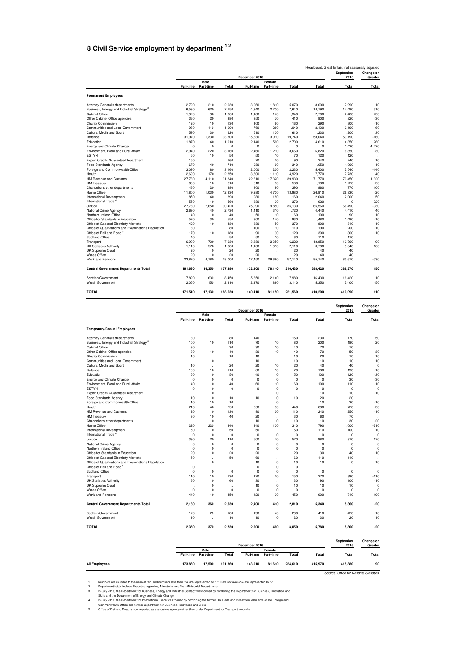### <span id="page-27-0"></span>**8 Civil Service employment by department 1 2**

|                                                       |                  |                      |         | December 2016    |             |          |             | Headcount, Great Britain, not seasonally adjusted<br>September<br>2016 | Change on<br>Quarter |
|-------------------------------------------------------|------------------|----------------------|---------|------------------|-------------|----------|-------------|------------------------------------------------------------------------|----------------------|
|                                                       |                  | Male                 |         |                  | Female      |          |             |                                                                        |                      |
|                                                       | <b>Full-time</b> | Part-time            | Total   | <b>Full-time</b> | Part-time   | Total    | Total       | Total                                                                  | Total                |
| <b>Permanent Employees</b>                            |                  |                      |         |                  |             |          |             |                                                                        |                      |
| Attorney General's departments                        | 2,720            | 210                  | 2,930   | 3,260            | 1,810       | 5.070    | 8,000       | 7.990                                                                  | 10                   |
| Business, Energy and Industrial Strategy <sup>3</sup> | 6,530            | 620                  | 7,150   | 4,940            | 2,700       | 7,640    | 14,790      | 14,490                                                                 | 310                  |
| Cabinet Office                                        | 1,320            | 30                   | 1,360   | 1,180            | 170         | 1.340    | 2,700       | 2,480                                                                  | 230                  |
| Other Cabinet Office agencies                         | 360              | 20                   | 380     | 350              | 70          | 410      | 800         | 820                                                                    | $-30$                |
| <b>Charity Commission</b>                             | 120              | 10                   | 130     | 100              | 60          | 160      | 290         | 300                                                                    | $-10$                |
| Communities and Local Government                      | 980              | 110                  | 1.090   | 760              | 280         | 1.040    | 2.130       | 2.190                                                                  | $-60$                |
| Culture, Media and Sport                              | 590              | 30                   | 620     | 510              | 100         | 610      | 1.230       | 1.200                                                                  | 30                   |
| Defence                                               | 31,970           | 1.330                | 33,300  | 15.830           | 3.910       | 19.740   | 53.040      | 53.190                                                                 | $-160$               |
| Education                                             | 1.870            | 40                   | 1.910   | 2.140            | 560         | 2.700    | 4.610       | 4.350                                                                  | 260                  |
| <b>Energy and Climate Change</b>                      | $\mathbf 0$      | $\mathbf 0$          | 0       | $\Omega$         | $\mathbf 0$ | $\Omega$ | $\mathbf 0$ | 1,420                                                                  | $-1,420$             |
| Environment, Food and Rural Affairs                   | 2,940            | 220                  | 3,160   | 2,460            | 1,210       | 3,660    | 6,820       | 6,850                                                                  | $-30$                |
| <b>ESTYN</b>                                          | 50               | 10                   | 50      | 50               | 10          | 70       | 120         | 120                                                                    |                      |
| <b>Export Credits Guarantee Department</b>            | 150              | $\ddot{\phantom{a}}$ | 160     | 70               | 20          | 90       | 240         | 240                                                                    | 10                   |
| <b>Food Standards Agency</b>                          | 670              | 40                   | 710     | 280              | 60          | 340      | 1.050       | 1.060                                                                  | $-10$                |
| Foreign and Commonwealth Office                       | 3.090            | 80                   | 3.160   | 2.000            | 230         | 2.230    | 5.400       | 5.540                                                                  | $-140$               |
| Health                                                | 2.690            | 170                  | 2.850   | 3,800            | 1.110       | 4.920    | 7.770       | 7.730                                                                  | 40                   |
| <b>HM Revenue and Customs</b>                         | 27,730           | 4.110                | 31,840  | 22,610           | 17,320      | 39,930   | 71,770      | 70,450                                                                 | 1,320                |
|                                                       | 600              | 10                   | 610     | 510              | 80          | 580      |             |                                                                        | $-30$                |
| <b>HM Treasury</b>                                    |                  |                      |         |                  |             |          | 1,190       | 1,220                                                                  |                      |
| Chancellor's other departments                        | 460              | 20                   | 480     | 300              | 90          | 390      | 860         | 770                                                                    | 100                  |
| Home Office                                           | 11,800           | 1.030                | 12,830  | 9.280            | 4.700       | 13,980   | 26.810      | 26,830                                                                 | $-20$                |
| International Development                             | 850              | 40                   | 890     | 980              | 180         | 1,160    | 2,040       | 2.000                                                                  | 50                   |
| International Trade <sup>4</sup>                      | 550              | 10                   | 560     | 330              | 30          | 370      | 920         | $\Omega$                                                               | 920                  |
| Justice                                               | 27.780           | 2.650                | 30.420  | 25.290           | 9,850       | 35.130   | 65.560      | 66.490                                                                 | $-930$               |
| National Crime Agency                                 | 2.690            | 40                   | 2.730   | 1.410            | 310         | 1.720    | 4.440       | 4.410                                                                  | 40                   |
| Northern Ireland Office                               | 40               | $\mathbf 0$          | 40      | 50               | 10          | 60       | 100         | 90                                                                     | 10                   |
| Office for Standards in Education                     | 520              | 30                   | 550     | 800              | 140         | 930      | 1,480       | 1.490                                                                  | $-10$                |
| Office of Gas and Electricity Markets                 | 420              | 10                   | 430     | 330              | 50          | 370      | 800         | 810                                                                    | $-10$                |
| Office of Qualifications and Examinations Regulation  | 80               | $\ldots$             | 80      | 100              | 10          | 110      | 190         | 200                                                                    | $-10$                |
| Office of Rail and Road <sup>5</sup>                  | 170              | 10                   | 180     | 90               | 30          | 120      | 300         | 300                                                                    | $-10$                |
| Scotland Office                                       | 40               | $\ddot{\phantom{a}}$ | 50      | 50               | 10          | 60       | 110         | 110                                                                    |                      |
| Transport                                             | 6.900            | 730                  | 7,630   | 3,880            | 2,350       | 6,220    | 13,850      | 13,760                                                                 | 90                   |
| <b>UK Statistics Authority</b>                        | 1.110            | 570                  | 1.680   | 1.100            | 1.010       | 2.110    | 3.790       | 3.640                                                                  | 160                  |
| UK Supreme Court                                      | 20               | $\mathbf 0$          | 20      | 20               | $\ddotsc$   | 20       | 40          | 40                                                                     | $\ldots$             |
| Wales Office                                          | 20               | $\mathbf 0$          | 20      | 20               | $\ddotsc$   | 20       | 40          | 40                                                                     |                      |
| Work and Pensions                                     | 23,820           | 4,180                | 28,000  | 27,450           | 29,680      | 57,140   | 85,140      | 85,670                                                                 | $-530$               |
| <b>Central Government Departments Total</b>           | 161,630          | 16,350               | 177,980 | 132,300          | 78,140      | 210,430  | 388,420     | 388,270                                                                | 150                  |
| Scottish Government                                   | 7.820            | 630                  | 8.450   | 5.850            | 2.140       | 7.980    | 16.430      | 16.420                                                                 | 10                   |
| Welsh Government                                      | 2.050            | 150                  | 2.210   | 2.270            | 880         | 3.140    | 5,350       | 5.400                                                                  | $-50$                |
| <b>TOTAL</b>                                          | 171,510          | 17.130               | 188.630 | 140.410          | 81.150      | 221.560  | 410.200     | 410.090                                                                | 110                  |

|                                                       |                      |                      |                      | December 2016        |                      |                      |                      | September<br>2016    | Change on<br>Quarter |
|-------------------------------------------------------|----------------------|----------------------|----------------------|----------------------|----------------------|----------------------|----------------------|----------------------|----------------------|
|                                                       |                      | Male                 |                      |                      | Female               |                      |                      |                      |                      |
|                                                       | <b>Full-time</b>     | Part-time            | Total                | <b>Full-time</b>     | Part-time            | Total                | Total                | Total                | Total                |
| <b>Temporary/Casual Employees</b>                     |                      |                      |                      |                      |                      |                      |                      |                      |                      |
| Attorney General's departments                        | 80                   | $\ddot{\phantom{a}}$ | 80                   | 140                  | $\ddot{\phantom{a}}$ | 150                  | 230                  | 170                  | 50                   |
| Business, Energy and Industrial Strategy <sup>3</sup> | 100                  | 10                   | 110                  | 70                   | 10                   | 80                   | 200                  | 180                  | 20                   |
| Cabinet Office                                        | 30                   | $\cdot$              | 30                   | 30                   | 10                   | 40                   | 70                   | 70                   |                      |
| Other Cabinet Office agencies                         | 30                   | 10                   | 40                   | 30                   | 10                   | 40                   | 70                   | 50                   | 30                   |
| Charity Commission                                    | 10                   | $\ddotsc$            | 10                   | 10                   | $\ddot{\phantom{0}}$ | 10                   | 20                   | 10                   | 10                   |
| Communities and Local Government                      | $\ddot{\phantom{a}}$ | $\mathbf 0$          | $\ddot{\phantom{0}}$ | 10                   | $\ddot{\phantom{a}}$ | 10                   | 10                   | 10                   | 10                   |
| Culture, Media and Sport                              | 10                   | $\ddot{\phantom{a}}$ | 20                   | 20                   | 10                   | 20                   | 40                   | 40                   | $\circ$              |
| Defence                                               | 100                  | 10                   | 110                  | 60                   | 10                   | 70                   | 180                  | 190                  | $-10$                |
| Education                                             | 50                   | $\mathbf 0$          | 50                   | 40                   | 10                   | 50                   | 100                  | 120                  | $-30$                |
| Energy and Climate Change                             | $\Omega$             | $\Omega$             | $\Omega$             | $\Omega$             | $\Omega$             | $\Omega$             | $\Omega$             | 30                   | $-30$                |
| Environment, Food and Rural Affairs                   | 40                   | 0                    | 40                   | 60                   | 10                   | 60                   | 100                  | 110                  | $-10$                |
| <b>ESTYN</b>                                          | $\mathbf 0$          | 0                    | $\mathbf 0$          | $\Omega$             | $\mathbf 0$          | 0                    | $\mathbf 0$          | $\mathbf 0$          | $\overline{0}$       |
| Export Credits Guarantee Department                   | $\ddot{\phantom{a}}$ | 0                    | $\ddot{\phantom{0}}$ | $\ddot{\phantom{a}}$ | $\mathbf 0$          | $\ddot{\phantom{a}}$ | 10                   | 10                   | $-10$                |
| Food Standards Agency                                 | 10                   | $\mathbf 0$          | 10                   | 10                   | $\mathbf 0$          | 10                   | 20                   | 20                   | $\ddot{\phantom{0}}$ |
| Foreign and Commonwealth Office                       | 10                   | 10                   | 10                   | $\ddot{\phantom{a}}$ | $\mathbf 0$          | $\ddot{\phantom{a}}$ | 10                   | 30                   | $-10$                |
| Health                                                | 210                  | 40                   | 250                  | 350                  | 90                   | 440                  | 690                  | 720                  | $-30$                |
| HM Revenue and Customs                                | 120                  | 10                   | 130                  | 90                   | 30                   | 110                  | 240                  | 250                  | $-10$                |
| <b>HM Treasury</b>                                    | 30                   | 10                   | 40                   | 20                   | $\ddot{\phantom{0}}$ | 30                   | 60                   | 70                   | $\ddot{\phantom{0}}$ |
| Chancellor's other departments                        | $\ddot{\phantom{a}}$ | $\mathbf 0$          | $\ddot{\phantom{0}}$ | 10                   | $^{\circ}$           | 10                   | 10                   | 30                   | $-20$                |
| Home Office                                           | 220                  | 220                  | 440                  | 240                  | 100                  | 340                  | 790                  | 1,000                | $-210$               |
| International Development                             | 50                   | $\mathbf 0$          | 50                   | 50                   | $\ddot{\phantom{a}}$ | 50                   | 110                  | 100                  | 10                   |
| International Trade <sup>4</sup>                      | $\mathbf 0$          | $\mathbf 0$          | $\mathbf 0$          | $\Omega$             | 0                    | 0                    | $\mathbf 0$          | $\Omega$             | $\Omega$             |
| Justice                                               | 390                  | 20                   | 410                  | 500                  | 70                   | 570                  | 980                  | 810                  | 170                  |
| National Crime Agency                                 | $\Omega$             | $\Omega$             | $\Omega$             | $\Omega$             | $\overline{0}$       | $\Omega$             | $\Omega$             | $\Omega$             | $\Omega$             |
| Northern Ireland Office                               | $\mathbf 0$          | $\mathbf 0$          | $\mathbf 0$          | $\Omega$             | $^{\circ}$           | 0                    | $\mathbf 0$          | $\Omega$             | $^{\circ}$           |
| Office for Standards in Education                     | 20                   | 0                    | 20                   | 20                   | $\ddot{\phantom{a}}$ | 20                   | 30                   | 40                   | $-10$                |
| Office of Gas and Electricity Markets                 | 50                   | $\ddot{\phantom{a}}$ | 50                   | 60                   | $\ddot{\phantom{a}}$ | 60                   | 110                  | 110                  | $\ddotsc$            |
| Office of Qualifications and Examinations Regulation  | ÷.                   | $\mathbf 0$          |                      | 10                   | 0                    | 10                   | 10                   | $\Omega$             | 10                   |
| Office of Rail and Road <sup>5</sup>                  | $\mathbf 0$          | ٠.                   | $\ddot{\phantom{0}}$ | $\Omega$             | $\mathbf 0$          | $\mathbf 0$          | $\ddot{\phantom{1}}$ | $\ddot{\phantom{a}}$ | $\ddot{\phantom{1}}$ |
| Scotland Office                                       | $\Omega$             | $\Omega$             | $\Omega$             | $\Omega$             | $\mathbf 0$          | $\Omega$             | $\Omega$             | $\Omega$             | $\Omega$             |
| Transport                                             | 110                  | 10                   | 130                  | 120                  | 20                   | 150                  | 270                  | 390                  | $-110$               |
| <b>UK Statistics Authority</b>                        | 60                   | $\mathbf 0$          | 60                   | 30                   | $\ddot{\phantom{a}}$ | 30                   | 90                   | 100                  | $-10$                |
| UK Supreme Court                                      | $\ddot{\phantom{a}}$ | 0                    | $\ddot{\phantom{0}}$ | 10                   | $\mathbf 0$          | 10                   | 10                   | 10                   | $\circ$              |
| Wales Office                                          | $\mathbf 0$          | $\mathbf 0$          | $\mathbf 0$          | $\mathbf 0$          | $\mathbf 0$          | $\mathbf 0$          | $\mathbf 0$          | $\mathbf 0$          | $\overline{0}$       |
| Work and Pensions                                     | 440                  | 10                   | 450                  | 420                  | 30                   | 450                  | 900                  | 710                  | 190                  |
| <b>Central Government Departments Total</b>           | 2,180                | 360                  | 2,530                | 2.400                | 410                  | 2,810                | 5,340                | 5.360                | $-20$                |
| Scottish Government                                   | 170                  | 20                   | 180                  | 190                  | 40                   | 230                  | 410                  | 420                  | $-10$                |
| Welsh Government                                      | 10                   | $\ddot{\phantom{a}}$ | 10                   | 10                   | 10                   | 20                   | 30                   | 20                   | 10                   |
| <b>TOTAL</b>                                          | 2,350                | 370                  | 2,730                | 2,600                | 460                  | 3,050                | 5,780                | 5,800                | $-20$                |
|                                                       |                      |                      |                      |                      |                      |                      |                      | Contambor            | $O$ landar an        |

|                      |                  |           |         | December 2016    |           |         |         | September<br>2016                      | Change on<br>Quarter |
|----------------------|------------------|-----------|---------|------------------|-----------|---------|---------|----------------------------------------|----------------------|
|                      |                  | Male      |         |                  | Female    |         |         |                                        |                      |
|                      | <b>Full-time</b> | Part-time | Total   | <b>Full-time</b> | Part-time | Total   | Total   | Total                                  | Total                |
| <b>All Employees</b> | 173,860          | 17.500    | 191.360 | 143.010          | 81.610    | 224.610 | 415.970 | 415,880                                | 90                   |
|                      |                  |           |         |                  |           |         |         | Source: Office for National Statistics |                      |

Numbers are rounded to the nearest ten, and numbers less than five are represented by "..". Data not available are represented by "-".<br>Department totals include Executive Agencies, Ministerial and Non-Ministerial Departmen

1 Numbers are rounded to the nearest ten, and numbers less than five are represented by "-". Department totals include Executive Agencies, Ministerial and Non-Ministerial Departments.<br>
1 Auly 2016, the Department for Busin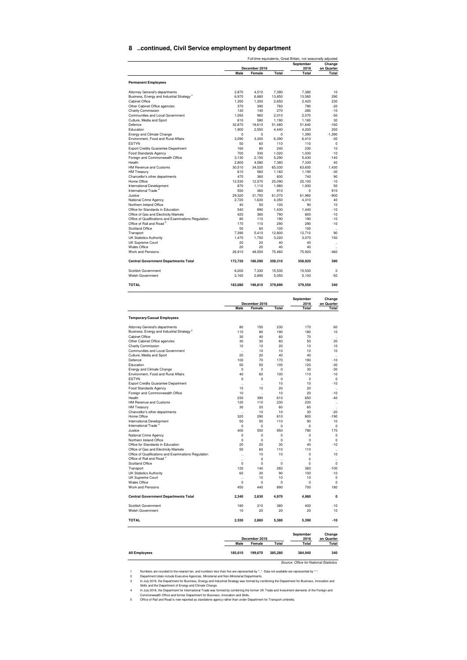#### **8 ..continued, Civil Service employment by department**

|                                                                                                                                     |                      | Full-time equivalents, Great Britain, not seasonally adjusted |                      |                       |                                              |
|-------------------------------------------------------------------------------------------------------------------------------------|----------------------|---------------------------------------------------------------|----------------------|-----------------------|----------------------------------------------|
|                                                                                                                                     |                      | December 2016                                                 |                      | September<br>2016     | Change<br>on Quarter                         |
|                                                                                                                                     | Male                 | Female                                                        | Total                | Total                 | Total                                        |
| <b>Permanent Employees</b>                                                                                                          |                      |                                                               |                      |                       |                                              |
| Attorney General's departments                                                                                                      | 2,870                | 4,510                                                         | 7,390                | 7,380                 | 10                                           |
| Business, Energy and Industrial Strategy <sup>3</sup>                                                                               | 6,970                | 6.880                                                         | 13,850               | 13,560                | 290                                          |
| <b>Cabinet Office</b><br>Other Cabinet Office agencies                                                                              | 1,350<br>370         | 1,300<br>390                                                  | 2,650<br>760         | 2,420<br>780          | 230<br>$-20$                                 |
| Charity Commission                                                                                                                  | 130                  | 140                                                           | 270                  | 280                   | $-10$                                        |
| Communities and Local Government                                                                                                    | 1,050                | 960                                                           | 2,010                | 2,070                 | $-50$                                        |
| Culture, Media and Sport                                                                                                            | 610                  | 580                                                           | 1,190                | 1,160                 | 30                                           |
| Defence<br>Education                                                                                                                | 32,870<br>1,900      | 18,610<br>2.550                                               | 51,480<br>4,440      | 51,640<br>4,200       | $-160$<br>250                                |
| Energy and Climate Change                                                                                                           | 0                    | 0                                                             | 0                    | 1,390                 | $-1,390$                                     |
| Environment, Food and Rural Affairs                                                                                                 | 3.090                | 3,300                                                         | 6,390                | 6,410                 | $-30$                                        |
| <b>ESTYN</b><br><b>Export Credits Guarantee Department</b>                                                                          | 50<br>160            | 60<br>80                                                      | 110<br>240           | 110<br>230            | 0<br>10                                      |
| <b>Food Standards Agency</b>                                                                                                        | 700                  | 330                                                           | 1,020                | 1.030                 | $-10$                                        |
| Foreign and Commonwealth Office                                                                                                     | 3,130                | 2,150                                                         | 5,290                | 5.430                 | $-140$                                       |
| Health                                                                                                                              | 2.800                | 4,580                                                         | 7,380                | 7,330                 | 40                                           |
| HM Revenue and Customs<br><b>HM Treasury</b>                                                                                        | 30,510<br>610        | 34,520<br>560                                                 | 65,030<br>1,160      | 63,600<br>1,190       | 1,430<br>$-30$                               |
| Chancellor's other departments                                                                                                      | 470                  | 360                                                           | 830                  | 740                   | 90                                           |
| Home Office                                                                                                                         | 12,530               | 12,570                                                        | 25,090               | 25,100                | $-10$                                        |
| International Development                                                                                                           | 870                  | 1.110                                                         | 1,980                | 1,930                 | 50                                           |
| International Trade<br>Justice                                                                                                      | 550<br>29,320        | 360<br>31,750                                                 | 910<br>61,070        | $\mathbf 0$<br>61,960 | 910<br>$-900$                                |
| National Crime Agency                                                                                                               | 2,720                | 1,630                                                         | 4,350                | 4,310                 | 40                                           |
| Northern Ireland Office                                                                                                             | 40                   | 50                                                            | 100                  | 90                    | 10                                           |
| Office for Standards in Education                                                                                                   | 540                  | 890                                                           | 1,430                | 1.440                 | $-10$                                        |
| Office of Gas and Electricity Markets<br>Office of Qualifications and Examinations Regulation                                       | 420<br>80            | 360<br>110                                                    | 790<br>190           | 800<br>190            | $-10$<br>$-10$                               |
| Office of Rail and Road <sup>5</sup>                                                                                                | 170                  | 110                                                           | 290                  | 290                   | $-10$                                        |
| Scotland Office                                                                                                                     | 50                   | 60                                                            | 100                  | 100                   | $\ddot{\phantom{a}}$                         |
| Transport                                                                                                                           | 7,390                | 5.410                                                         | 12,800               | 12,710                | 90                                           |
| <b>UK Statistics Authority</b>                                                                                                      | 1,470                | 1,750                                                         | 3,220                | 3,070                 | 150                                          |
| UK Supreme Court<br>Wales Office                                                                                                    | 20<br>20             | 20<br>20                                                      | 40<br>40             | 40<br>40              | $\ddot{\phantom{a}}$<br>$\ddot{\phantom{a}}$ |
| <b>Work and Pensions</b>                                                                                                            | 26,910               | 48.550                                                        | 75,460               | 75,920                | $-460$                                       |
| <b>Central Government Departments Total</b>                                                                                         | 172,720              | 186,590                                                       | 359,310              | 358,920               | 390                                          |
| Scottish Government                                                                                                                 | 8,200                | 7.330                                                         | 15,530               | 15,530                | 0                                            |
| Welsh Government                                                                                                                    | 2,160                | 2,890                                                         | 5,050                | 5,100                 | $-50$                                        |
| <b>TOTAL</b>                                                                                                                        | 183,080              | 196,810                                                       | 379,890              | 379,550               | 340                                          |
|                                                                                                                                     |                      |                                                               |                      |                       |                                              |
|                                                                                                                                     |                      | December 2016                                                 |                      | September<br>2016     | Change                                       |
|                                                                                                                                     | Male                 | Female                                                        | Total                | Total                 | on Quarter<br>Total                          |
| <b>Temporary/Casual Employees</b>                                                                                                   |                      |                                                               |                      |                       |                                              |
| Attorney General's departments                                                                                                      | 80                   | 150                                                           | 230                  | 170                   | 60                                           |
| Business, Energy and Industrial Strategy <sup>3</sup>                                                                               | 110                  | 80                                                            | 190                  | 180                   | 10                                           |
| Cabinet Office                                                                                                                      | 30                   | 40                                                            | 60                   | 70                    |                                              |
| Other Cabinet Office agencies                                                                                                       | 30                   | 30                                                            | 60                   | 50                    | 20                                           |
| Charity Commission                                                                                                                  | 10                   | 10                                                            | 20                   | 10                    | 10                                           |
| Communities and Local Government                                                                                                    | 20                   | 10<br>20                                                      | 10<br>40             | 10<br>40              | 10                                           |
| Culture, Media and Sport<br>Defence                                                                                                 | 100                  | 70                                                            | 170                  | 190                   | $-10$                                        |
| Education                                                                                                                           | 50                   | 50                                                            | 100                  | 120                   | $-30$                                        |
| Energy and Climate Change                                                                                                           | $\pmb{0}$            | 0                                                             | 0                    | 30                    | $-30$                                        |
| Environment, Food and Rural Affairs<br><b>ESTYN</b>                                                                                 | 40<br>0              | 60<br>0                                                       | 100<br>0             | 110<br>$\mathbf 0$    | $-10$<br>0                                   |
| Export Credits Guarantee Department                                                                                                 | $\ddot{\phantom{a}}$ | $\ddot{\phantom{a}}$                                          | 10                   | 10                    | $-10$                                        |
| Food Standards Agency                                                                                                               | 10                   | 10                                                            | 20                   | 20                    |                                              |
| Foreign and Commonwealth Office                                                                                                     | 10                   |                                                               | 10                   | 20                    | $-10$                                        |
| Health<br>HM Revenue and Customs                                                                                                    | 230<br>120           | 390<br>110                                                    | 610<br>230           | 650<br>230            | $-40$                                        |
| <b>HM Treasury</b>                                                                                                                  | 30                   | 20                                                            | 60                   | 60                    | $\ddot{\phantom{a}}$                         |
| Chancellor's other departments                                                                                                      | $\ddot{\phantom{a}}$ | 10                                                            | 10                   | 30                    | $-20$                                        |
| Home Office                                                                                                                         | 320                  | 290                                                           | 610                  | 800                   | $-190$                                       |
| International Development<br>International Trade                                                                                    | 50<br>$\Omega$       | 50<br>0                                                       | 110<br>$\Omega$      | 90<br>$\Omega$        | 10<br>0                                      |
|                                                                                                                                     | 400                  | 550                                                           | 950                  | 780                   | 170                                          |
|                                                                                                                                     | 0                    | 0                                                             | $\Omega$             | $\mathbf 0$           | 0                                            |
|                                                                                                                                     | $\Omega$             | 0                                                             | $\Omega$             | $\Omega$              | $\Omega$                                     |
|                                                                                                                                     | 20<br>50             | 20<br>60                                                      | 30<br>110            | 40<br>110             | $-10$                                        |
| Office of Qualifications and Examinations Regulation                                                                                | Ţ,                   | 10                                                            | 10                   | $\mathbf 0$           | 10                                           |
|                                                                                                                                     | $\ddotsc$            | 0                                                             | $\ddot{\phantom{a}}$ | 0                     |                                              |
| Justice<br>Office for Standards in Education<br>Office of Gas and Electricity Markets<br>Office of Rail and Road<br>Scotland Office | $\Omega$             | $\Omega$                                                      | $\Omega$             | $\Omega$              | 0                                            |
| Transport                                                                                                                           | 120<br>60            | 140<br>30                                                     | 260<br>90            | 360                   | $-100$<br>$-10$                              |
| UK Statistics Authority<br>UK Supreme Court                                                                                         |                      | 10                                                            | 10                   | 100<br>10             | 0                                            |
| Wales Office                                                                                                                        | $\Omega$             | $\Omega$                                                      | $\Omega$             | $\Omega$              | $\Omega$                                     |
| National Crime Agency<br>Northern Ireland Office<br>Work and Pensions                                                               | 450                  | 440                                                           | 890                  | 700                   | 180                                          |
| <b>Central Government Departments Total</b>                                                                                         | 2,340                | 2,630                                                         | 4,970                | 4,980                 | 0                                            |
| Scottish Government<br>Welsh Government                                                                                             | 180<br>10            | 210<br>20                                                     | 380<br>20            | 400<br>20             | $-10$<br>10                                  |
| <b>TOTAL</b>                                                                                                                        | 2,530                | 2,860                                                         | 5,380                | 5,390                 | $-10$                                        |

|                      |         | December 2016 |         | September<br>2016 | Change<br>on Quarter |  |
|----------------------|---------|---------------|---------|-------------------|----------------------|--|
|                      | Male    | Female        | Total   | Total             | Total                |  |
| <b>All Employees</b> | 185,610 | 199.670       | 385.280 | 384.940           | 340                  |  |

Source: Office for National Statistics

Numbers are rounded to the nearest ten, and numbers less than five are represented by "..". Data not available are represented by "-".<br>Department totals include Executive Agencies, Ministerial and Non-Ministerial Departmen

Numbers are rounded to the nearest ten, and numbers less than five are represented by "-". Data not available are represented by "-".<br>Department totals include Executive Agencies, Ministerial and Nor-Ministerial Department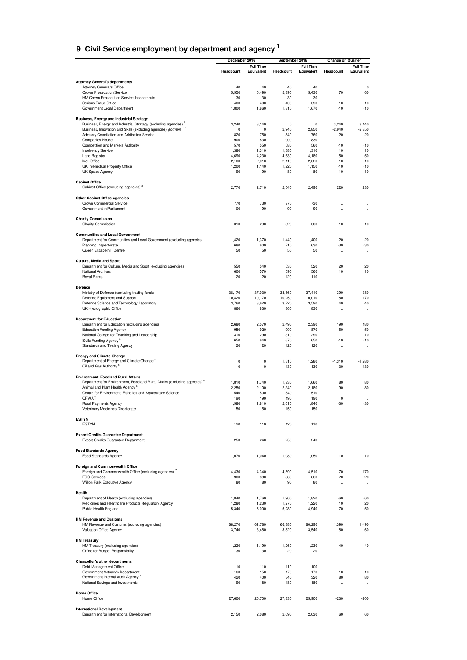<span id="page-29-0"></span>

| 9 Civil Service employment by department and agency <sup>1</sup> |  |
|------------------------------------------------------------------|--|

|                                                                                                                               | December 2016          |                  |                 | September 2016   |                            | <b>Change on Quarter</b>                     |
|-------------------------------------------------------------------------------------------------------------------------------|------------------------|------------------|-----------------|------------------|----------------------------|----------------------------------------------|
|                                                                                                                               |                        | <b>Full Time</b> |                 | <b>Full Time</b> |                            | <b>Full Time</b>                             |
|                                                                                                                               | Headcount              | Equivalent       | Headcount       | Equivalent       | Headcount                  | Equivalent                                   |
| <b>Attorney General's departments</b>                                                                                         |                        |                  |                 |                  |                            |                                              |
| Attorney General's Office                                                                                                     | 40                     | 40               | 40              | 40               | $\ddot{\phantom{0}}$       | 0                                            |
| Crown Prosecution Service                                                                                                     | 5,950                  | 5,490            | 5,890           | 5,430            | 70                         | 60                                           |
| HM Crown Prosecution Service Inspectorate<br>Serious Fraud Office                                                             | 30<br>400              | 30<br>400        | 30<br>400       | 30<br>390        | $\ddot{\phantom{0}}$<br>10 | $\ddot{\phantom{0}}$<br>10                   |
| Government Legal Department                                                                                                   | 1,800                  | 1,660            | 1,810           | 1,670            | $-10$                      | $-10$                                        |
|                                                                                                                               |                        |                  |                 |                  |                            |                                              |
| <b>Business, Energy and Industrial Strategy</b><br>Business, Energy and Industrial Strategy (excluding agencies) <sup>2</sup> | 3,240                  | 3,140            | 0               | 0                | 3,240                      | 3,140                                        |
| Business, Innovation and Skills (excluding agencies) (former) <sup>27</sup>                                                   | $\pmb{0}$              | 0                | 2,940           | 2,850            | $-2,940$                   | $-2,850$                                     |
| Advisory Conciliation and Arbitration Service                                                                                 | 820                    | 750              | 840             | 760              | $-20$                      | $-20$                                        |
| Companies House                                                                                                               | 900                    | 830              | 900             | 830              |                            |                                              |
| Competition and Markets Authority<br>Insolvency Service                                                                       | 570<br>1,380           | 550<br>1,310     | 580<br>1,380    | 560<br>1,310     | $-10$<br>10                | $-10$<br>10                                  |
| <b>Land Registry</b>                                                                                                          | 4,690                  | 4,230            | 4,630           | 4,180            | 50                         | 50                                           |
| Met Office                                                                                                                    | 2,100                  | 2,010            | 2,110           | 2,020            | $-10$                      | $-10$                                        |
| UK Intellectual Property Office                                                                                               | 1,200                  | 1,140            | 1,220           | 1,150            | $-10$                      | $-10$                                        |
| UK Space Agency                                                                                                               | 90                     | 90               | 80              | 80               | 10                         | 10                                           |
| <b>Cabinet Office</b>                                                                                                         |                        |                  |                 |                  |                            |                                              |
| Cabinet Office (excluding agencies) <sup>3</sup>                                                                              | 2,770                  | 2,710            | 2,540           | 2,490            | 220                        | 230                                          |
|                                                                                                                               |                        |                  |                 |                  |                            |                                              |
| Other Cabinet Office agencies                                                                                                 |                        |                  |                 |                  |                            |                                              |
| Crown Commercial Service<br>Government in Parliament                                                                          | 770<br>100             | 730<br>90        | 770<br>90       | 730<br>90        | $\ddot{\phantom{a}}$<br>J. |                                              |
|                                                                                                                               |                        |                  |                 |                  |                            |                                              |
| <b>Charity Commission</b>                                                                                                     |                        |                  |                 |                  |                            |                                              |
| Charity Commission                                                                                                            | 310                    | 290              | 320             | 300              | $-10$                      | $-10$                                        |
| <b>Communities and Local Government</b>                                                                                       |                        |                  |                 |                  |                            |                                              |
| Department for Communities and Local Government (excluding agencies)                                                          | 1,420                  | 1,370            | 1,440           | 1,400            | $-20$                      | $-20$                                        |
| Planning Inspectorate                                                                                                         | 680                    | 600              | 710             | 630              | $-30$                      | $-30$                                        |
| Queen Elizabeth II Centre                                                                                                     | 50                     | 50               | 50              | 50               | $\ddot{\phantom{0}}$       | $\ddot{\phantom{0}}$                         |
|                                                                                                                               |                        |                  |                 |                  |                            |                                              |
| Culture, Media and Sport                                                                                                      |                        |                  |                 |                  |                            |                                              |
| Department for Culture, Media and Sport (excluding agencies)<br><b>National Archives</b>                                      | 550<br>600             | 540<br>570       | 530<br>590      | 520<br>560       | 20<br>10                   | 20<br>10                                     |
| Royal Parks                                                                                                                   | 120                    | 120              | 120             | 110              | $\ddotsc$                  | $\ddot{\phantom{0}}$                         |
|                                                                                                                               |                        |                  |                 |                  |                            |                                              |
| Defence                                                                                                                       |                        |                  |                 |                  |                            |                                              |
| Ministry of Defence (excluding trading funds)                                                                                 | 38,170                 | 37,030           | 38,560          | 37,410           | $-390$                     | $-380$                                       |
| Defence Equipment and Support<br>Defence Science and Technology Laboratory                                                    | 10,420<br>3,760        | 10,170<br>3,620  | 10,250<br>3,720 | 10,010<br>3,590  | 180<br>40                  | 170<br>40                                    |
| UK Hydrographic Office                                                                                                        | 860                    | 830              | 860             | 830              | $\ddot{\phantom{0}}$       | $\ddot{\phantom{a}}$                         |
|                                                                                                                               |                        |                  |                 |                  |                            |                                              |
| <b>Department for Education</b>                                                                                               |                        |                  |                 |                  |                            |                                              |
| Department for Education (excluding agencies)                                                                                 | 2,680                  | 2,570            | 2,490           | 2,390            | 190                        | 180                                          |
| <b>Education Funding Agency</b><br>National College for Teaching and Leadership                                               | 950<br>310             | 920<br>290       | 900<br>310      | 870<br>290       | 50<br>$\ddotsc$            | 50<br>10                                     |
| Skills Funding Agency <sup>4</sup>                                                                                            | 650                    | 640              | 670             | 650              | $-10$                      | $-10$                                        |
| Standards and Testing Agency                                                                                                  | 120                    | 120              | 120             | 120              | $\ddotsc$                  | $\ddotsc$                                    |
|                                                                                                                               |                        |                  |                 |                  |                            |                                              |
| <b>Energy and Climate Change</b><br>Department of Energy and Climate Change <sup>2</sup>                                      |                        |                  |                 |                  |                            |                                              |
| Oil and Gas Authority <sup>5</sup>                                                                                            | $\pmb{0}$<br>$\pmb{0}$ | 0<br>0           | 1,310<br>130    | 1,280<br>130     | $-1,310$<br>$-130$         | $-1,280$<br>$-130$                           |
|                                                                                                                               |                        |                  |                 |                  |                            |                                              |
| <b>Environment, Food and Rural Affairs</b>                                                                                    |                        |                  |                 |                  |                            |                                              |
| Department for Environment, Food and Rural Affairs (excluding agencies) <sup>6</sup>                                          | 1,810                  | 1,740            | 1,730           | 1,660            | 80                         | 80                                           |
| Animal and Plant Health Agency <sup>6</sup><br>Centre for Environment, Fisheries and Aquaculture Science                      | 2,250<br>540           | 2,100<br>500     | 2,340<br>540    | 2,180<br>510     | -90                        | -80                                          |
| <b>OFWAT</b>                                                                                                                  | 190                    | 190              | 190             | 190              | 0                          | $\ddot{\phantom{0}}$<br>$\ddot{\phantom{0}}$ |
| Rural Payments Agency                                                                                                         | 1,980                  | 1,810            | 2,010           | 1,840            | $-30$                      | $-30$                                        |
| Veterinary Medicines Directorate                                                                                              | 150                    | 150              | 150             | 150              |                            |                                              |
|                                                                                                                               |                        |                  |                 |                  |                            |                                              |
| <b>ESTYN</b><br><b>ESTYN</b>                                                                                                  | 120                    | 110              | 120             | 110              |                            |                                              |
|                                                                                                                               |                        |                  |                 |                  |                            |                                              |
| <b>Export Credits Guarantee Department</b>                                                                                    |                        |                  |                 |                  |                            |                                              |
| <b>Export Credits Guarantee Department</b>                                                                                    | 250                    | 240              | 250             | 240              | $\ddot{\phantom{a}}$       |                                              |
|                                                                                                                               |                        |                  |                 |                  |                            |                                              |
| <b>Food Standards Agency</b><br>Food Standards Agency                                                                         | 1,070                  | 1,040            | 1,080           | 1,050            | $-10$                      | $-10$                                        |
|                                                                                                                               |                        |                  |                 |                  |                            |                                              |
| <b>Foreign and Commonwealth Office</b>                                                                                        |                        |                  |                 |                  |                            |                                              |
| Foreign and Commonwealth Office (excluding agencies) <sup>7</sup>                                                             | 4,430                  | 4,340            | 4,590           | 4,510            | $-170$                     | $-170$                                       |
| <b>FCO Services</b>                                                                                                           | 900                    | 880              | 880             | 860              | 20                         | 20                                           |
| Wilton Park Executive Agency                                                                                                  | 80                     | 80               | 90              | 80               | $\ddotsc$                  | $\ddotsc$                                    |
| Health                                                                                                                        |                        |                  |                 |                  |                            |                                              |
| Department of Health (excluding agencies)                                                                                     | 1,840                  | 1,760            | 1,900           | 1,820            | $-60$                      | -60                                          |
| Medicines and Healthcare Products Regulatory Agency                                                                           | 1,280                  | 1,230            | 1,270           | 1,220            | 10                         | 20                                           |
| Public Health England                                                                                                         | 5,340                  | 5,000            | 5,280           | 4,940            | 70                         | 50                                           |
| <b>HM Revenue and Customs</b>                                                                                                 |                        |                  |                 |                  |                            |                                              |
| HM Revenue and Customs (excluding agencies)                                                                                   | 68,270                 | 61,780           | 66,880          | 60,290           | 1,390                      | 1,490                                        |
| Valuation Office Agency                                                                                                       | 3,740                  | 3,480            | 3,820           | 3,540            | $-80$                      | -60                                          |
|                                                                                                                               |                        |                  |                 |                  |                            |                                              |
| <b>HM Treasury</b>                                                                                                            | 1,220                  | 1,190            |                 | 1,230            | $-40$                      | $-40$                                        |
| HM Treasury (excluding agencies)<br>Office for Budget Responsibility                                                          | 30                     | 30               | 1,260<br>20     | 20               | $\ddotsc$                  | $\ddot{\phantom{0}}$                         |
|                                                                                                                               |                        |                  |                 |                  |                            |                                              |
| Chancellor's other departments                                                                                                |                        |                  |                 |                  |                            |                                              |
| Debt Management Office                                                                                                        | 110                    | 110              | 110             | 100              |                            |                                              |
| Government Actuary's Department<br>Government Internal Audit Agency <sup>8</sup>                                              | 160<br>420             | 150<br>400       | 170<br>340      | 170<br>320       | $-10$<br>80                | $-10$<br>80                                  |
| National Savings and Investments                                                                                              | 190                    | 180              | 180             | 180              | $\ddotsc$                  | $\ddotsc$                                    |
|                                                                                                                               |                        |                  |                 |                  |                            |                                              |
| <b>Home Office</b>                                                                                                            |                        |                  |                 |                  |                            |                                              |
| Home Office                                                                                                                   | 27,600                 | 25,700           | 27,830          | 25,900           | $-230$                     | $-200$                                       |
|                                                                                                                               |                        |                  |                 |                  |                            |                                              |
| <b>International Development</b><br>Department for International Development                                                  | 2,150                  | 2,080            | 2,090           | 2,030            | 60                         | 60                                           |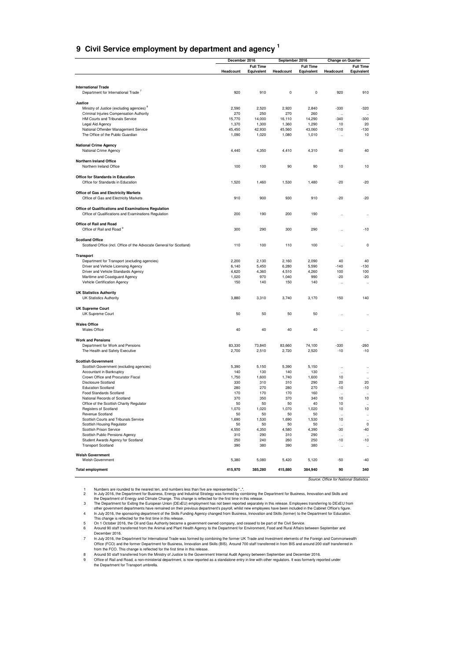### **9 Civil Service employment by department and agency <sup>1</sup>**

|                                                                                                              | December 2016 |                                | September 2016 |                                | <b>Change on Quarter</b>               |                                              |  |
|--------------------------------------------------------------------------------------------------------------|---------------|--------------------------------|----------------|--------------------------------|----------------------------------------|----------------------------------------------|--|
|                                                                                                              | Headcount     | <b>Full Time</b><br>Equivalent | Headcount      | <b>Full Time</b><br>Equivalent | Headcount                              | <b>Full Time</b><br>Equivalent               |  |
|                                                                                                              |               |                                |                |                                |                                        |                                              |  |
| <b>International Trade</b><br>Department for International Trade '                                           | 920           | 910                            | 0              | 0                              | 920                                    | 910                                          |  |
| Justice                                                                                                      |               |                                |                |                                |                                        |                                              |  |
| Ministry of Justice (excluding agencies) <sup>8</sup>                                                        | 2,590         | 2,520                          | 2,920          | 2,840                          | $-330$                                 | $-320$                                       |  |
| Criminal Injuries Compensation Authority<br>HM Courts and Tribunals Service                                  | 270<br>15,770 | 250<br>14,000                  | 270<br>16,110  | 260<br>14,290                  | $\ddot{\phantom{0}}$<br>$-340$         | <br>-300                                     |  |
| Legal Aid Agency                                                                                             | 1,370         | 1,300                          | 1,360          | 1,290                          | 10                                     | 20                                           |  |
| National Offender Management Service                                                                         | 45,450        | 42,930                         | 45,560         | 43,060                         | $-110$                                 | $-130$                                       |  |
| The Office of the Public Guardian                                                                            | 1,090         | 1,020                          | 1,080          | 1,010                          | J.                                     | 10                                           |  |
| <b>National Crime Agency</b><br>National Crime Agency                                                        | 4,440         | 4,350                          | 4,410          | 4,310                          | 40                                     | 40                                           |  |
| <b>Northern Ireland Office</b>                                                                               |               |                                |                |                                |                                        |                                              |  |
| Northern Ireland Office                                                                                      | 100           | 100                            | 90             | 90                             | 10                                     | 10                                           |  |
| Office for Standards in Education<br>Office for Standards in Education                                       | 1,520         | 1,460                          | 1,530          | 1,480                          | $-20$                                  | $-20$                                        |  |
| <b>Office of Gas and Electricity Markets</b>                                                                 |               |                                |                |                                |                                        |                                              |  |
| Office of Gas and Electricity Markets                                                                        | 910           | 900                            | 930            | 910                            | $-20$                                  | $-20$                                        |  |
| Office of Qualifications and Examinations Regulation<br>Office of Qualifications and Examinations Regulation | 200           | 190                            | 200            | 190                            |                                        |                                              |  |
|                                                                                                              |               |                                |                |                                | $\ddot{\phantom{a}}$                   |                                              |  |
| Office of Rail and Road<br>Office of Rail and Road <sup>9</sup>                                              | 300           | 290                            | 300            | 290                            |                                        | $-10$                                        |  |
| <b>Scotland Office</b><br>Scotland Office (incl. Office of the Advocate General for Scotland)                | 110           | 100                            | 110            | 100                            |                                        | 0                                            |  |
| <b>Transport</b>                                                                                             |               |                                |                |                                |                                        |                                              |  |
| Department for Transport (excluding agencies)                                                                | 2,200         | 2,130                          | 2,160          | 2,090                          | 40                                     | 40                                           |  |
| Driver and Vehicle Licensing Agency                                                                          | 6,140         | 5,450                          | 6,280          | 5,590                          | $-140$                                 | $-130$                                       |  |
| Driver and Vehicle Standards Agency                                                                          | 4,620         | 4,360                          | 4,510          | 4,260                          | 100                                    | 100                                          |  |
| Maritime and Coastguard Agency                                                                               | 1,020         | 970                            | 1,040          | 990                            | $-20$                                  | -20                                          |  |
| Vehicle Certification Agency                                                                                 | 150           | 140                            | 150            | 140                            | J.                                     | $\ddot{\phantom{a}}$                         |  |
| <b>UK Statistics Authority</b><br><b>UK Statistics Authority</b>                                             | 3,880         | 3,310                          | 3,740          | 3,170                          | 150                                    | 140                                          |  |
| <b>UK Supreme Court</b>                                                                                      |               |                                |                |                                |                                        |                                              |  |
| UK Supreme Court                                                                                             | 50            | 50                             | 50             | 50                             |                                        | $\ddot{\phantom{a}}$                         |  |
| <b>Wales Office</b><br><b>Wales Office</b>                                                                   | 40            | 40                             | 40             | 40                             |                                        |                                              |  |
| <b>Work and Pensions</b>                                                                                     |               |                                |                |                                |                                        |                                              |  |
| Department for Work and Pensions                                                                             | 83,330        | 73,840                         | 83,660         | 74,100                         | $-330$                                 | $-260$                                       |  |
| The Health and Safety Executive                                                                              | 2,700         | 2,510                          | 2,720          | 2,520                          | $-10$                                  | $-10$                                        |  |
| <b>Scottish Government</b>                                                                                   |               |                                |                |                                |                                        |                                              |  |
| Scottish Government (excluding agencies)<br>Accountant in Bankruptcy                                         | 5,390<br>140  | 5,150<br>130                   | 5,390<br>140   | 5,150<br>130                   | $\ddotsc$                              | $\ddot{\phantom{0}}$                         |  |
| Crown Office and Procurator Fiscal                                                                           | 1,750         | 1,600                          | 1,740          | 1,600                          | 10                                     | $\ddot{\phantom{0}}$<br>$\ddot{\phantom{0}}$ |  |
| <b>Disclosure Scotland</b>                                                                                   | 330           | 310                            | 310            | 290                            | 20                                     | 20                                           |  |
| <b>Education Scotland</b>                                                                                    | 280           | 270                            | 280            | 270                            | $-10$                                  | -10                                          |  |
| Food Standards Scotland<br>National Records of Scotland                                                      | 170<br>370    | 170<br>350                     | 170<br>370     | 160<br>340                     | $\ddot{\phantom{a}}$<br>10             | $\ddot{\phantom{a}}$<br>10                   |  |
| Office of the Scottish Charity Regulator                                                                     | 50            | 50                             | 50             | 40                             | 10                                     | $\ddot{\phantom{a}}$                         |  |
| Registers of Scotland                                                                                        | 1,070         | 1,020                          | 1,070          | 1,020                          | 10                                     | 10                                           |  |
| Revenue Scotland                                                                                             | 50            | 50                             | 50             | 50                             | $\ddot{\phantom{0}}$                   |                                              |  |
| Scottish Courts and Tribunals Service                                                                        | 1,690         | 1,530                          | 1,690          | 1,530                          | 10                                     | $\ldots$                                     |  |
| Scottish Housing Regulator<br>Scottish Prison Service                                                        | 50<br>4,550   | 50<br>4,350                    | 50<br>4,580    | 50<br>4,390                    | $\ddot{\phantom{a}}$<br>-30            | $\mathsf 0$<br>$-40$                         |  |
| Scottish Public Pensions Agency                                                                              | 310           | 290                            | 310            | 290                            | $\ddot{\phantom{a}}$                   | $\ddotsc$                                    |  |
| Student Awards Agency for Scotland<br><b>Transport Scotland</b>                                              | 250<br>390    | 240<br>380                     | 260<br>390     | 250<br>380                     | -10<br>$\ddotsc$                       | $-10$<br>$\ddotsc$                           |  |
| <b>Welsh Government</b>                                                                                      |               |                                |                |                                |                                        |                                              |  |
| Welsh Government                                                                                             | 5,380         | 5,080                          | 5,420          | 5,120                          | $-50$                                  | $-40$                                        |  |
| <b>Total employment</b>                                                                                      | 415,970       | 385,280                        | 415,880        | 384,940                        | 90                                     | 340                                          |  |
|                                                                                                              |               |                                |                |                                | Source: Office for National Statistics |                                              |  |

Numbers are rounded to the nearest ten, and numbers less than five are represented by "..."<br>
In July 2016, the Department of Europy and Climate Change. Energy and Industrial Strategy was formed by combining the Department

December 2016.

In July 2016, the Department for International Trade was formed by combining the former UK Trade and Investment elements of the Foreign and Commonwealth<br>Office (FCO) and the former Department for Business, Innovation and S

from the FCO. This change is reflected for the first time in this release. 8 Around 50 staff transferred from the Ministry of Justice to the Government Internal Audit Agency between September and December 2016.

9 Office of Rail and Road, a non-ministerial department, is now reported as a standalone entry in line with other regulators. It was formerly reported under the Department for Transport umbrella.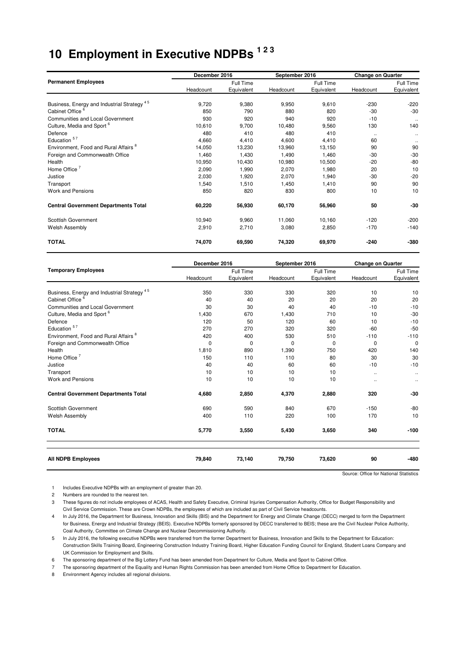# **10 Employment in Executive NDPBs 1 2 3**

|                                                        | December 2016 |            | September 2016 |            | <b>Change on Quarter</b> |              |
|--------------------------------------------------------|---------------|------------|----------------|------------|--------------------------|--------------|
| <b>Permanent Employees</b>                             |               | Full Time  |                | Full Time  |                          | Full Time    |
|                                                        | Headcount     | Equivalent | Headcount      | Equivalent | Headcount                | Equivalent   |
| Business, Energy and Industrial Strategy <sup>45</sup> | 9,720         | 9,380      | 9,950          | 9,610      | $-230$                   | $-220$       |
| Cabinet Office <sup>6</sup>                            | 850           | 790        | 880            | 820        | $-30$                    | $-30$        |
| Communities and Local Government                       | 930           | 920        | 940            | 920        | $-10$                    | $\cdot\cdot$ |
| Culture, Media and Sport <sup>6</sup>                  | 10,610        | 9,700      | 10,480         | 9,560      | 130                      | 140          |
| Defence                                                | 480           | 410        | 480            | 410        | $\ldots$                 | $\cdot\cdot$ |
| Education <sup>57</sup>                                | 4,660         | 4,410      | 4,600          | 4,410      | 60                       | $\ldots$     |
| Environment, Food and Rural Affairs <sup>8</sup>       | 14,050        | 13,230     | 13,960         | 13,150     | 90                       | 90           |
| Foreign and Commonwealth Office                        | 1,460         | 1,430      | 1,490          | 1,460      | $-30$                    | $-30$        |
| Health                                                 | 10,950        | 10,430     | 10,980         | 10,500     | $-20$                    | $-80$        |
| Home Office $7$                                        | 2,090         | 1,990      | 2,070          | 1,980      | 20                       | 10           |
| Justice                                                | 2,030         | 1,920      | 2,070          | 1,940      | $-30$                    | $-20$        |
| Transport                                              | 1,540         | 1,510      | 1,450          | 1,410      | 90                       | 90           |
| <b>Work and Pensions</b>                               | 850           | 820        | 830            | 800        | 10                       | 10           |
| <b>Central Government Departments Total</b>            | 60,220        | 56,930     | 60,170         | 56,960     | 50                       | $-30$        |
| Scottish Government                                    | 10,940        | 9,960      | 11,060         | 10,160     | $-120$                   | $-200$       |
| Welsh Assembly                                         | 2,910         | 2,710      | 3,080          | 2,850      | $-170$                   | $-140$       |
| <b>TOTAL</b>                                           | 74,070        | 69,590     | 74,320         | 69,970     | $-240$                   | -380         |

|                                                        | December 2016 |             | September 2016 |             | <b>Change on Quarter</b> |              |
|--------------------------------------------------------|---------------|-------------|----------------|-------------|--------------------------|--------------|
| <b>Temporary Employees</b>                             |               | Full Time   |                | Full Time   |                          | Full Time    |
|                                                        | Headcount     | Equivalent  | Headcount      | Equivalent  | Headcount                | Equivalent   |
| Business, Energy and Industrial Strategy <sup>45</sup> | 350           | 330         | 330            | 320         | 10                       | 10           |
| Cabinet Office <sup>6</sup>                            | 40            | 40          | 20             | 20          | 20                       | 20           |
| <b>Communities and Local Government</b>                | 30            | 30          | 40             | 40          | $-10$                    | $-10$        |
| Culture, Media and Sport <sup>6</sup>                  | 1,430         | 670         | 1,430          | 710         | 10                       | $-30$        |
| Defence                                                | 120           | 50          | 120            | 60          | 10                       | $-10$        |
| Education <sup>57</sup>                                | 270           | 270         | 320            | 320         | $-60$                    | $-50$        |
| Environment, Food and Rural Affairs <sup>8</sup>       | 420           | 400         | 530            | 510         | $-110$                   | $-110$       |
| Foreign and Commonwealth Office                        | $\mathbf 0$   | $\mathbf 0$ | $\mathbf 0$    | $\mathbf 0$ | $\mathbf 0$              | $\mathbf{0}$ |
| Health                                                 | 1,810         | 890         | 1,390          | 750         | 420                      | 140          |
| Home Office $7$                                        | 150           | 110         | 110            | 80          | 30                       | 30           |
| Justice                                                | 40            | 40          | 60             | 60          | $-10$                    | $-10$        |
| Transport                                              | 10            | 10          | 10             | 10          | $\ddotsc$                | $\ddotsc$    |
| Work and Pensions                                      | 10            | 10          | 10             | 10          | $\ddotsc$                |              |
| <b>Central Government Departments Total</b>            | 4,680         | 2,850       | 4,370          | 2,880       | 320                      | $-30$        |
| Scottish Government                                    | 690           | 590         | 840            | 670         | $-150$                   | $-80$        |
| <b>Welsh Assembly</b>                                  | 400           | 110         | 220            | 100         | 170                      | 10           |
| <b>TOTAL</b>                                           | 5,770         | 3,550       | 5,430          | 3,650       | 340                      | $-100$       |
| <b>All NDPB Employees</b>                              | 79,840        | 73,140      | 79,750         | 73,620      | 90                       | -480         |

Source: Office for National Statistics

1 Includes Executive NDPBs with an employment of greater than 20.

2 Numbers are rounded to the nearest ten.

3 These figures do not include employees of ACAS, Health and Safety Executive, Criminal Injuries Compensation Authority, Office for Budget Responsibility and Civil Service Commission. These are Crown NDPBs, the employees of which are included as part of Civil Service headcounts.

4 In July 2016, the Department for Business, Innovation and Skills (BIS) and the Department for Energy and Climate Change (DECC) merged to form the Department for Business, Energy and Industrial Strategy (BEIS). Executive NDPBs formerly sponsored by DECC transferred to BEIS; these are the Civil Nuclear Police Authority, Coal Authority, Committee on Climate Change and Nuclear Decommissioning Authority.

5 In July 2016, the following executive NDPBs were transferred from the former Department for Business, Innovation and Skills to the Department for Education: Construction Skills Training Board, Engineering Construction Industry Training Board, Higher Education Funding Council for England, Student Loans Company and UK Commission for Employment and Skills.

6 The sponsoring department of the Big Lottery Fund has been amended from Department for Culture, Media and Sport to Cabinet Office.

7 The sponsoring department of the Equality and Human Rights Commission has been amended from Home Office to Department for Education.

8 Environment Agency includes all regional divisions.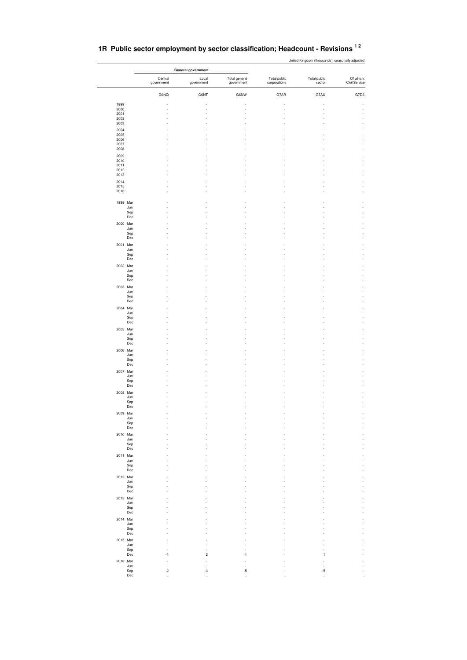| 1R Public sector employment by sector classification; Headcount - Revisions <sup>12</sup> |  |
|-------------------------------------------------------------------------------------------|--|
|-------------------------------------------------------------------------------------------|--|

| 1999<br>2000<br>2001<br>2002<br>2003<br>2004<br>2005 | Central<br>government<br>G6NQ | Local<br>government<br>G6NT | Total general<br>government<br>G6NW | Total public<br>corporations | Total public<br>sector | Of which:<br>Civil Service |
|------------------------------------------------------|-------------------------------|-----------------------------|-------------------------------------|------------------------------|------------------------|----------------------------|
|                                                      |                               |                             |                                     |                              |                        |                            |
|                                                      |                               |                             |                                     |                              |                        |                            |
|                                                      |                               |                             |                                     | G7AR                         | G7AU                   | G7D6                       |
|                                                      |                               |                             |                                     |                              |                        |                            |
|                                                      |                               |                             |                                     |                              |                        |                            |
|                                                      |                               |                             |                                     |                              |                        |                            |
|                                                      |                               |                             |                                     |                              |                        |                            |
|                                                      |                               |                             |                                     |                              |                        |                            |
| 2006<br>2007                                         |                               |                             |                                     |                              |                        |                            |
| 2008                                                 |                               |                             |                                     |                              |                        |                            |
| 2009<br>2010                                         |                               |                             |                                     |                              |                        |                            |
| 2011                                                 |                               |                             |                                     |                              |                        |                            |
| 2012<br>2013                                         |                               |                             |                                     |                              |                        |                            |
| 2014                                                 |                               |                             |                                     |                              |                        |                            |
| 2015<br>2016                                         |                               |                             |                                     |                              |                        |                            |
| 1999 Mar                                             |                               |                             |                                     |                              |                        |                            |
| Jun<br>Sep                                           |                               |                             |                                     |                              |                        |                            |
| Dec                                                  |                               |                             |                                     |                              |                        |                            |
| 2000 Mar                                             |                               |                             |                                     |                              |                        |                            |
| Jun<br>Sep                                           |                               |                             |                                     |                              |                        |                            |
| Dec                                                  |                               |                             |                                     |                              |                        |                            |
| 2001 Mar                                             |                               |                             |                                     |                              |                        |                            |
| Jun<br>Sep                                           |                               |                             |                                     |                              |                        |                            |
| Dec                                                  |                               |                             |                                     |                              |                        |                            |
| 2002 Mar                                             |                               |                             |                                     |                              |                        |                            |
| Jun<br>Sep                                           |                               |                             |                                     |                              |                        |                            |
| Dec                                                  |                               |                             |                                     |                              |                        |                            |
| 2003 Mar                                             |                               |                             |                                     |                              |                        |                            |
| Jun<br>Sep                                           |                               |                             |                                     |                              |                        |                            |
| Dec                                                  |                               |                             |                                     |                              |                        |                            |
| 2004 Mar<br>Jun                                      |                               |                             |                                     |                              |                        |                            |
| Sep                                                  |                               |                             |                                     |                              |                        |                            |
| Dec                                                  |                               |                             |                                     |                              |                        |                            |
| 2005 Mar<br>Jun                                      |                               |                             |                                     |                              |                        |                            |
| Sep                                                  |                               |                             |                                     |                              |                        |                            |
| Dec<br>2006 Mar                                      |                               |                             |                                     |                              |                        |                            |
| Jun                                                  |                               |                             |                                     |                              |                        |                            |
| Sep<br>Dec                                           |                               |                             |                                     |                              |                        |                            |
| 2007 Mar                                             |                               |                             |                                     |                              |                        |                            |
| Jun                                                  |                               |                             |                                     |                              |                        |                            |
| Sep<br>Dec                                           |                               |                             |                                     |                              |                        |                            |
| 2008 Mar                                             |                               |                             |                                     |                              |                        |                            |
| Jun                                                  |                               |                             |                                     |                              |                        |                            |
| Sep<br>Dec                                           |                               |                             |                                     |                              |                        |                            |
| 2009 Mar                                             |                               |                             |                                     |                              |                        |                            |
| Jun<br>Sep                                           |                               |                             |                                     |                              |                        |                            |
| Dec                                                  |                               |                             |                                     |                              |                        |                            |
| 2010 Mar                                             |                               |                             |                                     |                              |                        |                            |
| Jun<br>Sep                                           |                               |                             |                                     |                              |                        |                            |
| Dec                                                  |                               |                             |                                     |                              |                        |                            |
| 2011 Mar                                             |                               |                             |                                     |                              |                        |                            |
| Jun<br>Sep                                           |                               |                             |                                     |                              |                        |                            |
| Dec                                                  |                               |                             |                                     |                              |                        |                            |
| 2012 Mar<br>Jun                                      |                               |                             |                                     |                              |                        |                            |
| Sep                                                  |                               |                             |                                     |                              |                        |                            |
| Dec                                                  |                               |                             |                                     |                              |                        |                            |
| 2013 Mar<br>Jun                                      |                               |                             |                                     |                              |                        |                            |
| Sep                                                  |                               |                             |                                     |                              |                        |                            |
| Dec                                                  |                               |                             |                                     |                              |                        |                            |
| 2014 Mar<br>Jun                                      |                               |                             |                                     |                              |                        |                            |
| Sep                                                  |                               |                             |                                     |                              |                        |                            |
| Dec<br>2015 Mar                                      |                               |                             |                                     |                              |                        |                            |
| Jun                                                  |                               |                             |                                     |                              |                        |                            |
| Sep<br>$_{\rm Dec}$                                  | ÷,<br>$-1$                    | $\overline{\mathbf{c}}$     | 1                                   |                              | 1                      |                            |
| 2016 Mar                                             |                               |                             |                                     |                              |                        |                            |
| Jun                                                  | ÷,                            |                             |                                     |                              |                        |                            |
| Sep<br>Dec                                           | $-2$                          | $-3$                        | $-5$                                |                              | $-5$                   |                            |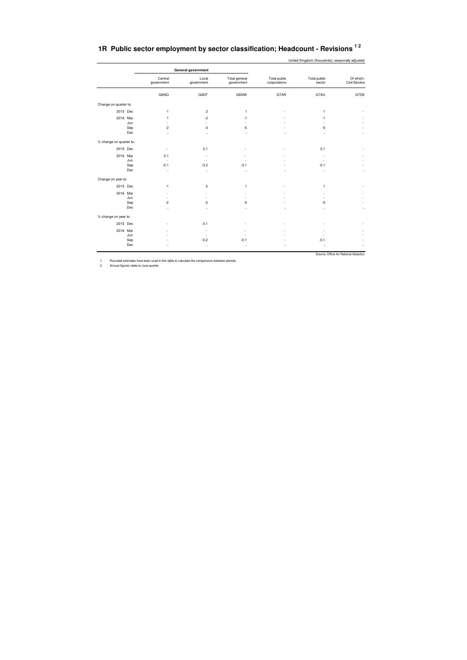## **1R Public sector employment by sector classification; Headcount - Revisions 1 2**

United Kingdom (thousands), seasonally adjusted

|                         |     |                          | General government       |                             |                              |                          |                                        |
|-------------------------|-----|--------------------------|--------------------------|-----------------------------|------------------------------|--------------------------|----------------------------------------|
|                         |     | Central<br>government    | Local<br>government      | Total general<br>government | Total public<br>corporations | Total public<br>sector   | Of which:<br>Civil Service             |
|                         |     | G6NQ                     | G6NT                     | G6NW                        | G7AR                         | G7AU                     | G7D6                                   |
| Change on quarter to:   |     |                          |                          |                             |                              |                          |                                        |
| 2015 Dec                |     | $-1$                     | $\overline{\mathbf{c}}$  | $\mathbf{1}$                |                              | $\mathbf{1}$             |                                        |
| 2016 Mar                |     | $\mathbf{1}$             | $-2$                     | $-1$                        |                              | $-1$                     |                                        |
|                         | Jun | $\overline{\phantom{a}}$ | $\overline{\phantom{a}}$ | $\overline{\phantom{a}}$    |                              | $\overline{\phantom{a}}$ |                                        |
|                         | Sep | $-2$                     | -3                       | $-5$                        |                              | $-5$                     |                                        |
|                         | Dec | $\ddot{\phantom{a}}$     | $\ddotsc$                | $\ddotsc$                   | $\ddot{\phantom{a}}$         | $\ddotsc$                |                                        |
| % change on quarter to: |     |                          |                          |                             |                              |                          |                                        |
| 2015 Dec                |     | $\overline{\phantom{a}}$ | 0.1                      |                             |                              | 0.1                      |                                        |
| 2016 Mar                |     | 0.1                      | ٠                        | ٠                           |                              | ٠                        |                                        |
|                         | Jun | $\epsilon$               | $\overline{\phantom{a}}$ | ٠                           |                              | $\overline{\phantom{a}}$ |                                        |
|                         | Sep | $-0.1$                   | $-0.2$                   | $-0.1$                      |                              | $-0.1$                   |                                        |
|                         | Dec | $\ddot{\phantom{a}}$     | $\ddotsc$                | $\ddotsc$                   | $\ddot{\phantom{a}}$         | $\ddotsc$                |                                        |
| Change on year to:      |     |                          |                          |                             |                              |                          |                                        |
| 2015 Dec                |     | $-1$                     | $\overline{\mathbf{c}}$  | 1                           |                              | 1                        |                                        |
| 2016 Mar                |     | ÷.                       | ÷,                       | ٠                           |                              |                          |                                        |
|                         | Jun | ٠                        | ٠                        | ٠                           |                              | ٠                        |                                        |
|                         | Sep | $-2$                     | $-3$                     | $-5$                        |                              | $-5$                     |                                        |
|                         | Dec |                          |                          | $\ddotsc$                   | $\ddot{\phantom{a}}$         | $\ddotsc$                | $\ddotsc$                              |
| % change on year to:    |     |                          |                          |                             |                              |                          |                                        |
| 2015 Dec                |     |                          | 0.1                      |                             |                              |                          |                                        |
| 2016 Mar                |     |                          | $\sim$                   | ٠                           |                              |                          |                                        |
|                         | Jun |                          | $\sim$                   | ٠                           |                              |                          |                                        |
|                         | Sep |                          | $-0.2$                   | $-0.1$                      |                              | $-0.1$                   |                                        |
|                         | Dec |                          | $\ddotsc$                | $\ddotsc$                   |                              | $\ddot{\phantom{a}}$     |                                        |
|                         |     |                          |                          |                             |                              |                          | Source: Office for National Statistics |

1 Rounded estimates have been used in this table to calculate the comparisons between periods. 2 Annual figures relate to June quarter.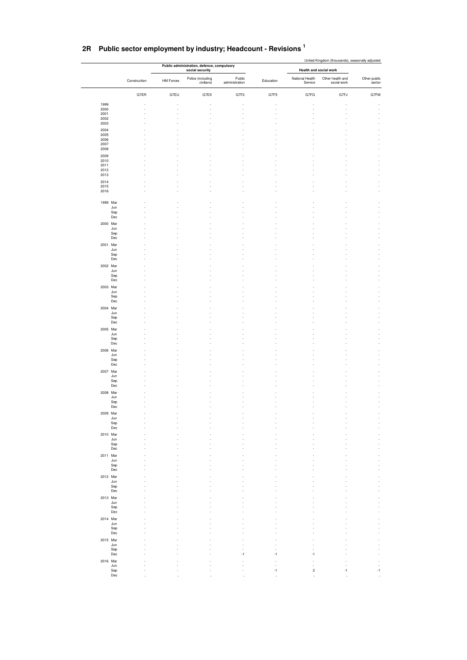| social security<br>Health and social work<br>Police (including<br>Public<br>National Health<br>Other health and<br>Construction<br>HM Forces<br>Education<br>civilians)<br>administration<br>Service<br>social work<br>G7ER<br>G7EU<br>G7F2<br>G7F5<br>G7EX<br>G7FG<br>G7FJ<br>1999<br>2000<br>2001<br>2002<br>2003<br>2004<br>2005<br>2006<br>2007<br>2008<br>2009<br>2010<br>2011<br>2012<br>2013<br>2014<br>2015<br>2016<br>1999 Mar<br>Jun<br>Sep<br>Dec<br>2000 Mar<br>Jun<br>Sep<br>Dec<br>2001 Mar<br>Jun<br>${\sf Sep}$<br>Dec<br>2002 Mar<br>Jun<br>Sep<br>Dec<br>2003 Mar<br>Jun<br>Sep<br>Dec<br>2004 Mar<br>Jun<br>Sep<br>Dec<br>2005 Mar<br>Jun<br>Sep<br>Dec<br>2006 Mar<br>Jun<br>Sep<br>Dec<br>2007 Mar<br>Jun<br>Sep<br>Dec<br>2008 Mar<br>Jun<br>Sep<br>Dec<br>2009 Mar<br>Jun<br>Sep<br>$_{\rm Dec}$<br>2010 Mar<br>Jun | Other public<br>sector<br>G7FM |
|--------------------------------------------------------------------------------------------------------------------------------------------------------------------------------------------------------------------------------------------------------------------------------------------------------------------------------------------------------------------------------------------------------------------------------------------------------------------------------------------------------------------------------------------------------------------------------------------------------------------------------------------------------------------------------------------------------------------------------------------------------------------------------------------------------------------------------------------|--------------------------------|
|                                                                                                                                                                                                                                                                                                                                                                                                                                                                                                                                                                                                                                                                                                                                                                                                                                            |                                |
|                                                                                                                                                                                                                                                                                                                                                                                                                                                                                                                                                                                                                                                                                                                                                                                                                                            |                                |
|                                                                                                                                                                                                                                                                                                                                                                                                                                                                                                                                                                                                                                                                                                                                                                                                                                            |                                |
|                                                                                                                                                                                                                                                                                                                                                                                                                                                                                                                                                                                                                                                                                                                                                                                                                                            |                                |
|                                                                                                                                                                                                                                                                                                                                                                                                                                                                                                                                                                                                                                                                                                                                                                                                                                            |                                |
|                                                                                                                                                                                                                                                                                                                                                                                                                                                                                                                                                                                                                                                                                                                                                                                                                                            |                                |
|                                                                                                                                                                                                                                                                                                                                                                                                                                                                                                                                                                                                                                                                                                                                                                                                                                            |                                |
|                                                                                                                                                                                                                                                                                                                                                                                                                                                                                                                                                                                                                                                                                                                                                                                                                                            |                                |
|                                                                                                                                                                                                                                                                                                                                                                                                                                                                                                                                                                                                                                                                                                                                                                                                                                            |                                |
|                                                                                                                                                                                                                                                                                                                                                                                                                                                                                                                                                                                                                                                                                                                                                                                                                                            |                                |
|                                                                                                                                                                                                                                                                                                                                                                                                                                                                                                                                                                                                                                                                                                                                                                                                                                            |                                |
|                                                                                                                                                                                                                                                                                                                                                                                                                                                                                                                                                                                                                                                                                                                                                                                                                                            |                                |
|                                                                                                                                                                                                                                                                                                                                                                                                                                                                                                                                                                                                                                                                                                                                                                                                                                            |                                |
|                                                                                                                                                                                                                                                                                                                                                                                                                                                                                                                                                                                                                                                                                                                                                                                                                                            |                                |
|                                                                                                                                                                                                                                                                                                                                                                                                                                                                                                                                                                                                                                                                                                                                                                                                                                            |                                |
|                                                                                                                                                                                                                                                                                                                                                                                                                                                                                                                                                                                                                                                                                                                                                                                                                                            |                                |
|                                                                                                                                                                                                                                                                                                                                                                                                                                                                                                                                                                                                                                                                                                                                                                                                                                            |                                |
|                                                                                                                                                                                                                                                                                                                                                                                                                                                                                                                                                                                                                                                                                                                                                                                                                                            |                                |
|                                                                                                                                                                                                                                                                                                                                                                                                                                                                                                                                                                                                                                                                                                                                                                                                                                            |                                |
|                                                                                                                                                                                                                                                                                                                                                                                                                                                                                                                                                                                                                                                                                                                                                                                                                                            |                                |
|                                                                                                                                                                                                                                                                                                                                                                                                                                                                                                                                                                                                                                                                                                                                                                                                                                            |                                |
|                                                                                                                                                                                                                                                                                                                                                                                                                                                                                                                                                                                                                                                                                                                                                                                                                                            |                                |
|                                                                                                                                                                                                                                                                                                                                                                                                                                                                                                                                                                                                                                                                                                                                                                                                                                            |                                |
|                                                                                                                                                                                                                                                                                                                                                                                                                                                                                                                                                                                                                                                                                                                                                                                                                                            |                                |
|                                                                                                                                                                                                                                                                                                                                                                                                                                                                                                                                                                                                                                                                                                                                                                                                                                            |                                |
|                                                                                                                                                                                                                                                                                                                                                                                                                                                                                                                                                                                                                                                                                                                                                                                                                                            |                                |
|                                                                                                                                                                                                                                                                                                                                                                                                                                                                                                                                                                                                                                                                                                                                                                                                                                            |                                |
|                                                                                                                                                                                                                                                                                                                                                                                                                                                                                                                                                                                                                                                                                                                                                                                                                                            |                                |
|                                                                                                                                                                                                                                                                                                                                                                                                                                                                                                                                                                                                                                                                                                                                                                                                                                            |                                |
|                                                                                                                                                                                                                                                                                                                                                                                                                                                                                                                                                                                                                                                                                                                                                                                                                                            |                                |
|                                                                                                                                                                                                                                                                                                                                                                                                                                                                                                                                                                                                                                                                                                                                                                                                                                            |                                |
|                                                                                                                                                                                                                                                                                                                                                                                                                                                                                                                                                                                                                                                                                                                                                                                                                                            |                                |
|                                                                                                                                                                                                                                                                                                                                                                                                                                                                                                                                                                                                                                                                                                                                                                                                                                            |                                |
|                                                                                                                                                                                                                                                                                                                                                                                                                                                                                                                                                                                                                                                                                                                                                                                                                                            |                                |
|                                                                                                                                                                                                                                                                                                                                                                                                                                                                                                                                                                                                                                                                                                                                                                                                                                            |                                |
|                                                                                                                                                                                                                                                                                                                                                                                                                                                                                                                                                                                                                                                                                                                                                                                                                                            |                                |
|                                                                                                                                                                                                                                                                                                                                                                                                                                                                                                                                                                                                                                                                                                                                                                                                                                            |                                |
|                                                                                                                                                                                                                                                                                                                                                                                                                                                                                                                                                                                                                                                                                                                                                                                                                                            |                                |
|                                                                                                                                                                                                                                                                                                                                                                                                                                                                                                                                                                                                                                                                                                                                                                                                                                            |                                |
|                                                                                                                                                                                                                                                                                                                                                                                                                                                                                                                                                                                                                                                                                                                                                                                                                                            |                                |
|                                                                                                                                                                                                                                                                                                                                                                                                                                                                                                                                                                                                                                                                                                                                                                                                                                            |                                |
|                                                                                                                                                                                                                                                                                                                                                                                                                                                                                                                                                                                                                                                                                                                                                                                                                                            |                                |
|                                                                                                                                                                                                                                                                                                                                                                                                                                                                                                                                                                                                                                                                                                                                                                                                                                            |                                |
|                                                                                                                                                                                                                                                                                                                                                                                                                                                                                                                                                                                                                                                                                                                                                                                                                                            |                                |
|                                                                                                                                                                                                                                                                                                                                                                                                                                                                                                                                                                                                                                                                                                                                                                                                                                            |                                |
|                                                                                                                                                                                                                                                                                                                                                                                                                                                                                                                                                                                                                                                                                                                                                                                                                                            |                                |
|                                                                                                                                                                                                                                                                                                                                                                                                                                                                                                                                                                                                                                                                                                                                                                                                                                            |                                |
|                                                                                                                                                                                                                                                                                                                                                                                                                                                                                                                                                                                                                                                                                                                                                                                                                                            |                                |
|                                                                                                                                                                                                                                                                                                                                                                                                                                                                                                                                                                                                                                                                                                                                                                                                                                            |                                |
| $\mbox{\rm Sep}$                                                                                                                                                                                                                                                                                                                                                                                                                                                                                                                                                                                                                                                                                                                                                                                                                           |                                |
| $_{\rm Dec}$                                                                                                                                                                                                                                                                                                                                                                                                                                                                                                                                                                                                                                                                                                                                                                                                                               |                                |
| 2011 Mar<br>Jun                                                                                                                                                                                                                                                                                                                                                                                                                                                                                                                                                                                                                                                                                                                                                                                                                            |                                |
| $\mbox{\rm Sep}$                                                                                                                                                                                                                                                                                                                                                                                                                                                                                                                                                                                                                                                                                                                                                                                                                           |                                |
| $_{\rm Dec}$                                                                                                                                                                                                                                                                                                                                                                                                                                                                                                                                                                                                                                                                                                                                                                                                                               |                                |
| 2012 Mar<br>Jun                                                                                                                                                                                                                                                                                                                                                                                                                                                                                                                                                                                                                                                                                                                                                                                                                            |                                |
| Sep                                                                                                                                                                                                                                                                                                                                                                                                                                                                                                                                                                                                                                                                                                                                                                                                                                        |                                |
| Dec<br>2013 Mar                                                                                                                                                                                                                                                                                                                                                                                                                                                                                                                                                                                                                                                                                                                                                                                                                            |                                |
| Jun                                                                                                                                                                                                                                                                                                                                                                                                                                                                                                                                                                                                                                                                                                                                                                                                                                        |                                |
| Sep<br>Dec                                                                                                                                                                                                                                                                                                                                                                                                                                                                                                                                                                                                                                                                                                                                                                                                                                 |                                |
| 2014 Mar                                                                                                                                                                                                                                                                                                                                                                                                                                                                                                                                                                                                                                                                                                                                                                                                                                   |                                |
| Jun                                                                                                                                                                                                                                                                                                                                                                                                                                                                                                                                                                                                                                                                                                                                                                                                                                        |                                |
| Sep<br>Dec                                                                                                                                                                                                                                                                                                                                                                                                                                                                                                                                                                                                                                                                                                                                                                                                                                 |                                |
| 2015 Mar                                                                                                                                                                                                                                                                                                                                                                                                                                                                                                                                                                                                                                                                                                                                                                                                                                   |                                |
| Jun                                                                                                                                                                                                                                                                                                                                                                                                                                                                                                                                                                                                                                                                                                                                                                                                                                        |                                |
| Sep<br>Dec<br>$-1$<br>-1<br>$-1$                                                                                                                                                                                                                                                                                                                                                                                                                                                                                                                                                                                                                                                                                                                                                                                                           |                                |
| 2016 Mar                                                                                                                                                                                                                                                                                                                                                                                                                                                                                                                                                                                                                                                                                                                                                                                                                                   |                                |
| Jun                                                                                                                                                                                                                                                                                                                                                                                                                                                                                                                                                                                                                                                                                                                                                                                                                                        |                                |
| Sep<br>$\sqrt{2}$<br>-1<br>$-1$<br>Dec                                                                                                                                                                                                                                                                                                                                                                                                                                                                                                                                                                                                                                                                                                                                                                                                     | $-1$                           |

## **2R Public sector employment by industry; Headcount - Revisions <sup>1</sup>**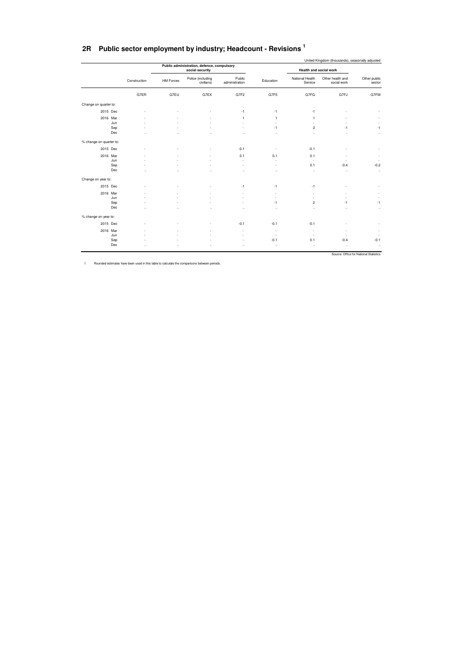|  | 2R Public sector employment by industry; Headcount - Revisions ' |  |
|--|------------------------------------------------------------------|--|
|--|------------------------------------------------------------------|--|

|                         |            |              |                      | Public administration, defence, compulsory |                          |                          |                                   | United Kingdom (thousands), seasonally adjusted |                                        |
|-------------------------|------------|--------------|----------------------|--------------------------------------------|--------------------------|--------------------------|-----------------------------------|-------------------------------------------------|----------------------------------------|
|                         |            |              |                      | social security                            |                          |                          |                                   | Health and social work                          |                                        |
|                         |            | Construction | <b>HM Forces</b>     | Police (including<br>civilians)            | Public<br>administration | Education                | National Health<br>Service        | Other health and<br>social work                 | Other public<br>sector                 |
|                         |            | G7ER         | G7EU                 | G7EX                                       | G7F2                     | G7F5                     | G7FG                              | G7FJ                                            | G7FM                                   |
| Change on quarter to:   |            |              |                      |                                            |                          |                          |                                   |                                                 |                                        |
| 2015 Dec                |            |              |                      |                                            | -1                       | $-1$                     | $-1$                              |                                                 |                                        |
| 2016 Mar                |            |              |                      |                                            | 1                        | $\mathbf{1}$             | $\overline{1}$                    |                                                 |                                        |
|                         | Jun<br>Sep |              |                      |                                            | ÷<br>٠                   | -1                       | $\sim$<br>$\overline{\mathbf{c}}$ | $-1$                                            | $-1$                                   |
|                         | Dec        |              |                      |                                            |                          |                          | $\ddot{\phantom{0}}$              | $\ddotsc$                                       | $\ldots$                               |
| % change on quarter to: |            |              |                      |                                            |                          |                          |                                   |                                                 |                                        |
| 2015 Dec                |            |              |                      |                                            | $-0.1$                   |                          | $-0.1$                            |                                                 |                                        |
| 2016 Mar                |            |              |                      |                                            | 0.1                      | 0.1                      | 0.1                               |                                                 | $\overline{\phantom{a}}$               |
|                         | Jun        |              |                      |                                            | ä,                       |                          | $\sim$                            |                                                 |                                        |
|                         | Sep        |              |                      |                                            | ٠                        |                          | 0.1                               | $-0.4$                                          | $-0.2$                                 |
|                         | Dec        | ٠.           | $\ddot{\phantom{0}}$ |                                            | $\ddot{\phantom{a}}$     | $\ddot{\phantom{a}}$     | $\ddot{\phantom{a}}$              | $\ddot{\phantom{a}}$                            | $\ldots$                               |
| Change on year to:      |            |              |                      |                                            |                          |                          |                                   |                                                 |                                        |
| 2015 Dec                |            |              |                      |                                            | $-1$                     | $-1$                     | $-1$                              |                                                 |                                        |
| 2016 Mar                |            |              |                      |                                            |                          | ٠                        | ٠                                 |                                                 |                                        |
|                         | Jun        |              |                      |                                            |                          | ٠                        |                                   |                                                 |                                        |
|                         | Sep        |              |                      |                                            |                          | $-1$                     | $\overline{c}$                    | -1                                              | $-1$                                   |
|                         | Dec        | ٠.           | $\ddot{\phantom{a}}$ |                                            | $\ddot{\phantom{a}}$     | $\ddotsc$                | $\ddot{\phantom{a}}$              | $\ddot{\phantom{a}}$                            | $\ldots$                               |
| % change on year to:    |            |              |                      |                                            |                          |                          |                                   |                                                 |                                        |
| 2015 Dec                |            |              |                      |                                            | $-0.1$                   | $-0.1$                   | $-0.1$                            |                                                 |                                        |
| 2016 Mar                |            |              |                      |                                            |                          | ٠                        | ٠                                 |                                                 |                                        |
|                         | Jun        |              |                      |                                            | ۰                        | $\overline{\phantom{a}}$ | $\overline{\phantom{a}}$          | ۰.                                              | ۰.                                     |
|                         | Sep        |              |                      |                                            |                          | $-0.1$                   | 0.1                               | $-0.4$                                          | $-0.1$                                 |
|                         | Dec        | ٠.           | $\ddot{\phantom{0}}$ | $\ddot{\phantom{a}}$                       |                          | $\ldots$                 | $\ddotsc$                         | $\ddotsc$                                       | $\ldots$                               |
|                         |            |              |                      |                                            |                          |                          |                                   |                                                 | Source: Office for National Statistics |

1 Rounded estimates have been used in this table to calculate the comparisons between periods.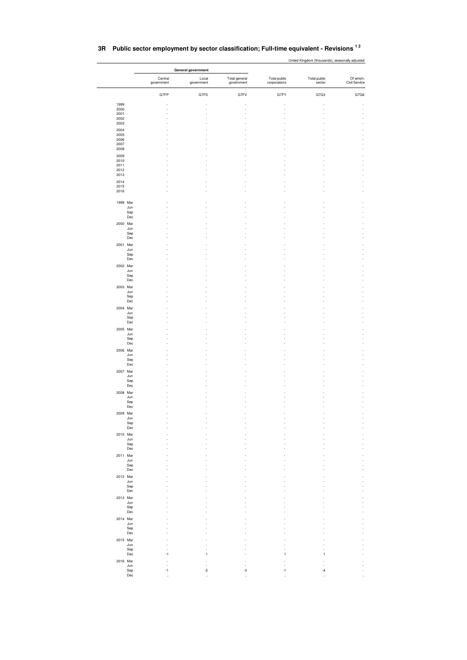|                     |                       | General government  |                             |                              |                        |                            |  |  |  |
|---------------------|-----------------------|---------------------|-----------------------------|------------------------------|------------------------|----------------------------|--|--|--|
|                     | Central<br>government | Local<br>government | Total general<br>government | Total public<br>corporations | Total public<br>sector | Of which:<br>Civil Service |  |  |  |
|                     | G7FP                  | G7FS                | G7FV                        | G7FY                         | G7G3                   | G7G6                       |  |  |  |
| 1999                |                       |                     |                             |                              |                        |                            |  |  |  |
| 2000<br>2001        |                       |                     |                             |                              |                        |                            |  |  |  |
| 2002                |                       |                     |                             |                              |                        |                            |  |  |  |
| 2003                |                       |                     |                             |                              |                        |                            |  |  |  |
| 2004<br>2005        |                       |                     |                             |                              |                        |                            |  |  |  |
| 2006                |                       |                     |                             |                              |                        |                            |  |  |  |
| 2007<br>2008        |                       |                     |                             |                              |                        |                            |  |  |  |
| 2009                |                       |                     |                             |                              |                        |                            |  |  |  |
| 2010                |                       |                     |                             |                              |                        |                            |  |  |  |
| 2011<br>2012        |                       |                     |                             |                              |                        |                            |  |  |  |
| 2013                |                       |                     |                             |                              |                        |                            |  |  |  |
| 2014                |                       |                     |                             |                              |                        |                            |  |  |  |
| 2015<br>2016        |                       |                     |                             |                              |                        |                            |  |  |  |
|                     |                       |                     |                             |                              |                        |                            |  |  |  |
| 1999 Mar            |                       |                     |                             |                              |                        |                            |  |  |  |
| Jun<br>Sep          |                       |                     |                             |                              |                        |                            |  |  |  |
| Dec                 |                       |                     |                             |                              |                        |                            |  |  |  |
| 2000 Mar            |                       |                     |                             |                              |                        |                            |  |  |  |
| Jun<br>Sep          |                       |                     |                             |                              |                        |                            |  |  |  |
| Dec                 |                       |                     |                             |                              |                        |                            |  |  |  |
| 2001 Mar            |                       |                     |                             |                              |                        |                            |  |  |  |
| Jun<br>Sep          |                       |                     |                             |                              |                        |                            |  |  |  |
| Dec                 |                       |                     |                             |                              |                        |                            |  |  |  |
| 2002 Mar            |                       |                     |                             |                              |                        |                            |  |  |  |
| Jun<br>Sep          |                       |                     |                             |                              |                        |                            |  |  |  |
| Dec                 |                       |                     |                             |                              |                        |                            |  |  |  |
| 2003 Mar            |                       |                     |                             |                              |                        |                            |  |  |  |
| Jun<br>Sep          |                       |                     |                             |                              |                        |                            |  |  |  |
| Dec                 |                       |                     |                             |                              |                        |                            |  |  |  |
| 2004 Mar            |                       |                     |                             |                              |                        |                            |  |  |  |
| Jun                 |                       |                     |                             |                              |                        |                            |  |  |  |
| Sep<br>Dec          |                       |                     |                             |                              |                        |                            |  |  |  |
| 2005 Mar            |                       |                     |                             |                              |                        |                            |  |  |  |
| Jun                 |                       |                     |                             |                              |                        |                            |  |  |  |
| Sep<br>Dec          |                       |                     |                             |                              |                        |                            |  |  |  |
| 2006 Mar            |                       |                     |                             |                              |                        |                            |  |  |  |
| Jun                 |                       |                     |                             |                              |                        |                            |  |  |  |
| Sep<br>$_{\rm Dec}$ |                       |                     |                             |                              |                        |                            |  |  |  |
| 2007 Mar            |                       |                     |                             |                              |                        |                            |  |  |  |
| Jun                 |                       |                     |                             |                              |                        |                            |  |  |  |
| Sep<br>$_{\rm Dec}$ |                       |                     |                             |                              |                        |                            |  |  |  |
| 2008 Mar            |                       |                     |                             |                              |                        |                            |  |  |  |
| Jun                 |                       |                     |                             |                              |                        |                            |  |  |  |
| ${\sf Sep}$<br>Dec  |                       |                     |                             |                              |                        |                            |  |  |  |
| 2009 Mar            |                       |                     |                             |                              |                        |                            |  |  |  |
| Jun                 |                       |                     |                             |                              |                        |                            |  |  |  |
| Sep<br>Dec          |                       |                     |                             |                              |                        |                            |  |  |  |
| 2010 Mar            |                       |                     |                             |                              |                        |                            |  |  |  |
| Jun                 |                       |                     |                             |                              |                        |                            |  |  |  |
| Sep<br>Dec          |                       |                     |                             |                              |                        |                            |  |  |  |
| 2011 Mar            |                       |                     |                             |                              |                        |                            |  |  |  |
| Jun                 |                       |                     |                             |                              |                        |                            |  |  |  |
| Sep<br>Dec          |                       |                     |                             |                              |                        |                            |  |  |  |
| 2012 Mar            |                       |                     |                             |                              |                        |                            |  |  |  |
| Jun                 |                       |                     |                             |                              |                        |                            |  |  |  |
| Sep<br>Dec          |                       |                     |                             |                              |                        |                            |  |  |  |
| 2013 Mar            |                       |                     |                             |                              |                        |                            |  |  |  |
| Jun                 |                       |                     |                             |                              |                        |                            |  |  |  |
| Sep<br>Dec          |                       |                     |                             |                              |                        |                            |  |  |  |
| 2014 Mar            |                       |                     |                             |                              |                        |                            |  |  |  |
| Jun                 |                       |                     |                             |                              |                        |                            |  |  |  |
| Sep<br>Dec          |                       |                     |                             |                              |                        |                            |  |  |  |
| 2015 Mar            |                       |                     |                             |                              |                        |                            |  |  |  |
| Jun                 |                       |                     |                             |                              |                        |                            |  |  |  |
| Sep<br>Dec          | $-1$                  |                     |                             |                              |                        |                            |  |  |  |
| 2016 Mar            |                       |                     |                             |                              |                        |                            |  |  |  |
| Jun                 |                       |                     | ä,                          |                              |                        |                            |  |  |  |
| Sep<br>Dec          | $-1$                  | $-2$                | -3                          | -1                           | -4                     |                            |  |  |  |
|                     |                       |                     |                             |                              |                        |                            |  |  |  |

### **3R Public sector employment by sector classification; Full-time equivalent - Revisions 1 2**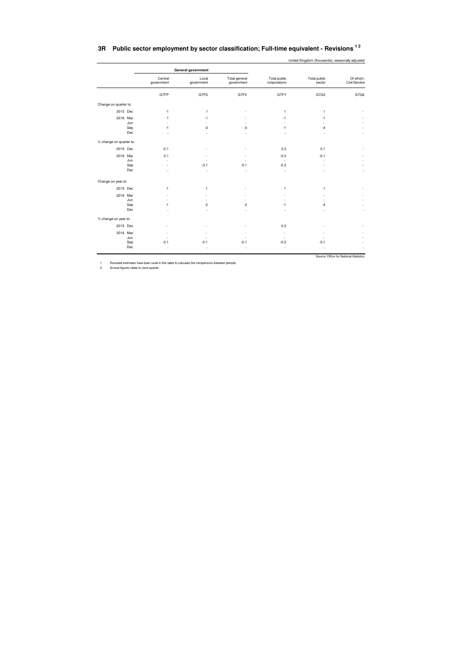|  | 3R Public sector employment by sector classification; Full-time equivalent - Revisions $^{12}$ |  |
|--|------------------------------------------------------------------------------------------------|--|
|--|------------------------------------------------------------------------------------------------|--|

United Kingdom (thousands), seasonally adjusted

|                         |     |                          | General government   |                             |                              |                        |                                        |
|-------------------------|-----|--------------------------|----------------------|-----------------------------|------------------------------|------------------------|----------------------------------------|
|                         |     | Central<br>government    | Local<br>government  | Total general<br>government | Total public<br>corporations | Total public<br>sector | Of which:<br>Civil Service             |
|                         |     | G7FP                     | G7FS                 | G7FV                        | G7FY                         | G7G3                   | G7G6                                   |
| Change on quarter to:   |     |                          |                      |                             |                              |                        |                                        |
| 2015 Dec                |     | $-1$                     | $\mathbf{1}$         |                             | $\mathbf{1}$                 | $\mathbf{1}$           |                                        |
| 2016 Mar                |     | 1                        | $-1$                 | ۰                           | $-1$                         | $-1$                   |                                        |
|                         | Jun | ٠                        | ٠                    | ٠                           | ٠                            | ÷                      |                                        |
|                         | Sep | $-1$                     | $-2$                 | $-3$                        | $-1$                         | $-4$                   |                                        |
|                         | Dec |                          | $\ddot{\phantom{a}}$ | $\ddot{\phantom{0}}$        | $\ddotsc$                    | $\ddotsc$              |                                        |
| % change on quarter to: |     |                          |                      |                             |                              |                        |                                        |
| 2015 Dec                |     | $-0.1$                   |                      |                             | 0.3                          | 0.1                    |                                        |
| 2016 Mar                |     | 0.1                      |                      |                             | $-0.3$                       | $-0.1$                 |                                        |
|                         | Jun | ÷,                       |                      | ÷                           | $\sim$                       | ٠                      |                                        |
|                         | Sep | $\overline{\phantom{a}}$ | $-0.1$               | $-0.1$                      | $-0.3$                       | ٠                      |                                        |
|                         | Dec |                          | $\ldots$             | $\ddotsc$                   | $\ddotsc$                    | $\ddotsc$              |                                        |
| Change on year to:      |     |                          |                      |                             |                              |                        |                                        |
| 2015 Dec                |     | $-1$                     | $\mathbf{1}$         |                             | $\mathbf{1}$                 | $\mathbf{1}$           |                                        |
| 2016 Mar                |     | ÷,                       | ÷,                   |                             | ٠                            |                        |                                        |
|                         | Jun | ٠                        |                      | ٠                           | ×,                           |                        |                                        |
|                         | Sep | $-1$                     | $-2$                 | $-3$                        | $-1$                         | $-4$                   |                                        |
|                         | Dec |                          |                      | $\ddot{\phantom{a}}$        | $\ddotsc$                    | $\ddotsc$              |                                        |
| % change on year to:    |     |                          |                      |                             |                              |                        |                                        |
| 2015 Dec                |     |                          | ٠                    |                             | 0.3                          |                        |                                        |
| 2016 Mar                |     | ٠                        | ٠                    | ÷                           | $\overline{\phantom{a}}$     |                        |                                        |
|                         | Jun | ٠                        | ٠                    | ٠                           | $\overline{\phantom{a}}$     |                        |                                        |
|                         | Sep | $-0.1$                   | $-0.1$               | $-0.1$                      | $-0.3$                       | $-0.1$                 |                                        |
|                         | Dec |                          | $\ddotsc$            | $\ddotsc$                   | $\ddotsc$                    | $\ddotsc$              |                                        |
|                         |     |                          |                      |                             |                              |                        | Source: Office for National Statistics |

1 Rounded estimates have been used in this table to calculate the comparisons between periods. 2 Annual figures relate to June quarter.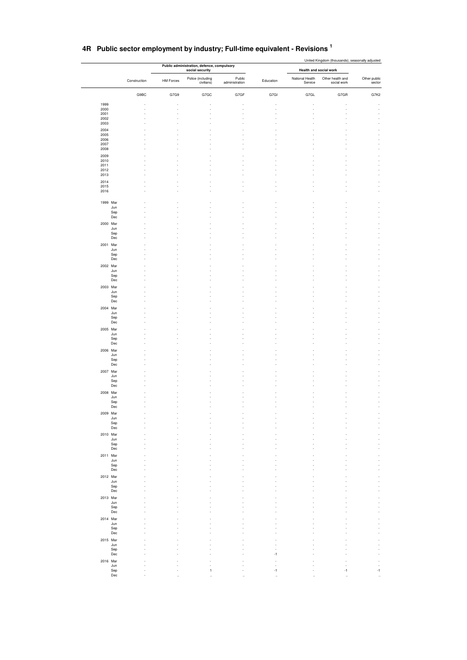|                     |              |           | Public administration, defence, compulsory |                          |           | United Kingdom (thousands), seasonally adjusted |                                 |                                  |  |  |  |
|---------------------|--------------|-----------|--------------------------------------------|--------------------------|-----------|-------------------------------------------------|---------------------------------|----------------------------------|--|--|--|
|                     |              |           | social security                            |                          |           | Health and social work                          |                                 |                                  |  |  |  |
|                     | Construction | HM Forces | Police (including<br>civilians)            | Public<br>administration | Education | National Health<br>Service                      | Other health and<br>social work | Other public<br>sector           |  |  |  |
|                     | G9BC         | G7G9      | G7GC                                       | G7GF                     | G7GI      | G7GL                                            | G7GR                            | G7K2                             |  |  |  |
| 1999                |              |           |                                            |                          |           |                                                 |                                 |                                  |  |  |  |
| 2000                |              |           |                                            |                          |           |                                                 |                                 |                                  |  |  |  |
| 2001<br>2002        |              |           |                                            |                          |           |                                                 |                                 |                                  |  |  |  |
| 2003                |              |           |                                            |                          |           |                                                 |                                 |                                  |  |  |  |
| 2004                |              |           |                                            |                          |           |                                                 |                                 |                                  |  |  |  |
| 2005<br>2006        |              |           |                                            |                          |           |                                                 |                                 |                                  |  |  |  |
| 2007                |              |           |                                            |                          |           |                                                 |                                 |                                  |  |  |  |
| 2008                |              |           |                                            |                          |           |                                                 |                                 |                                  |  |  |  |
| 2009                |              |           |                                            |                          |           |                                                 |                                 |                                  |  |  |  |
| 2010<br>2011        |              |           |                                            |                          |           |                                                 |                                 |                                  |  |  |  |
| 2012                |              |           |                                            |                          |           |                                                 |                                 |                                  |  |  |  |
| 2013                |              |           |                                            |                          |           |                                                 |                                 |                                  |  |  |  |
| 2014<br>2015        |              |           |                                            |                          |           |                                                 |                                 |                                  |  |  |  |
| 2016                |              |           |                                            |                          |           |                                                 |                                 |                                  |  |  |  |
| 1999 Mar            |              |           |                                            |                          |           |                                                 |                                 |                                  |  |  |  |
| Jun                 |              |           |                                            |                          |           |                                                 |                                 |                                  |  |  |  |
| Sep<br>$_{\rm Dec}$ |              |           |                                            |                          |           |                                                 |                                 |                                  |  |  |  |
| 2000 Mar            |              |           |                                            |                          |           |                                                 |                                 |                                  |  |  |  |
| Jun                 |              |           |                                            |                          |           |                                                 |                                 |                                  |  |  |  |
| ${\sf Sep}$         |              |           |                                            |                          |           |                                                 |                                 |                                  |  |  |  |
| Dec                 |              |           |                                            |                          |           |                                                 |                                 |                                  |  |  |  |
| 2001 Mar<br>Jun     |              |           |                                            |                          |           |                                                 |                                 |                                  |  |  |  |
| ${\sf Sep}$         |              |           |                                            |                          |           |                                                 |                                 |                                  |  |  |  |
| Dec                 |              |           |                                            |                          |           |                                                 |                                 |                                  |  |  |  |
| 2002 Mar<br>Jun     |              |           |                                            |                          |           |                                                 |                                 |                                  |  |  |  |
| ${\sf Sep}$         |              |           |                                            |                          |           |                                                 |                                 |                                  |  |  |  |
| Dec                 |              |           |                                            |                          |           |                                                 |                                 |                                  |  |  |  |
| 2003 Mar            |              |           |                                            |                          |           |                                                 |                                 |                                  |  |  |  |
| Jun<br>Sep          |              |           |                                            |                          |           |                                                 |                                 |                                  |  |  |  |
| Dec                 |              |           |                                            |                          |           |                                                 |                                 |                                  |  |  |  |
| 2004 Mar            |              |           |                                            |                          |           |                                                 |                                 |                                  |  |  |  |
| Jun                 |              |           |                                            |                          |           |                                                 |                                 |                                  |  |  |  |
| ${\sf Sep}$<br>Dec  |              |           |                                            |                          |           |                                                 |                                 |                                  |  |  |  |
| 2005 Mar            |              |           |                                            |                          |           |                                                 |                                 |                                  |  |  |  |
| Jun                 |              |           |                                            |                          |           |                                                 |                                 |                                  |  |  |  |
| ${\sf Sep}$<br>Dec  |              |           |                                            |                          |           |                                                 |                                 |                                  |  |  |  |
| 2006 Mar            |              |           |                                            |                          |           |                                                 |                                 |                                  |  |  |  |
| Jun                 |              |           |                                            |                          |           |                                                 |                                 |                                  |  |  |  |
| Sep<br>Dec          |              |           |                                            |                          |           |                                                 |                                 |                                  |  |  |  |
|                     |              |           |                                            |                          |           |                                                 |                                 |                                  |  |  |  |
| 2007 Mar<br>Jun     |              |           |                                            |                          |           |                                                 |                                 |                                  |  |  |  |
| Sep                 |              |           |                                            |                          |           |                                                 |                                 |                                  |  |  |  |
| Dec                 |              |           |                                            |                          |           |                                                 |                                 |                                  |  |  |  |
| 2008 Mar<br>Jun     |              |           |                                            |                          |           |                                                 |                                 |                                  |  |  |  |
| Sep                 |              |           |                                            |                          |           |                                                 |                                 |                                  |  |  |  |
| Dec                 |              |           |                                            |                          |           |                                                 |                                 |                                  |  |  |  |
| 2009 Mar            |              |           |                                            |                          |           |                                                 |                                 |                                  |  |  |  |
| Jun<br>Sep          |              |           |                                            |                          |           |                                                 |                                 |                                  |  |  |  |
| Dec                 |              |           |                                            |                          |           |                                                 |                                 |                                  |  |  |  |
| 2010 Mar            |              |           |                                            |                          |           |                                                 |                                 |                                  |  |  |  |
| Jun<br>Sep          |              |           |                                            |                          |           |                                                 |                                 |                                  |  |  |  |
| $_{\rm Dec}$        |              |           |                                            |                          |           |                                                 |                                 |                                  |  |  |  |
| 2011 Mar            |              |           |                                            |                          |           |                                                 |                                 |                                  |  |  |  |
| Jun                 |              |           |                                            |                          |           |                                                 |                                 |                                  |  |  |  |
| Sep<br>$_{\rm Dec}$ |              |           |                                            |                          |           |                                                 |                                 |                                  |  |  |  |
| 2012 Mar            |              |           |                                            |                          |           |                                                 |                                 |                                  |  |  |  |
| Jun                 |              |           |                                            |                          |           |                                                 |                                 |                                  |  |  |  |
| Sep<br>$_{\rm Dec}$ |              |           |                                            |                          |           |                                                 |                                 |                                  |  |  |  |
| 2013 Mar            |              |           |                                            |                          |           |                                                 |                                 |                                  |  |  |  |
| Jun                 |              |           |                                            |                          |           |                                                 |                                 |                                  |  |  |  |
| Sep<br>$_{\rm Dec}$ |              |           |                                            |                          |           |                                                 |                                 |                                  |  |  |  |
| 2014 Mar            |              |           |                                            |                          |           |                                                 |                                 |                                  |  |  |  |
| Jun                 |              |           |                                            |                          |           |                                                 |                                 |                                  |  |  |  |
| Sep                 |              |           |                                            |                          |           |                                                 |                                 |                                  |  |  |  |
| $_{\rm Dec}$        |              |           |                                            |                          |           |                                                 |                                 |                                  |  |  |  |
| 2015 Mar<br>Jun     |              |           |                                            |                          |           |                                                 |                                 |                                  |  |  |  |
| Sep                 |              |           |                                            |                          |           |                                                 |                                 |                                  |  |  |  |
| Dec                 |              |           |                                            |                          | $-1$      |                                                 |                                 |                                  |  |  |  |
| 2016 Mar            |              |           |                                            |                          |           |                                                 |                                 |                                  |  |  |  |
| Jun<br>Sep          |              |           | $\mathbf{1}$                               |                          | $-1$      |                                                 | $-1$                            | $\overline{\phantom{a}}$<br>$-1$ |  |  |  |
| Dec                 |              |           |                                            |                          |           |                                                 |                                 |                                  |  |  |  |

## **4R Public sector employment by industry; Full-time equivalent - Revisions <sup>1</sup>**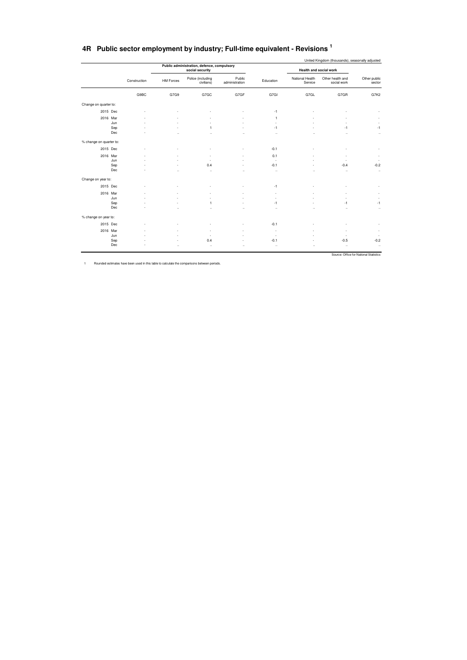|  | 4R Public sector employment by industry; Full-time equivalent - Revisions |
|--|---------------------------------------------------------------------------|
|--|---------------------------------------------------------------------------|

|                         |            |              |                      | Public administration, defence, compulsory |                          |              |                            | United Kingdom (thousands), seasonally adjusted |                          |
|-------------------------|------------|--------------|----------------------|--------------------------------------------|--------------------------|--------------|----------------------------|-------------------------------------------------|--------------------------|
|                         |            |              |                      | social security                            |                          |              | Health and social work     |                                                 |                          |
|                         |            | Construction | <b>HM Forces</b>     | Police (including<br>civilians)            | Public<br>administration | Education    | National Health<br>Service | Other health and<br>social work                 | Other public<br>sector   |
|                         |            | G9BC         | G7G9                 | G7GC                                       | G7GF                     | G7GI         | G7GL                       | G7GR                                            | G7K2                     |
| Change on quarter to:   |            |              |                      |                                            |                          |              |                            |                                                 |                          |
|                         | 2015 Dec   |              |                      |                                            |                          | $-1$         |                            |                                                 |                          |
|                         | 2016 Mar   |              |                      |                                            |                          | $\mathbf{1}$ |                            |                                                 |                          |
|                         | Jun        |              |                      |                                            |                          | ÷,           |                            |                                                 |                          |
|                         | Sep<br>Dec |              |                      | 1                                          | $\ddot{\phantom{a}}$     | $-1$<br>     |                            | $-1$<br>$\ddot{\phantom{a}}$                    | $-1$<br>$\ddotsc$        |
| % change on quarter to: |            |              |                      |                                            |                          |              |                            |                                                 |                          |
|                         | 2015 Dec   |              |                      |                                            |                          | $-0.1$       |                            |                                                 |                          |
|                         | 2016 Mar   |              |                      |                                            |                          | 0.1          |                            |                                                 |                          |
|                         | Jun        |              |                      |                                            |                          | $\sim$       |                            | J.                                              | $\sim$                   |
|                         | Sep        |              |                      | 0.4                                        |                          | $-0.1$       |                            | $-0.4$                                          | $-0.2$                   |
|                         | Dec        |              | $\ddot{\phantom{a}}$ |                                            | ٠.                       | $\ddotsc$    | ٠.                         | $\ddotsc$                                       | $\cdot$                  |
| Change on year to:      |            |              |                      |                                            |                          |              |                            |                                                 |                          |
|                         | 2015 Dec   |              |                      |                                            |                          | $-1$         |                            |                                                 |                          |
|                         | 2016 Mar   |              |                      |                                            |                          | ٠            |                            |                                                 |                          |
|                         | Jun        |              |                      |                                            |                          |              |                            |                                                 |                          |
|                         | Sep        |              |                      | 1                                          |                          | $-1$         |                            | -1                                              | $-1$                     |
|                         | Dec        |              |                      | $\ddot{\phantom{a}}$                       |                          |              |                            |                                                 | $\cdot\cdot$             |
| % change on year to:    |            |              |                      |                                            |                          |              |                            |                                                 |                          |
|                         | 2015 Dec   |              |                      |                                            |                          | $-0.1$       |                            | ٠                                               | $\overline{\phantom{a}}$ |
|                         | 2016 Mar   |              |                      |                                            |                          | ٠.           |                            | ٠                                               | $\overline{\phantom{a}}$ |
|                         | Jun        |              |                      |                                            |                          | . п.         |                            | ٠                                               | $\sim$                   |
|                         | Sep        |              |                      | 0.4                                        |                          | $-0.1$       |                            | $-0.5$                                          | $-0.2$                   |
|                         | Dec        |              | ٠.                   |                                            | $\ddot{\phantom{a}}$     | $\ddotsc$    |                            | $\ddotsc$                                       | $\ddotsc$                |

1 Rounded estimates have been used in this table to calculate the comparisons between periods.

Source: Office for National Statistics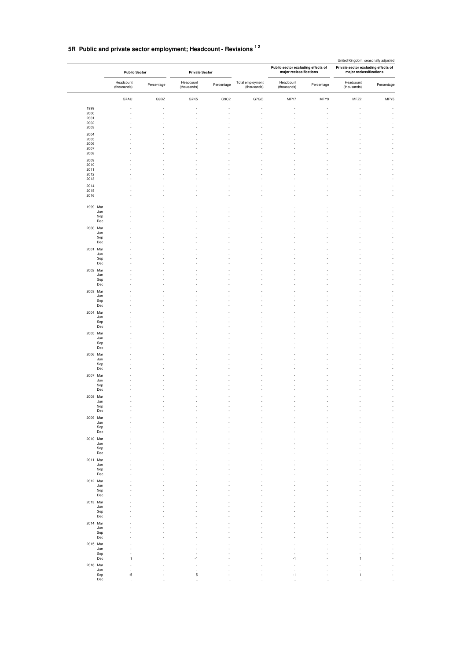## **5R Public and private sector employment; Headcount - Revisions 1 2**

|                          | <b>Public Sector</b>     |            | <b>Private Sector</b>    |            |                                 | Public sector excluding effects of<br>major reclassifications |            | United Kingdom, seasonally adjusted<br>Private sector excluding effects of<br>major reclassifications |            |
|--------------------------|--------------------------|------------|--------------------------|------------|---------------------------------|---------------------------------------------------------------|------------|-------------------------------------------------------------------------------------------------------|------------|
|                          | Headcount<br>(thousands) | Percentage | Headcount<br>(thousands) | Percentage | Total employment<br>(thousands) | Headcount<br>(thousands)                                      | Percentage | Headcount<br>(thousands)                                                                              | Percentage |
|                          | G7AU                     | G9BZ       | G7K5                     | G9C2       | G7GO                            | MFY7                                                          | MFY9       | MFZ2                                                                                                  | MFY5       |
| 1999<br>2000             |                          |            |                          |            |                                 |                                                               |            |                                                                                                       |            |
| 2001                     |                          |            |                          |            |                                 |                                                               |            |                                                                                                       |            |
| 2002<br>2003             |                          |            |                          |            |                                 |                                                               |            |                                                                                                       |            |
| 2004                     |                          |            |                          |            |                                 |                                                               |            |                                                                                                       |            |
| 2005<br>2006             |                          |            |                          |            |                                 |                                                               |            |                                                                                                       |            |
| 2007<br>2008             |                          |            |                          |            |                                 |                                                               |            |                                                                                                       |            |
| 2009                     |                          |            |                          |            |                                 |                                                               |            |                                                                                                       |            |
| 2010<br>2011             |                          |            |                          |            |                                 |                                                               |            |                                                                                                       |            |
| 2012                     |                          |            |                          |            |                                 |                                                               |            |                                                                                                       |            |
| 2013<br>2014             |                          |            |                          |            |                                 |                                                               |            |                                                                                                       |            |
| 2015                     |                          |            |                          |            |                                 | ä,                                                            |            |                                                                                                       |            |
| 2016                     |                          |            |                          |            |                                 |                                                               |            |                                                                                                       |            |
| 1999 Mar                 |                          |            |                          |            |                                 |                                                               |            |                                                                                                       |            |
| Jun<br>Sep               |                          |            |                          |            |                                 |                                                               |            |                                                                                                       |            |
| Dec                      |                          |            |                          |            |                                 |                                                               |            |                                                                                                       |            |
| 2000 Mar                 |                          |            |                          |            |                                 |                                                               |            |                                                                                                       |            |
| Jun<br>Sep               |                          |            |                          |            |                                 |                                                               |            |                                                                                                       |            |
| Dec                      |                          |            |                          |            |                                 |                                                               |            |                                                                                                       |            |
| 2001 Mar<br>Jun          |                          |            |                          |            |                                 |                                                               |            |                                                                                                       |            |
| Sep<br>Dec               |                          |            |                          |            |                                 |                                                               |            |                                                                                                       |            |
| 2002 Mar                 |                          |            |                          |            |                                 |                                                               |            |                                                                                                       |            |
| Jun                      |                          |            |                          |            |                                 |                                                               |            |                                                                                                       |            |
| Sep<br>Dec               |                          |            |                          |            |                                 |                                                               |            |                                                                                                       |            |
| 2003 Mar                 |                          |            |                          |            |                                 |                                                               |            |                                                                                                       |            |
| Jun<br>Sep               |                          |            |                          |            |                                 |                                                               |            |                                                                                                       |            |
| Dec                      |                          |            |                          |            |                                 |                                                               |            |                                                                                                       |            |
| 2004 Mar<br>Jun          |                          |            |                          |            |                                 |                                                               |            |                                                                                                       |            |
| Sep                      |                          |            |                          |            |                                 |                                                               |            |                                                                                                       |            |
| Dec<br>2005 Mar          |                          |            |                          |            |                                 |                                                               |            |                                                                                                       |            |
| Jun                      |                          |            |                          |            |                                 |                                                               |            |                                                                                                       |            |
| Sep<br>Dec               |                          |            |                          |            |                                 |                                                               |            |                                                                                                       |            |
| 2006 Mar                 |                          |            |                          |            |                                 |                                                               |            |                                                                                                       |            |
| Jun<br>Sep               |                          |            |                          |            |                                 |                                                               |            |                                                                                                       |            |
| Dec                      |                          |            |                          |            |                                 |                                                               |            |                                                                                                       |            |
| 2007 Mar<br>Jun          |                          |            |                          |            |                                 |                                                               |            |                                                                                                       |            |
| Sep                      |                          |            |                          |            |                                 |                                                               |            |                                                                                                       |            |
| Dec<br>2008 Mar          |                          |            |                          |            |                                 |                                                               |            |                                                                                                       |            |
| Jun                      |                          |            |                          |            |                                 |                                                               |            |                                                                                                       |            |
| Sep<br>Dec               |                          |            |                          |            |                                 |                                                               |            |                                                                                                       |            |
| 2009 Mar                 |                          |            |                          |            |                                 |                                                               |            |                                                                                                       |            |
| Jun<br>Sep               |                          |            |                          |            |                                 |                                                               |            |                                                                                                       |            |
| Dec                      |                          |            |                          |            |                                 |                                                               |            |                                                                                                       |            |
| 2010 Mar<br>Jun          |                          |            |                          |            |                                 |                                                               |            |                                                                                                       |            |
| Sep                      |                          |            |                          |            |                                 |                                                               |            |                                                                                                       |            |
| $_{\rm Dec}$<br>2011 Mar |                          |            |                          |            |                                 |                                                               |            |                                                                                                       |            |
| Jun                      |                          |            |                          |            |                                 |                                                               |            |                                                                                                       |            |
| Sep<br>$_{\rm Dec}$      |                          |            |                          |            |                                 |                                                               |            |                                                                                                       |            |
| 2012 Mar                 |                          |            |                          |            |                                 |                                                               |            |                                                                                                       |            |
| Jun<br>Sep               |                          |            |                          |            |                                 |                                                               |            |                                                                                                       |            |
| $_{\rm Dec}$             |                          |            |                          |            |                                 |                                                               |            |                                                                                                       |            |
| 2013 Mar<br>Jun          |                          |            |                          |            |                                 |                                                               |            |                                                                                                       |            |
| Sep                      |                          |            |                          |            |                                 |                                                               |            |                                                                                                       |            |
| $_{\rm Dec}$<br>2014 Mar |                          |            |                          |            |                                 |                                                               |            |                                                                                                       |            |
| Jun                      |                          |            |                          |            |                                 |                                                               |            |                                                                                                       |            |
| Sep<br>$_{\rm Dec}$      |                          |            |                          |            |                                 |                                                               |            |                                                                                                       |            |
| 2015 Mar                 |                          |            |                          |            |                                 |                                                               |            |                                                                                                       |            |
| Jun<br>Sep               |                          |            |                          |            |                                 | ä,                                                            |            |                                                                                                       |            |
| $_{\rm Dec}$             | 1                        |            | $-1$                     |            |                                 | $-1$                                                          |            | $\mathbf{1}$                                                                                          |            |
| 2016 Mar<br>Jun          |                          |            |                          |            |                                 |                                                               |            |                                                                                                       |            |
| Sep                      | $-5$                     |            | 5                        |            |                                 | $-1$                                                          |            | 1                                                                                                     |            |
| $_{\rm Dec}$             |                          |            |                          |            |                                 |                                                               |            |                                                                                                       |            |